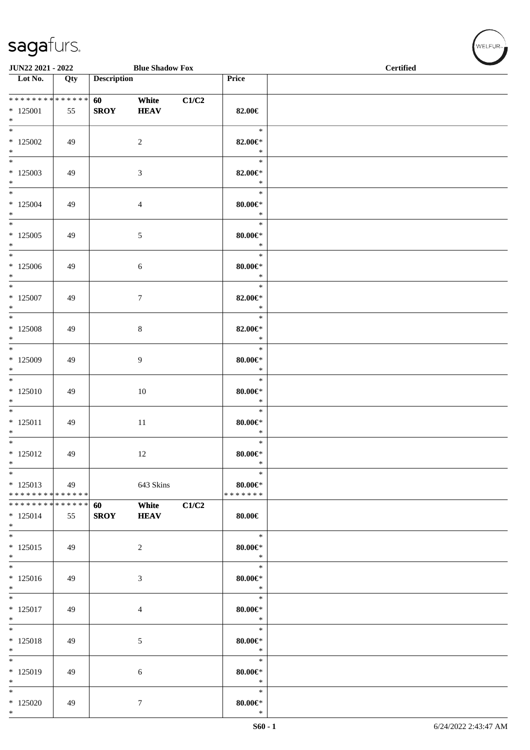| JUN22 2021 - 2022                                               | <b>Blue Shadow Fox</b> |                    |                      |       |                                        | $\operatorname{\bf \mathbf{Certified}}$ |  |  |  |
|-----------------------------------------------------------------|------------------------|--------------------|----------------------|-------|----------------------------------------|-----------------------------------------|--|--|--|
| Lot No.                                                         | Qty                    | <b>Description</b> |                      |       | Price                                  |                                         |  |  |  |
| * * * * * * * * * * * * * *<br>$*125001$<br>$*$                 | 55                     | 60<br><b>SROY</b>  | White<br><b>HEAV</b> | C1/C2 | 82.00€                                 |                                         |  |  |  |
| $\overline{\phantom{0}}$<br>$*125002$<br>$\ast$                 | 49                     |                    | $\overline{c}$       |       | $\ast$<br>82.00 $\in$ *<br>$\ast$      |                                         |  |  |  |
| $\overline{\phantom{0}}$<br>$*125003$<br>$*$                    | 49                     |                    | 3                    |       | $\ast$<br>82.00 $\in$ *<br>$\ast$      |                                         |  |  |  |
| $\overline{\phantom{1}}$<br>$*125004$<br>$*$                    | 49                     |                    | $\overline{4}$       |       | $\ast$<br>$80.00 \text{E}^*$<br>$\ast$ |                                         |  |  |  |
| $\ast$<br>$*125005$<br>$*$                                      | 49                     |                    | $5\,$                |       | $\ast$<br>$80.00 \in$<br>$\ast$        |                                         |  |  |  |
| $\ast$<br>$*125006$<br>$*$                                      | 49                     |                    | $\sqrt{6}$           |       | $\ast$<br>$80.00 \in$<br>$\ast$        |                                         |  |  |  |
| $\ast$<br>$*$ 125007<br>$\ast$                                  | 49                     |                    | $\boldsymbol{7}$     |       | $\ast$<br>82.00 $\in$ *<br>$\ast$      |                                         |  |  |  |
| $*125008$<br>$\ast$                                             | 49                     |                    | $\,8\,$              |       | $\ast$<br>82.00 $\in$ *<br>$\ast$      |                                         |  |  |  |
| $\overline{\phantom{0}}$<br>$*125009$<br>$*$                    | 49                     |                    | $\overline{9}$       |       | $\ast$<br>$80.00 \in$<br>$\ast$        |                                         |  |  |  |
| $\overline{\phantom{1}}$<br>$*125010$<br>$\ast$                 | 49                     |                    | 10                   |       | $\ast$<br>$80.00 \in$<br>$\ast$        |                                         |  |  |  |
| $\ast$<br>$* 125011$<br>$\ast$                                  | 49                     |                    | $11\,$               |       | $\ast$<br>$80.00 \in$<br>$\ast$        |                                         |  |  |  |
| $\overline{\ast}$<br>$* 125012$<br>$\ast$                       | 49                     |                    | 12                   |       | $\ast$<br>$80.00 \text{E}^*$<br>$\ast$ |                                         |  |  |  |
| $\ast$<br>$*125013$<br>* * * * * * * * * * * * * *              | 49                     |                    | 643 Skins            |       | $\ast$<br>$80.00 \in$<br>* * * * * * * |                                         |  |  |  |
| * * * * * * * * <mark>* * * * * * *</mark><br>$* 125014$<br>$*$ | 55                     | 60<br><b>SROY</b>  | White<br><b>HEAV</b> | C1/C2 | $80.00 \in$                            |                                         |  |  |  |
| $*$<br>$*125015$<br>$*$<br>$\overline{\phantom{1}}$             | 49                     |                    | $\overline{2}$       |       | $\ast$<br>$80.00 \in$ *<br>$\ast$      |                                         |  |  |  |
| $*125016$<br>$*$                                                | 49                     |                    | $\mathfrak{Z}$       |       | $\ast$<br>$80.00 \in$<br>$\ast$        |                                         |  |  |  |
| $\ast$<br>$*125017$<br>$*$                                      | 49                     |                    | 4                    |       | $\ast$<br>$80.00 \in$<br>$\ast$        |                                         |  |  |  |
| $\ast$<br>* 125018<br>$\ast$                                    | 49                     |                    | 5                    |       | $\ast$<br>$80.00 \in$<br>$\ast$        |                                         |  |  |  |
| $\ast$<br>* 125019<br>$*$                                       | 49                     |                    | 6                    |       | $\ast$<br>$80.00 \in$<br>$\ast$        |                                         |  |  |  |
| $*$<br>$*125020$<br>$*$                                         | 49                     |                    | $\tau$               |       | $\ast$<br>$80.00 \in$<br>$\ast$        |                                         |  |  |  |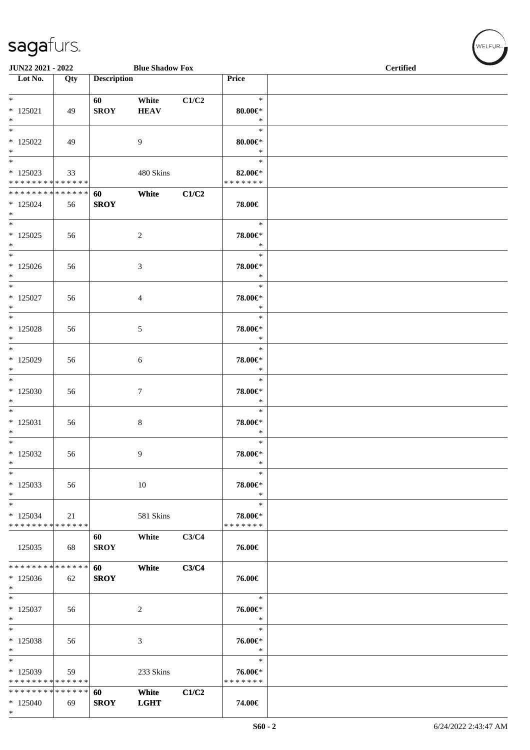| JUN22 2021 - 2022                                  |     |                    | <b>Blue Shadow Fox</b> |       |                                    | Certified |  |  |  |
|----------------------------------------------------|-----|--------------------|------------------------|-------|------------------------------------|-----------|--|--|--|
| $\overline{\phantom{1}}$ Lot No.                   | Qty | <b>Description</b> |                        |       | Price                              |           |  |  |  |
| $*$<br>$* 125021$<br>$*$                           | 49  | 60<br><b>SROY</b>  | White<br><b>HEAV</b>   | C1/C2 | $\ast$<br>$80.00 \in$<br>$\ast$    |           |  |  |  |
| $\ast$<br>$*125022$<br>$*$                         | 49  |                    | 9                      |       | $\ast$<br>$80.00 \in$<br>$\ast$    |           |  |  |  |
| $*$<br>$*125023$<br>* * * * * * * * * * * * * *    | 33  |                    | 480 Skins              |       | $\ast$<br>82.00€*<br>* * * * * * * |           |  |  |  |
| ******** <mark>******</mark><br>$*125024$<br>$*$   | 56  | 60<br><b>SROY</b>  | White                  | C1/C2 | 78.00€                             |           |  |  |  |
| $*$<br>$*125025$<br>$*$                            | 56  |                    | $\overline{2}$         |       | $\ast$<br>78.00€*<br>$\ast$        |           |  |  |  |
| $*$<br>$*125026$<br>$\ast$                         | 56  |                    | $\mathfrak{Z}$         |       | $\ast$<br>78.00€*<br>$\ast$        |           |  |  |  |
| $\ast$<br>$*$ 125027<br>$\ast$                     | 56  |                    | $\overline{4}$         |       | $\ast$<br>78.00€*<br>$\ast$        |           |  |  |  |
| $*$<br>$*125028$<br>$*$                            | 56  |                    | 5                      |       | $\ast$<br>78.00€*<br>$\ast$        |           |  |  |  |
| $*$<br>$*$ 125029<br>$*$                           | 56  |                    | 6                      |       | $\ast$<br>78.00€*<br>$\ast$        |           |  |  |  |
| $*$<br>$*125030$<br>$\ast$                         | 56  |                    | $\tau$                 |       | $\ast$<br>78.00€*<br>$\ast$        |           |  |  |  |
| $*$<br>$*125031$<br>$*$                            | 56  |                    | 8                      |       | $\ast$<br>78.00€*<br>$\ast$        |           |  |  |  |
| $*$<br>$*125032$<br>$\ast$                         | 56  |                    | 9                      |       | $\ast$<br>78.00€*<br>$\ast$        |           |  |  |  |
| $\ast$<br>$*125033$<br>$*$                         | 56  |                    | $10\,$                 |       | $\ast$<br>78.00€*<br>$\ast$        |           |  |  |  |
| $\ast$<br>$*125034$<br>* * * * * * * * * * * * * * | 21  |                    | 581 Skins              |       | $\ast$<br>78.00€*<br>* * * * * * * |           |  |  |  |
| 125035                                             | 68  | 60<br><b>SROY</b>  | White                  | C3/C4 | 76.00€                             |           |  |  |  |
| * * * * * * * * * * * * * *<br>$*125036$<br>$\ast$ | 62  | 60<br><b>SROY</b>  | White                  | C3/C4 | 76.00€                             |           |  |  |  |
| $*$<br>$*125037$<br>$\ast$                         | 56  |                    | 2                      |       | $\ast$<br>76.00€*<br>$\ast$        |           |  |  |  |
| $\ast$<br>* 125038<br>$\ast$                       | 56  |                    | $\mathfrak{Z}$         |       | $\ast$<br>76.00€*<br>$\ast$        |           |  |  |  |
| $\ast$<br>* 125039<br>* * * * * * * * * * * * * *  | 59  |                    | 233 Skins              |       | $\ast$<br>76.00€*<br>* * * * * * * |           |  |  |  |
| * * * * * * * * * * * * * *<br>$*125040$<br>$*$    | 69  | 60<br><b>SROY</b>  | White<br><b>LGHT</b>   | C1/C2 | 74.00€                             |           |  |  |  |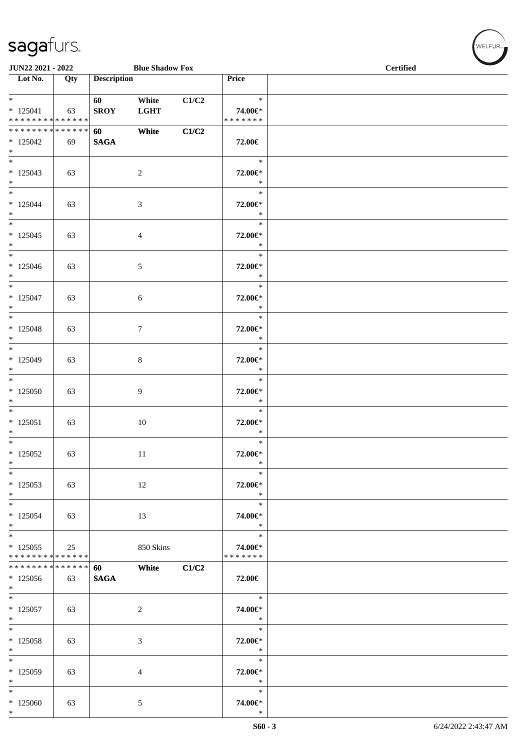| JUN22 2021 - 2022                                 |     |                    | <b>Blue Shadow Fox</b> |       |                                    | <b>Certified</b> |
|---------------------------------------------------|-----|--------------------|------------------------|-------|------------------------------------|------------------|
| $\overline{\phantom{1}}$ Lot No.                  | Qty | <b>Description</b> |                        |       | Price                              |                  |
| $*$<br>$*125041$<br>* * * * * * * * * * * * * *   | 63  | 60<br><b>SROY</b>  | White<br><b>LGHT</b>   | C1/C2 | $\ast$<br>74.00€*<br>* * * * * * * |                  |
| * * * * * * * * * * * * * * *<br>$*125042$<br>$*$ | 69  | 60<br><b>SAGA</b>  | White                  | C1/C2 | 72.00€                             |                  |
| $\overline{\phantom{0}}$<br>$*125043$<br>$*$      | 63  |                    | $\overline{c}$         |       | $\ast$<br>72.00€*<br>$\ast$        |                  |
| $*$<br>$*125044$<br>$*$                           | 63  |                    | 3                      |       | $\ast$<br>72.00€*<br>$\ast$        |                  |
| $*$<br>$*125045$<br>$*$                           | 63  |                    | $\overline{4}$         |       | $\ast$<br>72.00€*<br>$\ast$        |                  |
| $*$<br>$*125046$<br>$*$                           | 63  |                    | 5                      |       | $\ast$<br>72.00€*<br>$\ast$        |                  |
| $\overline{\ast}$<br>$* 125047$<br>$*$            | 63  |                    | 6                      |       | $\ast$<br>72.00€*<br>$\ast$        |                  |
| $* 125048$<br>$\ast$                              | 63  |                    | $\tau$                 |       | $\ast$<br>72.00€*<br>$\ast$        |                  |
| $*$<br>$*125049$<br>$*$                           | 63  |                    | $\,8\,$                |       | $\ast$<br>72.00€*<br>$\ast$        |                  |
| $\overline{\phantom{0}}$<br>$*125050$<br>$\ast$   | 63  |                    | 9                      |       | $\ast$<br>72.00€*<br>$\ast$        |                  |
| $* 125051$<br>$*$                                 | 63  |                    | $10\,$                 |       | $\ast$<br>72.00€*<br>$\ast$        |                  |
| $*$<br>$*125052$<br>$\ast$                        | 63  |                    | 11                     |       | $\ast$<br>72.00€*<br>$\ast$        |                  |
| $\ast$<br>$*125053$<br>$*$                        | 63  |                    | 12                     |       | $\ast$<br>72.00€*<br>$\ast$        |                  |
| $*$<br>$*125054$<br>$*$                           | 63  |                    | 13                     |       | $\ast$<br>74.00€*<br>$\ast$        |                  |
| $*$<br>$*125055$<br>* * * * * * * * * * * * * *   | 25  |                    | 850 Skins              |       | $\ast$<br>74.00€*<br>* * * * * * * |                  |
| * * * * * * * * * * * * * *<br>$*125056$<br>$*$   | 63  | 60<br><b>SAGA</b>  | White                  | C1/C2 | 72.00€                             |                  |
| $*$<br>$* 125057$<br>$*$                          | 63  |                    | $\overline{c}$         |       | $\ast$<br>74.00€*<br>$\ast$        |                  |
| $*$<br>$*125058$<br>$*$                           | 63  |                    | 3                      |       | $\ast$<br>72.00€*<br>$\ast$        |                  |
| $*$<br>$*125059$<br>$*$                           | 63  |                    | 4                      |       | $\ast$<br>72.00€*<br>$\ast$        |                  |
| $*$<br>$*125060$<br>$*$                           | 63  |                    | 5                      |       | $\ast$<br>74.00€*<br>$\ast$        |                  |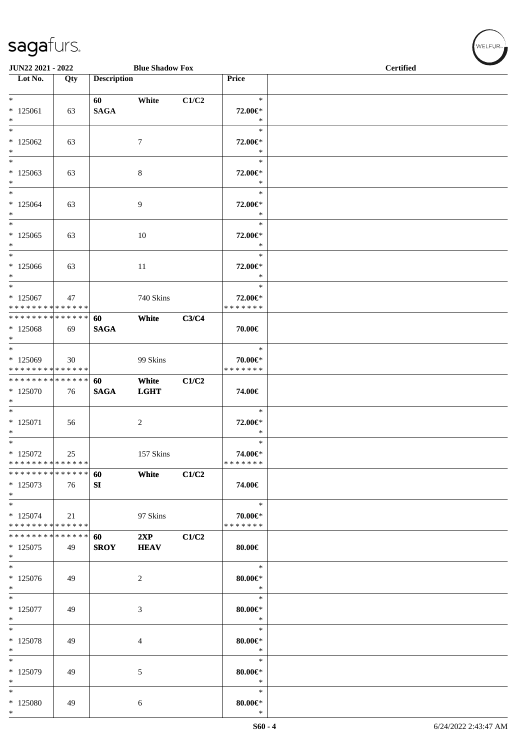| JUN22 2021 - 2022                                               |                   |                    | <b>Blue Shadow Fox</b> |       |                                    | <b>Certified</b> | $\overline{\phantom{0}}$ |
|-----------------------------------------------------------------|-------------------|--------------------|------------------------|-------|------------------------------------|------------------|--------------------------|
| Lot No.                                                         | Qty               | <b>Description</b> |                        |       | Price                              |                  |                          |
| $*$<br>$*125061$<br>$*$                                         | 63                | 60<br><b>SAGA</b>  | White                  | C1/C2 | $\ast$<br>72.00€*<br>$\ast$        |                  |                          |
| $\overline{\phantom{0}}$<br>$*125062$<br>$\ast$                 | 63                |                    | 7                      |       | $\ast$<br>72.00€*<br>$\ast$        |                  |                          |
| $*$<br>$*125063$<br>$*$                                         | 63                |                    | 8                      |       | $\ast$<br>72.00€*<br>$\ast$        |                  |                          |
| $*$<br>$*125064$<br>$*$                                         | 63                |                    | 9                      |       | $\ast$<br>72.00€*<br>$\ast$        |                  |                          |
| $*$<br>$*125065$<br>$\ast$                                      | 63                |                    | 10                     |       | $\ast$<br>72.00€*<br>$\ast$        |                  |                          |
| $\overline{\ast}$<br>$*125066$<br>$*$                           | 63                |                    | 11                     |       | $\ast$<br>72.00€*<br>$\ast$        |                  |                          |
| $*$<br>$*125067$<br>* * * * * * * * * * * * * *                 | 47                |                    | 740 Skins              |       | $\ast$<br>72.00€*<br>* * * * * * * |                  |                          |
| * * * * * * * * * * * * * * *<br>$*125068$<br>$*$               | 69                | 60<br><b>SAGA</b>  | White                  | C3/C4 | 70.00€                             |                  |                          |
| $*$<br>$*125069$<br>* * * * * * * * * * * * * *                 | 30                |                    | 99 Skins               |       | $\ast$<br>70.00€*<br>* * * * * * * |                  |                          |
| * * * * * * * * * * * * * * *<br>$*125070$<br>$*$               | 76                | 60<br><b>SAGA</b>  | White<br><b>LGHT</b>   | C1/C2 | 74.00€                             |                  |                          |
| $*$<br>$* 125071$<br>$*$                                        | 56                |                    | 2                      |       | $\ast$<br>72.00€*<br>$\ast$        |                  |                          |
| $*$<br>$*125072$<br>* * * * * * * * * * * * * *                 | 25                |                    | 157 Skins              |       | $\ast$<br>74.00€*<br>* * * * * * * |                  |                          |
| * * * * * * * *<br>$*125073$<br>$*$                             | * * * * * *<br>76 | 60<br>SI           | White                  | C1/C2 | 74.00€                             |                  |                          |
| $*$<br>$* 125074$<br>* * * * * * * * <mark>* * * * * * *</mark> | 21                |                    | 97 Skins               |       | $\ast$<br>70.00€*<br>* * * * * * * |                  |                          |
| * * * * * * * * * * * * * * *<br>$*125075$<br>$*$               | 49                | 60<br><b>SROY</b>  | 2XP<br><b>HEAV</b>     | C1/C2 | 80.00€                             |                  |                          |
| $*$<br>* 125076<br>$*$                                          | 49                |                    | 2                      |       | $\ast$<br>$80.00 \in$ *<br>$\ast$  |                  |                          |
| $*$<br>* 125077<br>$*$                                          | 49                |                    | 3                      |       | $\ast$<br>$80.00 \in$ *<br>$\ast$  |                  |                          |
| $*$<br>* 125078<br>$*$                                          | 49                |                    | 4                      |       | $\ast$<br>$80.00 \in$<br>$\ast$    |                  |                          |
| $*$<br>* 125079<br>$*$                                          | 49                |                    | 5                      |       | $\ast$<br>$80.00 \in$ *<br>$\ast$  |                  |                          |
| $*$<br>* 125080<br>$\ast$                                       | 49                |                    | 6                      |       | $\ast$<br>$80.00 \in$<br>$\ast$    |                  |                          |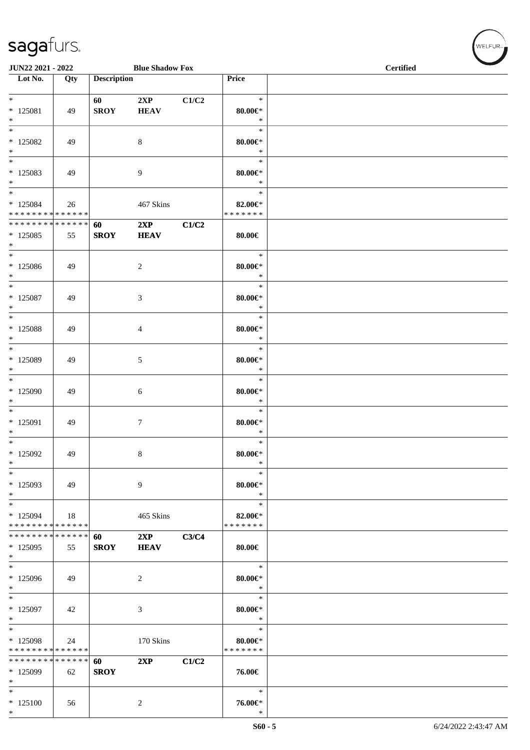| JUN22 2021 - 2022                                 |                   |                        | <b>Blue Shadow Fox</b> |       | <b>Certified</b>                         |  |  |
|---------------------------------------------------|-------------------|------------------------|------------------------|-------|------------------------------------------|--|--|
| $\overline{\phantom{1}}$ Lot No.                  | Qty               | <b>Description</b>     |                        |       | Price                                    |  |  |
| $*$<br>$*$ 125081<br>$*$                          | 49                | 60 - 10<br><b>SROY</b> | 2XP<br><b>HEAV</b>     | C1/C2 | $\ast$<br>$80.00 \in$<br>$\ast$          |  |  |
| $\overline{\phantom{0}}$<br>$*125082$<br>$\ast$   | 49                |                        | 8                      |       | $\ast$<br>$80.00 \in$ *<br>$\ast$        |  |  |
| $\overline{\phantom{0}}$<br>* 125083<br>$*$       | 49                |                        | 9                      |       | $\ast$<br>80.00€*<br>$\ast$              |  |  |
| $*$<br>$*125084$<br>* * * * * * * * * * * * * * * | 26                |                        | 467 Skins              |       | $\ast$<br>82.00€*<br>* * * * * * *       |  |  |
| * * * * * * * * * * * * * * *<br>$*125085$<br>$*$ | 55                | 60<br><b>SROY</b>      | 2XP<br><b>HEAV</b>     | C1/C2 | $80.00 \in$                              |  |  |
| $\overline{\phantom{0}}$<br>$*125086$<br>$*$      | 49                |                        | $\overline{c}$         |       | $\ast$<br>$80.00 \in$<br>$\ast$          |  |  |
| $*$<br>$*$ 125087<br>$*$                          | 49                |                        | 3                      |       | $\ast$<br>$80.00 \in$<br>$\ast$          |  |  |
| $*$<br>$*$ 125088<br>$*$                          | 49                |                        | 4                      |       | $\ast$<br>80.00€*<br>$\ast$              |  |  |
| $*$<br>$*$ 125089<br>$*$                          | 49                |                        | 5                      |       | $\ast$<br>80.00€*<br>$\ast$              |  |  |
| $*$<br>* 125090<br>$\ast$                         | 49                |                        | 6                      |       | $\ast$<br>$80.00 \in$<br>$\ast$          |  |  |
| $*$<br>$*125091$<br>$*$                           | 49                |                        | $\tau$                 |       | $\ast$<br>$80.00 \in$ *<br>$\ast$        |  |  |
| $*125092$<br>$\ast$                               | 49                |                        | 8                      |       | $\ast$<br>$80.00 \in$ *<br>$\ast$        |  |  |
| $\ast$<br>* 125093<br>$*$                         | 49                |                        | 9                      |       | $\ast$<br>$80.00 \in$<br>$\ast$          |  |  |
| $\ast$<br>* 125094<br>* * * * * * * * * * * * * * | 18                |                        | 465 Skins              |       | $\ast$<br>82.00€*<br>* * * * * * *       |  |  |
| * * * * * * * *<br>* 125095<br>$*$                | * * * * * *<br>55 | 60<br><b>SROY</b>      | 2XP<br><b>HEAV</b>     | C3/C4 | 80.00€                                   |  |  |
| $*$<br>$*125096$<br>$*$                           | 49                |                        | $\overline{c}$         |       | $\ast$<br>$80.00 \in$<br>$\ast$          |  |  |
| $\ast$<br>* 125097<br>$\ast$                      | 42                |                        | 3                      |       | $\ast$<br>$80.00 \in$<br>$\ast$          |  |  |
| $\ast$<br>* 125098<br>* * * * * * * *             | 24<br>* * * * * * |                        | 170 Skins              |       | $\ast$<br>$80.00 \in$ *<br>* * * * * * * |  |  |
| * * * * * * * *<br>* 125099<br>$*$                | * * * * * *<br>62 | 60<br><b>SROY</b>      | 2XP                    | C1/C2 | 76.00€                                   |  |  |
| $\ast$<br>$*125100$<br>$\ast$                     | 56                |                        | $\overline{c}$         |       | $\ast$<br>76.00€*<br>$\ast$              |  |  |

 $(\forall ELFUR_{\approx})$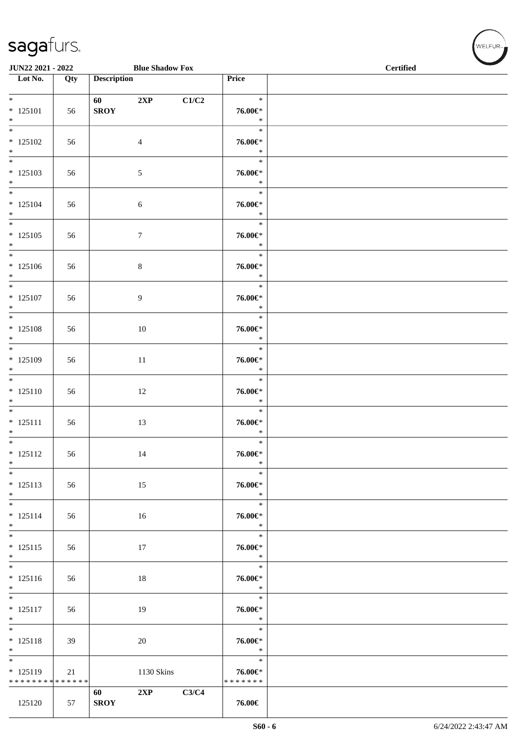| JUN22 2021 - 2022                                  |                   | <b>Blue Shadow Fox</b>        |                                          | <b>Certified</b> |  |  |
|----------------------------------------------------|-------------------|-------------------------------|------------------------------------------|------------------|--|--|
| $\overline{\phantom{1}}$ Lot No.                   | $\overline{Q}$ ty | <b>Description</b>            | Price                                    |                  |  |  |
| $*$<br>$* 125101$<br>$*$                           | 56                | 60 — 10<br>2XP<br><b>SROY</b> | $\ast$<br>C1/C2<br>$76.00 \in$<br>$\ast$ |                  |  |  |
| $* 125102$<br>$*$                                  | 56                | $\overline{4}$                | $\ast$<br>76.00€*<br>$\ast$              |                  |  |  |
| $\overline{\ast}$<br>$* 125103$<br>$*$             | 56                | $\sqrt{5}$                    | $\ast$<br>76.00€*<br>$\ast$              |                  |  |  |
| $*$<br>$* 125104$<br>$*$                           | 56                | 6                             | $\ast$<br>76.00€*<br>$\ast$              |                  |  |  |
| $* 125105$<br>$*$                                  | 56                | $\tau$                        | $\ast$<br>76.00€*<br>$\ast$              |                  |  |  |
| $*125106$<br>$\ast$                                | 56                | $8\,$                         | $\ast$<br>76.00€*<br>$\ast$              |                  |  |  |
| $* 125107$<br>$*$                                  | 56                | 9                             | $\ast$<br>76.00€*<br>$\ast$              |                  |  |  |
| $* 125108$<br>$*$                                  | 56                | 10                            | $\ast$<br>76.00€*<br>$\ast$              |                  |  |  |
| $*$<br>$* 125109$<br>$*$                           | 56                | $11\,$                        | $\ast$<br>76.00€*<br>$\ast$              |                  |  |  |
| $*$<br>$* 125110$<br>$*$                           | 56                | 12                            | $\ast$<br>76.00€*<br>$\ast$              |                  |  |  |
| $\overline{\ast}$<br>$* 125111$<br>$*$             | 56                | 13                            | $\ast$<br>76.00€*<br>$\ast$              |                  |  |  |
| $\overline{\ast}$<br>$* 125112$<br>$\ast$          | 56                | 14                            | $\ast$<br>76.00€*<br>$\ast$              |                  |  |  |
| $\overline{\ast}$<br>$* 125113$<br>$*$             | 56                | 15                            | $\ast$<br>76.00€*<br>$\ast$              |                  |  |  |
| $* 125114$<br>$*$                                  | 56                | 16                            | $\ast$<br>76.00€*<br>$\ast$              |                  |  |  |
| $*$<br>$* 125115$<br>$*$                           | 56                | 17                            | $\ast$<br>76.00€*<br>$\ast$              |                  |  |  |
| $\overline{\phantom{0}}$<br>$* 125116$<br>$*$      | 56                | 18                            | $\ast$<br>76.00€*<br>$\ast$              |                  |  |  |
| $\overline{\phantom{0}}$<br>$* 125117$<br>$*$      | 56                | 19                            | $\ast$<br>76.00€*<br>$\ast$              |                  |  |  |
| $*$<br>$* 125118$<br>$*$                           | 39                | 20                            | $\ast$<br>76.00€*<br>$\ast$              |                  |  |  |
| $*$<br>$* 125119$<br>* * * * * * * * * * * * * * * | 21                | 1130 Skins                    | $\ast$<br>76.00€*<br>* * * * * * *       |                  |  |  |
| 125120                                             | 57                | 2XP<br>60<br><b>SROY</b>      | C3/C4<br>76.00€                          |                  |  |  |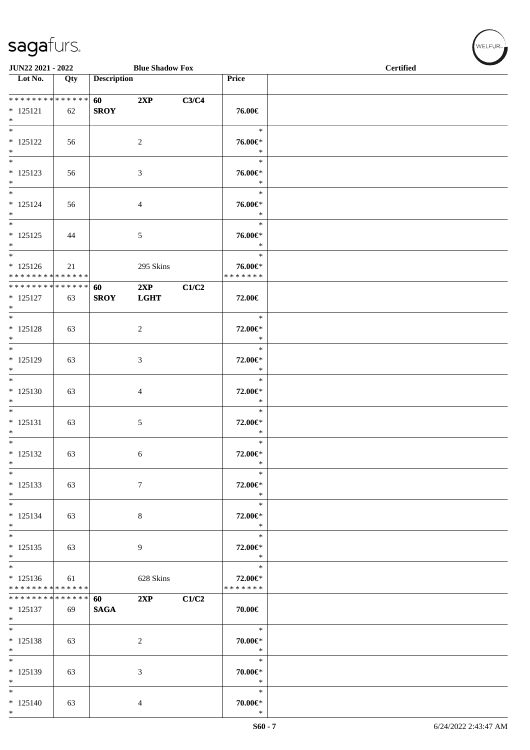|                                                                           | JUN22 2021 - 2022<br><b>Blue Shadow Fox</b> |                        |                    |       |                                       | <b>Certified</b> |  |
|---------------------------------------------------------------------------|---------------------------------------------|------------------------|--------------------|-------|---------------------------------------|------------------|--|
| $\overline{\phantom{1}}$ Lot No.                                          | Qty                                         | <b>Description</b>     |                    |       | Price                                 |                  |  |
| ******** <mark>******</mark><br>$* 125121$<br>$\ast$                      | 62                                          | 60 — 10<br><b>SROY</b> | 2XP                | C3/C4 | 76.00€                                |                  |  |
| $\ast$<br>$* 125122$<br>$*$                                               | 56                                          |                        | $\sqrt{2}$         |       | $\ast$<br>76.00€*<br>$\ast$           |                  |  |
| $\ast$<br>$* 125123$<br>$\ast$                                            | 56                                          |                        | $\mathfrak{Z}$     |       | $\ast$<br>76.00€*<br>$\ast$           |                  |  |
| $\ast$<br>$* 125124$<br>$*$                                               | 56                                          |                        | 4                  |       | $\ast$<br>76.00€*<br>$\ast$           |                  |  |
| $\overline{\phantom{0}}$<br>$* 125125$<br>$*$                             | 44                                          |                        | $5\,$              |       | $\ast$<br>76.00€*<br>$\ast$           |                  |  |
| $*$<br>$* 125126$<br>* * * * * * * * * * * * * *                          | 21                                          |                        | 295 Skins          |       | $\ast$<br>76.00€*<br>* * * * * * *    |                  |  |
| ******** <mark>******</mark><br>$* 125127$<br>$\ast$<br>$\overline{\ast}$ | 63                                          | 60<br><b>SROY</b>      | 2XP<br><b>LGHT</b> | C1/C2 | 72.00€                                |                  |  |
| $* 125128$<br>$\ast$                                                      | 63                                          |                        | $\sqrt{2}$         |       | $\ast$<br>72.00€*<br>$\ast$           |                  |  |
| $\ast$<br>$* 125129$<br>$\ast$                                            | 63                                          |                        | 3                  |       | $\ast$<br>72.00€*<br>$\ast$           |                  |  |
| $*$<br>$* 125130$<br>$\ast$<br>$\overline{\phantom{0}}$                   | 63                                          |                        | 4                  |       | $\ast$<br>72.00€*<br>$\ast$           |                  |  |
| $* 125131$<br>$\ast$<br>$*$                                               | 63                                          |                        | 5                  |       | $\ast$<br>72.00€*<br>$\ast$           |                  |  |
| $* 125132$<br>$\ast$<br>$\ast$                                            | 63                                          |                        | 6                  |       | $\ast$<br>72.00€*<br>$\ast$<br>$\ast$ |                  |  |
| $* 125133$<br>$*$<br>$\overline{\phantom{0}}$                             | 63                                          |                        | $\tau$             |       | 72.00€*<br>$\ast$<br>$\ast$           |                  |  |
| $* 125134$<br>$\ast$<br>$\ast$                                            | 63                                          |                        | $\,8\,$            |       | 72.00€*<br>$\ast$                     |                  |  |
| $* 125135$<br>$\ast$<br>$\overline{\phantom{0}}$                          | 63                                          |                        | 9                  |       | $\ast$<br>72.00€*<br>$\ast$<br>$\ast$ |                  |  |
| $*125136$<br>* * * * * * * * * * * * * *<br>* * * * * * * * * * * * * *   | 61                                          |                        | 628 Skins          |       | 72.00€*<br>* * * * * * *              |                  |  |
| $* 125137$<br>$*$<br>$\overline{\phantom{0}}$                             | 69                                          | 60<br><b>SAGA</b>      | 2XP                | C1/C2 | 70.00€                                |                  |  |
| $* 125138$<br>$*$<br>$*$                                                  | 63                                          |                        | $\overline{2}$     |       | $\ast$<br>70.00€*<br>$\ast$<br>$\ast$ |                  |  |
| $* 125139$<br>$\ast$<br>$\ast$                                            | 63                                          |                        | $\mathfrak{Z}$     |       | 70.00€*<br>$\ast$                     |                  |  |
| $* 125140$<br>$*$                                                         | 63                                          |                        | 4                  |       | $\ast$<br>$70.00 \in$ *<br>$\ast$     |                  |  |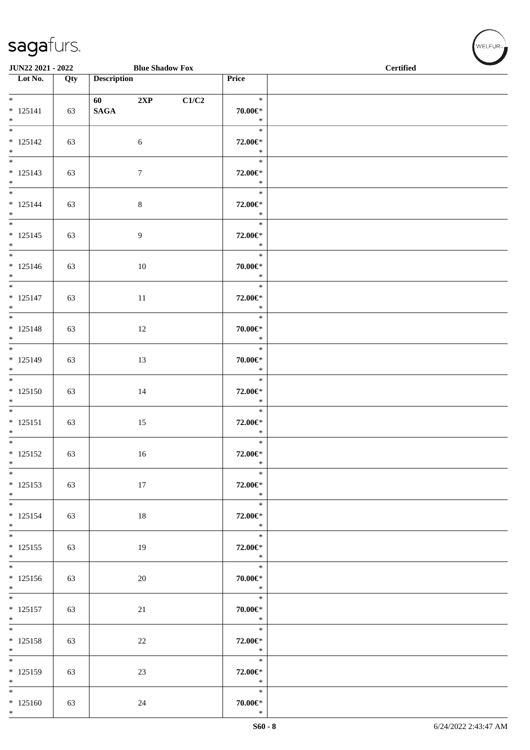|                                                                           | <b>Blue Shadow Fox</b><br>JUN22 2021 - 2022 |                         |                  |       | <b>Certified</b>                  |  |  |  |  |
|---------------------------------------------------------------------------|---------------------------------------------|-------------------------|------------------|-------|-----------------------------------|--|--|--|--|
| Lot No.                                                                   | Qty                                         | <b>Description</b>      |                  |       | Price                             |  |  |  |  |
| $*$<br>$* 125141$<br>$*$                                                  | 63                                          | 60 - 100<br><b>SAGA</b> | 2XP              | C1/C2 | $\ast$<br>$70.00 \in$ *<br>$\ast$ |  |  |  |  |
| $* 125142$<br>$*$                                                         | 63                                          |                         | $\sqrt{6}$       |       | $\ast$<br>72.00€*<br>$\ast$       |  |  |  |  |
| $* 125143$<br>$*$                                                         | 63                                          |                         | $\tau$           |       | $\ast$<br>72.00€*<br>$\ast$       |  |  |  |  |
| $*$<br>$* 125144$<br>$*$                                                  | 63                                          |                         | $\,8\,$          |       | $\ast$<br>72.00€*<br>$\ast$       |  |  |  |  |
| $* 125145$<br>$*$                                                         | 63                                          |                         | $\boldsymbol{9}$ |       | $\ast$<br>72.00€*<br>$\ast$       |  |  |  |  |
| $* 125146$<br>$\ast$                                                      | 63                                          |                         | 10               |       | $\ast$<br>70.00€*<br>$\ast$       |  |  |  |  |
| $*$<br>$* 125147$<br>$*$                                                  | 63                                          |                         | 11               |       | $\ast$<br>72.00€*<br>$\ast$       |  |  |  |  |
| $* 125148$<br>$\ast$<br>$\overline{\phantom{0}}$                          | 63                                          |                         | 12               |       | $\ast$<br>$70.00 \in$ *<br>$\ast$ |  |  |  |  |
| $* 125149$<br>$*$                                                         | 63                                          |                         | 13               |       | $\ast$<br>$70.00 \in$ *<br>$\ast$ |  |  |  |  |
| $\overline{\ast}$<br>$* 125150$<br>$*$<br>$\overline{\phantom{0}}$        | 63                                          |                         | 14               |       | $\ast$<br>72.00€*<br>$\ast$       |  |  |  |  |
| $* 125151$<br>$*$<br>$\overline{\phantom{0}}$                             | 63                                          |                         | 15               |       | $\ast$<br>72.00€*<br>$\ast$       |  |  |  |  |
| $* 125152$<br>$*$<br>$\overline{\phantom{0}}$                             | 63                                          |                         | 16               |       | $\ast$<br>72.00€*<br>∗            |  |  |  |  |
| $* 125153$<br>$*$                                                         | 63                                          |                         | 17               |       | $\ast$<br>72.00€*<br>$\ast$       |  |  |  |  |
| $* 125154$<br>$*$                                                         | 63                                          |                         | 18               |       | $\ast$<br>72.00€*<br>$\ast$       |  |  |  |  |
| $* 125155$<br>$*$<br>$\overline{\phantom{0}}$                             | 63                                          |                         | 19               |       | $\ast$<br>72.00€*<br>$\ast$       |  |  |  |  |
| $* 125156$<br>$*$                                                         | 63                                          |                         | 20               |       | $\ast$<br>70.00€*<br>$*$          |  |  |  |  |
| $\overline{\phantom{0}}$<br>$* 125157$<br>$*$<br>$\overline{\phantom{0}}$ | 63                                          |                         | 21               |       | $\ast$<br>70.00€*<br>$\ast$       |  |  |  |  |
| $* 125158$<br>$*$                                                         | 63                                          |                         | 22               |       | $\ast$<br>72.00€*<br>$\ast$       |  |  |  |  |
| $* 125159$<br>$*$                                                         | 63                                          |                         | 23               |       | $\ast$<br>72.00€*<br>$\ast$       |  |  |  |  |
| $*$<br>$*125160$<br>$*$                                                   | 63                                          |                         | 24               |       | $\ast$<br>$70.00 \in$ *<br>$\ast$ |  |  |  |  |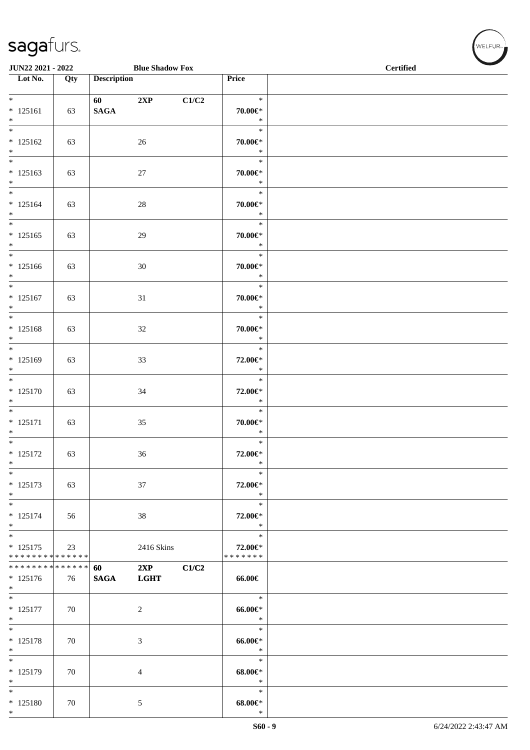|                                                                       | <b>Blue Shadow Fox</b><br>JUN22 2021 - 2022 |                                                                                                                                                                                                                                                |                    |       | <b>Contract Contract Contract Contract Contract Contract Contract Contract Contract Contract Contract Contract Contract Contract Contract Contract Contract Contract Contract Contract Contract Contract Contract Contract Contr</b><br><b>Certified</b> |  |  |  |  |
|-----------------------------------------------------------------------|---------------------------------------------|------------------------------------------------------------------------------------------------------------------------------------------------------------------------------------------------------------------------------------------------|--------------------|-------|----------------------------------------------------------------------------------------------------------------------------------------------------------------------------------------------------------------------------------------------------------|--|--|--|--|
| $\overline{\phantom{1}}$ Lot No.                                      | Qty                                         | <b>Description</b>                                                                                                                                                                                                                             |                    |       | Price                                                                                                                                                                                                                                                    |  |  |  |  |
| $\overline{\ast}$<br>$* 125161$<br>$*$                                | 63                                          | 60 — 100 — 100 — 100 — 100 — 100 — 100 — 100 — 100 — 100 — 100 — 100 — 100 — 100 — 100 — 100 — 100 — 100 — 100 — 100 — 100 — 100 — 100 — 100 — 100 — 100 — 100 — 100 — 100 — 100 — 100 — 100 — 100 — 100 — 100 — 100 — 100 — 10<br><b>SAGA</b> | 2XP                | C1/C2 | $\ast$<br>$70.00 \in$ *<br>$\ast$                                                                                                                                                                                                                        |  |  |  |  |
| $\overline{\phantom{0}}$<br>$* 125162$<br>$*$                         | 63                                          |                                                                                                                                                                                                                                                | 26                 |       | $\ast$<br>$70.00 \in$ *<br>$\ast$                                                                                                                                                                                                                        |  |  |  |  |
| $\overline{\phantom{0}}$<br>$* 125163$<br>$*$                         | 63                                          |                                                                                                                                                                                                                                                | 27                 |       | $\ast$<br>70.00€*<br>$\ast$                                                                                                                                                                                                                              |  |  |  |  |
| $* 125164$<br>$*$                                                     | 63                                          |                                                                                                                                                                                                                                                | $28\,$             |       | $\ast$<br>$70.00 \in$ *<br>$\ast$                                                                                                                                                                                                                        |  |  |  |  |
| $\ast$<br>$* 125165$<br>$*$                                           | 63                                          |                                                                                                                                                                                                                                                | 29                 |       | $\ast$<br>$70.00 \in$ *<br>$\ast$                                                                                                                                                                                                                        |  |  |  |  |
| $*$<br>$* 125166$<br>$*$                                              | 63                                          |                                                                                                                                                                                                                                                | 30                 |       | $\ast$<br>70.00€*<br>$\ast$                                                                                                                                                                                                                              |  |  |  |  |
| $\overline{\phantom{0}}$<br>$* 125167$<br>$\ast$                      | 63                                          |                                                                                                                                                                                                                                                | 31                 |       | $\ast$<br>$70.00 \in$ *<br>$\ast$                                                                                                                                                                                                                        |  |  |  |  |
| $\overline{\phantom{0}}$<br>$* 125168$<br>$*$                         | 63                                          |                                                                                                                                                                                                                                                | 32                 |       | $\ast$<br>$70.00 \in$ *<br>$\ast$                                                                                                                                                                                                                        |  |  |  |  |
| $* 125169$<br>$*$                                                     | 63                                          |                                                                                                                                                                                                                                                | 33                 |       | $\ast$<br>72.00€*<br>$\ast$                                                                                                                                                                                                                              |  |  |  |  |
| $\overline{\ast}$<br>$* 125170$<br>$\ast$                             | 63                                          |                                                                                                                                                                                                                                                | 34                 |       | $\ast$<br>72.00€*<br>$\ast$                                                                                                                                                                                                                              |  |  |  |  |
| $\ast$<br>$* 125171$<br>$*$<br>$*$                                    | 63                                          |                                                                                                                                                                                                                                                | 35                 |       | $\ast$<br>$70.00 \in$ *<br>$\ast$                                                                                                                                                                                                                        |  |  |  |  |
| $* 125172$<br>$\ast$                                                  | 63                                          |                                                                                                                                                                                                                                                | 36                 |       | $\ast$<br>72.00€*<br>$\ast$                                                                                                                                                                                                                              |  |  |  |  |
| $\ast$<br>$* 125173$<br>$\ast$                                        | 63                                          |                                                                                                                                                                                                                                                | $37\,$             |       | $\ast$<br>72.00€*<br>$\ast$                                                                                                                                                                                                                              |  |  |  |  |
| $\ast$<br>$* 125174$<br>$\ast$                                        | 56                                          |                                                                                                                                                                                                                                                | 38                 |       | $\ast$<br>72.00€*<br>$\ast$                                                                                                                                                                                                                              |  |  |  |  |
| $\overline{\phantom{0}}$<br>$* 125175$<br>* * * * * * * * * * * * * * | 23                                          |                                                                                                                                                                                                                                                | 2416 Skins         |       | $\ast$<br>72.00€*<br>* * * * * * *                                                                                                                                                                                                                       |  |  |  |  |
| * * * * * * * * * * * * * *<br>$* 125176$<br>$*$                      | 76                                          | 60<br><b>SAGA</b>                                                                                                                                                                                                                              | 2XP<br><b>LGHT</b> | C1/C2 | 66.00€                                                                                                                                                                                                                                                   |  |  |  |  |
| $\ast$<br>$* 125177$<br>$*$                                           | 70                                          |                                                                                                                                                                                                                                                | $\overline{c}$     |       | $\ast$<br>$66.00 \in$<br>$\ast$                                                                                                                                                                                                                          |  |  |  |  |
| $*$<br>$* 125178$<br>$*$                                              | 70                                          |                                                                                                                                                                                                                                                | 3                  |       | $\ast$<br>$66.00 \in$<br>$\ast$                                                                                                                                                                                                                          |  |  |  |  |
| $\ast$<br>$* 125179$<br>$\ast$                                        | 70                                          |                                                                                                                                                                                                                                                | $\overline{4}$     |       | $\ast$<br>$68.00 \in$<br>$\ast$                                                                                                                                                                                                                          |  |  |  |  |
| $*$<br>$* 125180$<br>$*$                                              | 70                                          |                                                                                                                                                                                                                                                | $\mathfrak{S}$     |       | $\ast$<br>$68.00 \text{E}^*$<br>$\ast$                                                                                                                                                                                                                   |  |  |  |  |

WELFUR<sub><sup>12</sup></sub>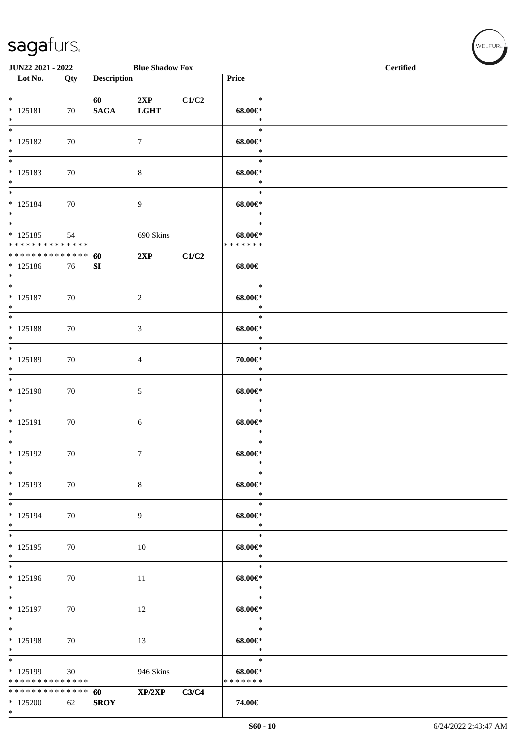| JUN22 2021 - 2022                                                     |     |                    | <b>Blue Shadow Fox</b> |       |                                        | <b>Certified</b> |  |  |  |
|-----------------------------------------------------------------------|-----|--------------------|------------------------|-------|----------------------------------------|------------------|--|--|--|
| $\overline{\phantom{1}}$ Lot No.                                      | Qty | <b>Description</b> |                        |       | Price                                  |                  |  |  |  |
| $*$<br>$* 125181$<br>$*$                                              | 70  | 60<br><b>SAGA</b>  | 2XP<br><b>LGHT</b>     | C1/C2 | $\ast$<br>$68.00 \in$<br>$\ast$        |                  |  |  |  |
| $\overline{\phantom{0}}$<br>$* 125182$<br>$\ast$                      | 70  |                    | 7                      |       | $\ast$<br>$68.00 \in$<br>$\ast$        |                  |  |  |  |
| $\ast$<br>$* 125183$<br>$\ast$                                        | 70  |                    | $\,8\,$                |       | $\ast$<br>$68.00 \in$<br>$\ast$        |                  |  |  |  |
| $\overline{\phantom{0}}$<br>$* 125184$<br>$*$                         | 70  |                    | 9                      |       | $\ast$<br>$68.00 \in$<br>$\ast$        |                  |  |  |  |
| $\overline{\phantom{0}}$<br>$* 125185$<br>* * * * * * * * * * * * * * | 54  |                    | 690 Skins              |       | $\ast$<br>$68.00 \in$<br>* * * * * * * |                  |  |  |  |
| * * * * * * * * * * * * * *<br>$* 125186$<br>$*$                      | 76  | 60<br>${\bf SI}$   | 2XP                    | C1/C2 | 68.00€                                 |                  |  |  |  |
| $\ast$<br>$* 125187$<br>$*$                                           | 70  |                    | $\boldsymbol{2}$       |       | $\ast$<br>$68.00 \in$<br>$\ast$        |                  |  |  |  |
| $\ast$<br>$* 125188$<br>$*$                                           | 70  |                    | 3                      |       | $\ast$<br>$68.00 \in$<br>$\ast$        |                  |  |  |  |
| $*$<br>$* 125189$<br>$*$                                              | 70  |                    | $\overline{4}$         |       | $\ast$<br>70.00€*<br>$\ast$            |                  |  |  |  |
| $*$<br>* 125190<br>$\ast$                                             | 70  |                    | 5                      |       | $\ast$<br>$68.00 \in$<br>$\ast$        |                  |  |  |  |
| $\overline{\ast}$<br>* 125191<br>$*$                                  | 70  |                    | 6                      |       | $\ast$<br>$68.00 \in$<br>$\ast$        |                  |  |  |  |
| $\overline{\phantom{0}}$<br>$* 125192$<br>$\ast$                      | 70  |                    | $\overline{7}$         |       | $\ast$<br>$68.00 \in$<br>$\ast$        |                  |  |  |  |
| $\ast$<br>$* 125193$<br>$*$                                           | 70  |                    | $\,8\,$                |       | $\ast$<br>$68.00 \in$<br>$\ast$        |                  |  |  |  |
| $\overline{\ast}$<br>$* 125194$<br>$\ast$                             | 70  |                    | 9                      |       | $\ast$<br>$68.00 \in$<br>$\ast$        |                  |  |  |  |
| $\overline{\phantom{a}^*}$<br>$* 125195$<br>$*$                       | 70  |                    | 10                     |       | $\ast$<br>$68.00 \in$<br>$\ast$        |                  |  |  |  |
| $*$<br>* 125196<br>$\ast$                                             | 70  |                    | 11                     |       | $\ast$<br>$68.00 \in$<br>$\ast$        |                  |  |  |  |
| $\overline{\phantom{0}}$<br>$* 125197$<br>$\ast$                      | 70  |                    | 12                     |       | $\ast$<br>$68.00 \in$<br>$\ast$        |                  |  |  |  |
| $\overline{\ast}$<br>$* 125198$<br>$*$                                | 70  |                    | 13                     |       | $\ast$<br>$68.00 \in$<br>$\ast$        |                  |  |  |  |
| $*$<br>* 125199<br>* * * * * * * * * * * * * *                        | 30  |                    | 946 Skins              |       | $\ast$<br>$68.00 \in$<br>* * * * * * * |                  |  |  |  |
| * * * * * * * * * * * * * *<br>$*125200$<br>$\ast$                    | 62  | 60<br><b>SROY</b>  | XP/2XP                 | C3/C4 | 74.00€                                 |                  |  |  |  |

 $w$ ELFUR-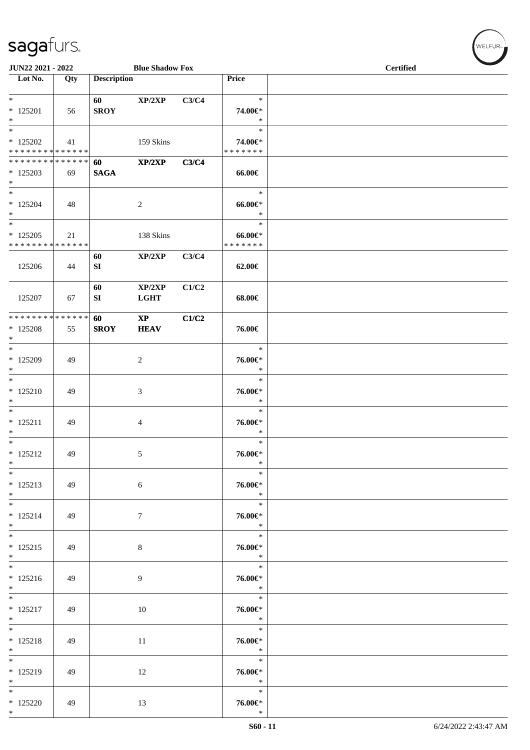| JUN22 2021 - 2022                                             |     |                    | <b>Blue Shadow Fox</b>                |       |                                        | <b>Certified</b> |  |  |
|---------------------------------------------------------------|-----|--------------------|---------------------------------------|-------|----------------------------------------|------------------|--|--|
| Lot No.                                                       | Qty | <b>Description</b> |                                       |       | Price                                  |                  |  |  |
| $*$<br>$*$ 125201<br>$*$                                      | 56  | 60<br><b>SROY</b>  | XP/2XP                                | C3/C4 | $\ast$<br>74.00€*<br>$\ast$            |                  |  |  |
| $\overline{\ }$<br>$*125202$<br>* * * * * * * * * * * * * * * | 41  |                    | 159 Skins                             |       | $\ast$<br>74.00€*<br>*******           |                  |  |  |
| * * * * * * * * * * * * * * *<br>$*125203$<br>$*$             | 69  | 60<br><b>SAGA</b>  | XP/2XP                                | C3/C4 | 66.00€                                 |                  |  |  |
| $*$<br>$*125204$<br>$*$                                       | 48  |                    | $\overline{c}$                        |       | $\ast$<br>$66.00 \text{e}$<br>$\ast$   |                  |  |  |
| $*$<br>$* 125205$<br>* * * * * * * * * * * * * * *            | 21  |                    | 138 Skins                             |       | $\ast$<br>$66.00 \in$<br>* * * * * * * |                  |  |  |
| 125206                                                        | 44  | 60<br>SI           | XP/2XP                                | C3/C4 | 62.00€                                 |                  |  |  |
| 125207                                                        | 67  | 60<br>SI           | XP/2XP<br><b>LGHT</b>                 | C1/C2 | 68.00€                                 |                  |  |  |
| ******** <mark>******</mark><br>$*125208$<br>$*$              | 55  | 60<br><b>SROY</b>  | $\mathbf{X}\mathbf{P}$<br><b>HEAV</b> | C1/C2 | 76.00€                                 |                  |  |  |
| $*$<br>$*125209$<br>$*$                                       | 49  |                    | $\overline{c}$                        |       | $\ast$<br>76.00€*<br>$\ast$            |                  |  |  |
| $*$<br>$* 125210$<br>$*$                                      | 49  |                    | 3                                     |       | $\ast$<br>76.00€*<br>$\ast$            |                  |  |  |
| $*$<br>$* 125211$<br>$*$                                      | 49  |                    | 4                                     |       | $\ast$<br>76.00€*<br>$\ast$            |                  |  |  |
| $*$<br>$* 125212$<br>$\ast$                                   | 49  |                    | 5                                     |       | $\ast$<br>76.00€*<br>$\ast$            |                  |  |  |
| $*$<br>$* 125213$<br>$*$                                      | 49  |                    | 6                                     |       | $\ast$<br>76.00€*<br>$\ast$            |                  |  |  |
| $*$<br>$* 125214$<br>$*$                                      | 49  |                    | $\tau$                                |       | $\ast$<br>76.00€*<br>$\ast$            |                  |  |  |
| $*$<br>$* 125215$<br>$*$                                      | 49  |                    | 8                                     |       | $\ast$<br>76.00€*<br>$\ast$            |                  |  |  |
| $*$<br>$* 125216$<br>$*$                                      | 49  |                    | 9                                     |       | $\ast$<br>76.00€*<br>$\ast$            |                  |  |  |
| $*$<br>$* 125217$<br>$*$                                      | 49  |                    | 10                                    |       | $\ast$<br>76.00€*<br>$\ast$            |                  |  |  |
| $*$<br>$* 125218$<br>$*$                                      | 49  |                    | 11                                    |       | in T<br>$\ast$<br>76.00€*<br>$\ast$    |                  |  |  |
| $*$<br>* 125219<br>$*$                                        | 49  |                    | 12                                    |       | $\ast$<br>76.00€*<br>$\ast$            |                  |  |  |
| $*$<br>$*125220$<br>$*$                                       | 49  |                    | 13                                    |       | $\ast$<br>76.00€*<br>$\ast$            |                  |  |  |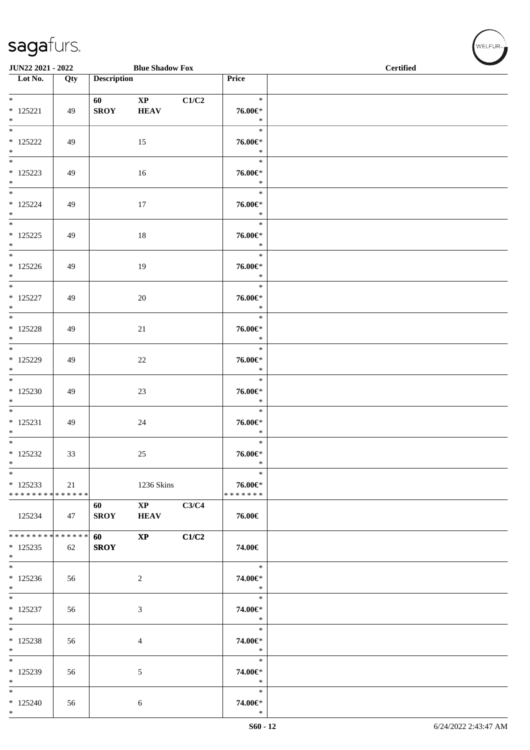| JUN22 2021 - 2022                                  |     |                          | <b>Blue Shadow Fox</b>                |       |                                    | <b>Certified</b> |  |
|----------------------------------------------------|-----|--------------------------|---------------------------------------|-------|------------------------------------|------------------|--|
| $\overline{\phantom{1}}$ Lot No.                   | Qty | <b>Description</b>       |                                       |       | <b>Price</b>                       |                  |  |
|                                                    |     |                          |                                       |       |                                    |                  |  |
| $* 125221$<br>$\ast$                               | 49  | 60 - 100<br><b>SROY</b>  | $\mathbf{XP}$<br><b>HEAV</b>          | C1/C2 | $\ast$<br>76.00€*<br>$\ast$        |                  |  |
| $\overline{\phantom{a}^*}$<br>$*$ 125222<br>$\ast$ | 49  |                          | 15                                    |       | $\ast$<br>76.00€*<br>$\ast$        |                  |  |
| $\overline{\phantom{0}}$<br>$* 125223$<br>$\ast$   | 49  |                          | 16                                    |       | $\ast$<br>76.00€*<br>$\ast$        |                  |  |
| $_{\ast}^{-}$<br>$* 125224$<br>$\ast$              | 49  |                          | 17                                    |       | $\ast$<br>76.00€*<br>$\ast$        |                  |  |
| $_{\ast}^{-}$<br>$* 125225$<br>$*$                 | 49  |                          | 18                                    |       | $\ast$<br>76.00€*<br>$\ast$        |                  |  |
| $*$<br>$*125226$<br>$\ast$                         | 49  |                          | 19                                    |       | $\ast$<br>76.00€*<br>$\ast$        |                  |  |
| $\ast$<br>$* 125227$<br>$\ast$                     | 49  |                          | $20\,$                                |       | $\ast$<br>76.00€*<br>$\ast$        |                  |  |
| $\overline{\phantom{a}^*}$<br>$* 125228$<br>$*$    | 49  |                          | 21                                    |       | $\ast$<br>76.00€*<br>$\ast$        |                  |  |
| $*$<br>$* 125229$<br>$\ast$                        | 49  |                          | 22                                    |       | $\ast$<br>76.00€*<br>$\ast$        |                  |  |
| $\overline{\phantom{a}^*}$<br>$*125230$<br>$\ast$  | 49  |                          | 23                                    |       | $\ast$<br>76.00€*<br>$\ast$        |                  |  |
| $\overline{\phantom{0}}$<br>$* 125231$<br>$\ast$   | 49  |                          | 24                                    |       | $\ast$<br>76.00€*<br>$\ast$        |                  |  |
| $\ast$<br>$*$ 125232<br>$\ast$                     | 33  |                          | 25                                    |       | $\ast$<br>76.00€*<br>$\ast$        |                  |  |
| $\ast$<br>$*125233$<br>* * * * * * * * * * * * * * | 21  |                          | 1236 Skins                            |       | $\ast$<br>76.00€*<br>* * * * * * * |                  |  |
| 125234                                             | 47  | 60<br><b>SROY</b>        | $\mathbf{X}\mathbf{P}$<br><b>HEAV</b> | C3/C4 | 76.00€                             |                  |  |
| * * * * * * * * * * * * * *<br>$*125235$<br>$\ast$ | 62  | <b>60</b><br><b>SROY</b> | $\mathbf{XP}$                         | C1/C2 | 74.00€                             |                  |  |
| $\ast$<br>$*125236$<br>$\ast$                      | 56  |                          | $\overline{c}$                        |       | $\ast$<br>74.00€*<br>$\ast$        |                  |  |
| $\overline{\phantom{0}}$<br>$* 125237$<br>$\ast$   | 56  |                          | $\mathfrak{Z}$                        |       | $\ast$<br>74.00€*<br>$\ast$        |                  |  |
| $*$<br>$* 125238$<br>$\ast$                        | 56  |                          | 4                                     |       | $\ast$<br>74.00€*<br>$\ast$        |                  |  |
| $\ast$<br>$*125239$<br>$\ast$                      | 56  |                          | $\sqrt{5}$                            |       | $\ast$<br>74.00€*<br>$\ast$        |                  |  |
| $_{\ast}^{-}$<br>$*125240$<br>$\ast$               | 56  |                          | 6                                     |       | $\ast$<br>74.00€*<br>$\ast$        |                  |  |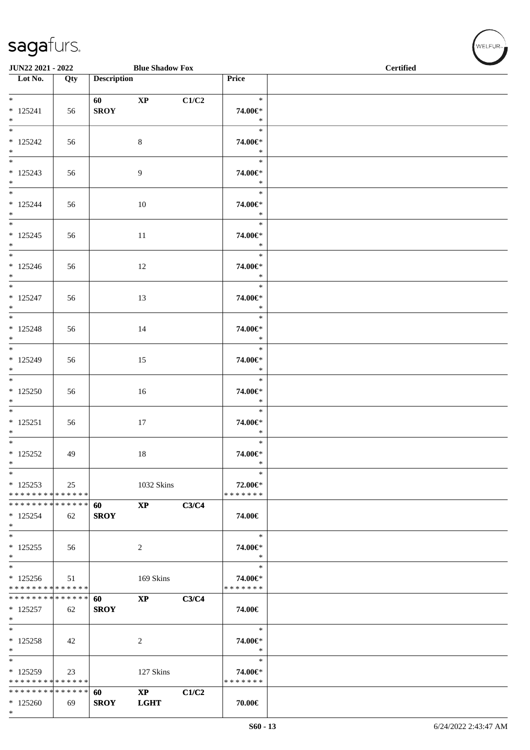| JUN22 2021 - 2022                                                              |     |                    | <b>Blue Shadow Fox</b>       |       |                                       | <b>Certified</b> |  |  |  |
|--------------------------------------------------------------------------------|-----|--------------------|------------------------------|-------|---------------------------------------|------------------|--|--|--|
| $\overline{\phantom{1}}$ Lot No.                                               | Qty | <b>Description</b> |                              |       | Price                                 |                  |  |  |  |
| $*$<br>$* 125241$<br>$\ast$                                                    | 56  | <b>SROY</b>        | $\mathbf{X}\mathbf{P}$       | C1/C2 | $\ast$<br>74.00€*<br>$\ast$           |                  |  |  |  |
| $\overline{\phantom{0}}$<br>$* 125242$<br>$*$<br>$\frac{1}{*}$                 | 56  |                    | 8                            |       | $\ast$<br>74.00€*<br>$\ast$           |                  |  |  |  |
| $* 125243$<br>$*$                                                              | 56  |                    | $\overline{9}$               |       | $\ast$<br>74.00€*<br>$\ast$           |                  |  |  |  |
| $*$<br>$* 125244$<br>$*$<br>$\ast$                                             | 56  |                    | 10                           |       | $\ast$<br>74.00€*<br>$\ast$<br>$\ast$ |                  |  |  |  |
| $* 125245$<br>$\ast$                                                           | 56  |                    | 11                           |       | 74.00€*<br>$\ast$                     |                  |  |  |  |
| $\overline{\phantom{0}}$<br>$*125246$<br>$*$                                   | 56  |                    | 12                           |       | $\ast$<br>74.00€*<br>$\ast$           |                  |  |  |  |
| $\overline{\phantom{0}}$<br>$* 125247$<br>$\ast$                               | 56  |                    | 13                           |       | $\ast$<br>74.00€*<br>$\ast$           |                  |  |  |  |
| $\overline{\phantom{a}^*}$<br>$* 125248$<br>$\ast$<br>$\overline{\phantom{0}}$ | 56  |                    | 14                           |       | $\ast$<br>74.00€*<br>$\ast$           |                  |  |  |  |
| $* 125249$<br>$\ast$                                                           | 56  |                    | 15                           |       | $\ast$<br>74.00€*<br>$\ast$           |                  |  |  |  |
| $\overline{\phantom{a}^*}$<br>$*125250$<br>$\ast$                              | 56  |                    | 16                           |       | $\ast$<br>74.00€*<br>$\ast$           |                  |  |  |  |
| $*$<br>$* 125251$<br>$\ast$                                                    | 56  |                    | 17                           |       | $\ast$<br>74.00€*<br>$\ast$           |                  |  |  |  |
| $\overline{\phantom{0}}$<br>$* 125252$<br>$\ast$                               | 49  |                    | 18                           |       | $\ast$<br>74.00€*<br>∗                |                  |  |  |  |
| $\ast$<br>$*125253$<br>* * * * * * * * * * * * * *                             | 25  |                    | 1032 Skins                   |       | $\ast$<br>72.00€*<br>* * * * * * *    |                  |  |  |  |
| * * * * * * * * * * * * * * *<br>$* 125254$<br>$\ast$                          | 62  | 60<br><b>SROY</b>  | $\mathbf{X}\mathbf{P}$       | C3/C4 | 74.00€                                |                  |  |  |  |
| $\overline{\phantom{0}}$<br>$* 125255$<br>$\ast$                               | 56  |                    | 2                            |       | $\ast$<br>74.00€*<br>$\ast$           |                  |  |  |  |
| $_{\ast}^{-}$<br>$*125256$<br>* * * * * * * * * * * * * *                      | 51  |                    | 169 Skins                    |       | $\ast$<br>74.00€*<br>* * * * * * *    |                  |  |  |  |
| * * * * * * * * * * * * * * *<br>$*125257$<br>$\ast$                           | 62  | 60<br><b>SROY</b>  | $\mathbf{XP}$                | C3/C4 | 74.00€                                |                  |  |  |  |
| $\ast$<br>$* 125258$<br>$\ast$                                                 | 42  |                    | 2                            |       | $\ast$<br>74.00€*<br>$\ast$           |                  |  |  |  |
| $\ast$<br>$*125259$<br>* * * * * * * * * * * * * *                             | 23  |                    | 127 Skins                    |       | $\ast$<br>74.00€*<br>* * * * * * *    |                  |  |  |  |
| * * * * * * * * * * * * * * *<br>$*125260$<br>$*$                              | 69  | 60<br><b>SROY</b>  | $\mathbf{XP}$<br><b>LGHT</b> | C1/C2 | 70.00€                                |                  |  |  |  |

WELFUR<sub><sup>N</sub></sub></sub></sup>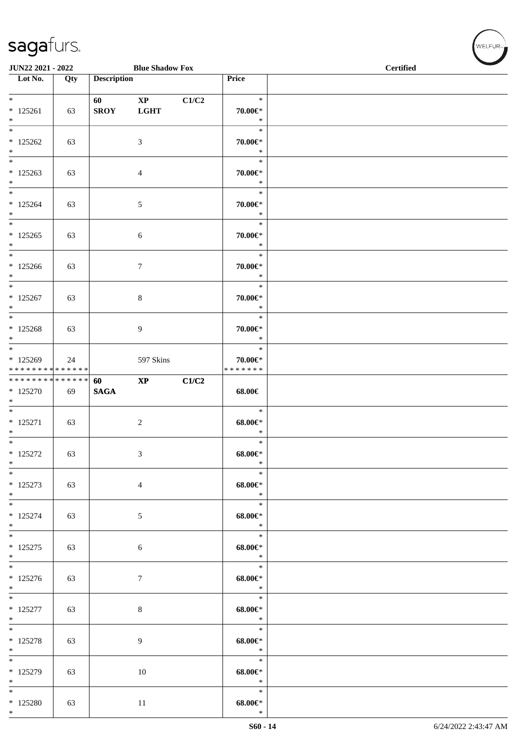| JUN22 2021 - 2022                                                        |     |                        | <b>Blue Shadow Fox</b>                |       |                                        | <b>Certified</b> |
|--------------------------------------------------------------------------|-----|------------------------|---------------------------------------|-------|----------------------------------------|------------------|
| $\overline{\phantom{1}}$ Lot No.                                         | Qty | <b>Description</b>     |                                       |       | Price                                  |                  |
| $*$<br>$* 125261$<br>$\ast$                                              | 63  | 60 — 10<br><b>SROY</b> | $\mathbf{X}\mathbf{P}$<br><b>LGHT</b> | C1/C2 | $\ast$<br>70.00€*<br>$\ast$            |                  |
| $\overline{\ast}$<br>$*125262$<br>$\ast$                                 | 63  |                        | 3                                     |       | $\ast$<br>70.00€*<br>$\ast$            |                  |
| $\ast$<br>$*125263$<br>$*$<br>$\overline{\phantom{0}}$                   | 63  |                        | $\overline{4}$                        |       | $\ast$<br>70.00€*<br>$\ast$            |                  |
| $* 125264$<br>$*$<br>$\overline{\phantom{0}}$                            | 63  |                        | $5\,$                                 |       | $\ast$<br>70.00€*<br>$\ast$<br>$\ast$  |                  |
| $* 125265$<br>$*$<br>$*$                                                 | 63  |                        | $\boldsymbol{6}$                      |       | $70.00 \in$ *<br>$\ast$<br>$\ast$      |                  |
| $*125266$<br>$*$<br>$*$                                                  | 63  |                        | $\tau$                                |       | 70.00€*<br>$\ast$<br>$\ast$            |                  |
| $* 125267$<br>$\ast$<br>$\overline{\ast}$                                | 63  |                        | $\,8\,$                               |       | 70.00€*<br>$\ast$<br>$\ast$            |                  |
| $* 125268$<br>$\ast$<br>$*$                                              | 63  |                        | 9                                     |       | $70.00 \in$ *<br>$\ast$<br>$\ast$      |                  |
| $*125269$<br>* * * * * * * * * * * * * *<br>******** <mark>******</mark> | 24  | 60                     | 597 Skins<br>$\mathbf{XP}$            | C1/C2 | $70.00 \in$ *<br>* * * * * * *         |                  |
| * 125270<br>$\ast$<br>$\overline{\phantom{0}}$                           | 69  | <b>SAGA</b>            |                                       |       | 68.00€<br>$\ast$                       |                  |
| $* 125271$<br>$\ast$<br>$*$                                              | 63  |                        | $\boldsymbol{2}$                      |       | $68.00 \in$<br>$\ast$<br>$\ast$        |                  |
| $* 125272$<br>$\ast$<br>$\ast$                                           | 63  |                        | $\mathfrak{Z}$                        |       | $68.00 \text{E}^*$<br>$\ast$<br>$\ast$ |                  |
| $* 125273$<br>$*$<br>$\overline{\phantom{0}}$                            | 63  |                        | $\overline{4}$                        |       | $68.00 \in$<br>$\ast$<br>$\ast$        |                  |
| $* 125274$<br>$*$<br>$*$                                                 | 63  |                        | 5                                     |       | $68.00 \in$<br>$\ast$<br>$\ast$        |                  |
| $* 125275$<br>$*$<br>$\overline{\phantom{0}}$                            | 63  |                        | $\sqrt{6}$                            |       | $68.00 \in$<br>$\ast$<br>$\ast$        |                  |
| $* 125276$<br>$*$<br>$\overline{\phantom{0}}$                            | 63  |                        | $\boldsymbol{7}$                      |       | $68.00 \in$<br>$*$<br>$\ast$           |                  |
| $* 125277$<br>$*$<br>$*$                                                 | 63  |                        | $\,8\,$                               |       | $68.00 \in$<br>$*$<br>$\ast$           |                  |
| $* 125278$<br>$*$<br>$\overline{\phantom{0}}$                            | 63  |                        | 9                                     |       | $68.00 \in$<br>$\ast$<br>$\ast$        |                  |
| $*125279$<br>$*$<br>$\overline{\phantom{1}}$                             | 63  |                        | 10                                    |       | $68.00 \in$<br>$\ast$<br>$\ast$        |                  |
| $*125280$<br>$*$                                                         | 63  |                        | $11\,$                                |       | $68.00 \text{E}^*$<br>$\ast$           |                  |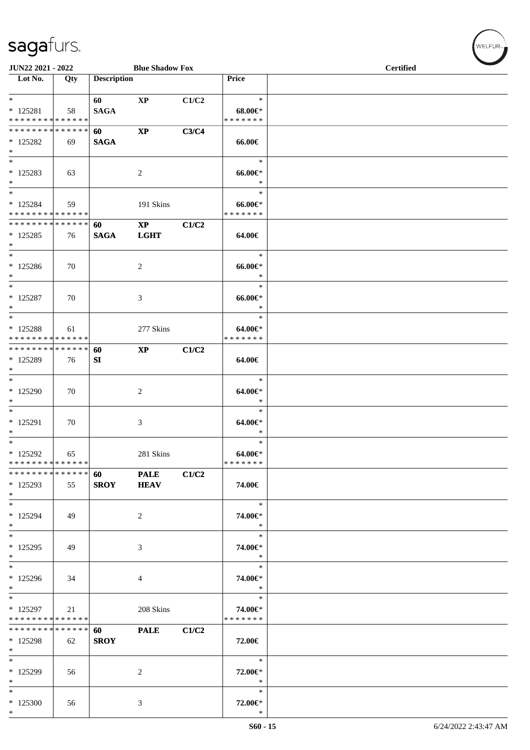| JUN22 2021 - 2022                                                          |     |                    | <b>Blue Shadow Fox</b>                |       | <b>Certified</b>                       |  |  |
|----------------------------------------------------------------------------|-----|--------------------|---------------------------------------|-------|----------------------------------------|--|--|
| Lot No.                                                                    | Qty | <b>Description</b> |                                       |       | Price                                  |  |  |
| $*$<br>$* 125281$<br>* * * * * * * * * * * * * *                           | 58  | 60<br><b>SAGA</b>  | $\mathbf{X}\mathbf{P}$                | C1/C2 | $\ast$<br>$68.00 \in$<br>* * * * * * * |  |  |
| * * * * * * * * * * * * * *<br>$*125282$<br>$*$                            | 69  | 60<br><b>SAGA</b>  | $\mathbf{X} \mathbf{P}$               | C3/C4 | 66.00€                                 |  |  |
| $*$<br>$* 125283$<br>$*$                                                   | 63  |                    | $\overline{2}$                        |       | $\ast$<br>$66.00 \in$<br>$\ast$        |  |  |
| $*$<br>$*125284$<br>* * * * * * * * * * * * * *                            | 59  |                    | 191 Skins                             |       | $\ast$<br>$66.00 \in$<br>* * * * * * * |  |  |
| * * * * * * * * * * * * * * *<br>$*125285$<br>$\ast$                       | 76  | 60<br><b>SAGA</b>  | $\mathbf{X}\mathbf{P}$<br><b>LGHT</b> | C1/C2 | 64.00€                                 |  |  |
| $\ast$<br>$* 125286$<br>$*$                                                | 70  |                    | 2                                     |       | $\ast$<br>$66.00 \in$<br>$\ast$        |  |  |
| $\ast$<br>$* 125287$<br>$*$                                                | 70  |                    | 3                                     |       | $\ast$<br>$66.00 \text{E}$<br>$\ast$   |  |  |
| $\ast$<br>$* 125288$<br>* * * * * * * * * * * * * *                        | 61  |                    | 277 Skins                             |       | $\ast$<br>64.00€*<br>* * * * * * *     |  |  |
| ******** <mark>******</mark><br>* 125289<br>$*$                            | 76  | 60<br>SI           | <b>XP</b>                             | C1/C2 | 64.00€                                 |  |  |
| $*$<br>* 125290<br>$*$                                                     | 70  |                    | 2                                     |       | $\ast$<br>64.00€*<br>$\ast$            |  |  |
| $*$<br>$* 125291$<br>$*$                                                   | 70  |                    | 3                                     |       | $\ast$<br>64.00€*<br>$\ast$            |  |  |
| $*$<br>$*125292$<br>* * * * * * * * * * * * * *                            | 65  |                    | 281 Skins                             |       | $\ast$<br>$64.00 \in$<br>* * * * * * * |  |  |
| * * * * * * * * * * * * * *<br>* 125293<br>$*$<br>$\overline{\phantom{0}}$ | 55  | 60<br><b>SROY</b>  | <b>PALE</b><br><b>HEAV</b>            | C1/C2 | 74.00€                                 |  |  |
| * 125294<br>$*$                                                            | 49  |                    | $\boldsymbol{2}$                      |       | $\ast$<br>74.00€*<br>$\ast$            |  |  |
| $*$<br>$* 125295$<br>$*$                                                   | 49  |                    | 3                                     |       | $\ast$<br>74.00€*<br>$\ast$            |  |  |
| $*$<br>$*125296$<br>$*$                                                    | 34  |                    | 4                                     |       | $\ast$<br>74.00€*<br>$\ast$            |  |  |
| $*$<br>$*125297$<br>* * * * * * * * * * * * * *                            | 21  |                    | 208 Skins                             |       | $\ast$<br>74.00€*<br>* * * * * * *     |  |  |
| * * * * * * * * * * * * * * *<br>$*125298$<br>$*$                          | 62  | 60<br><b>SROY</b>  | <b>PALE</b>                           | C1/C2 | 72.00€                                 |  |  |
| $*$<br>* 125299<br>$*$                                                     | 56  |                    | 2                                     |       | $\ast$<br>72.00€*<br>$\ast$            |  |  |
| $\ast$<br>* 125300<br>$*$                                                  | 56  |                    | 3                                     |       | $\ast$<br>72.00€*<br>$\ast$            |  |  |

 $(\forall ELFUR_{\text{max}})$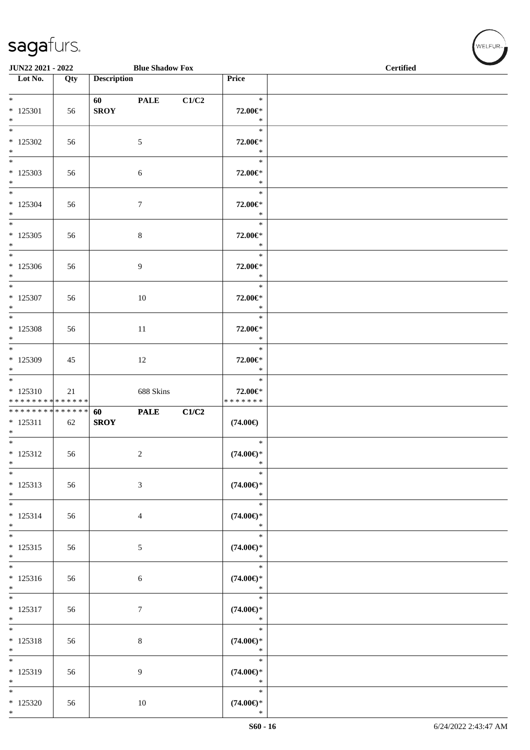| JUN22 2021 - 2022                                                     |     |                        | <b>Blue Shadow Fox</b> |       | $\sim$<br><b>Certified</b>              |  |
|-----------------------------------------------------------------------|-----|------------------------|------------------------|-------|-----------------------------------------|--|
| $\overline{\phantom{1}}$ Lot No.                                      | Qty | <b>Description</b>     |                        |       | Price                                   |  |
| $*$<br>$*125301$<br>$\ast$                                            | 56  | 60 — 10<br><b>SROY</b> | <b>PALE</b>            | C1/C2 | $\ast$<br>72.00€*<br>$\ast$             |  |
| $\overline{\ast}$<br>$*125302$<br>$*$<br>$\overline{\phantom{0}}$     | 56  |                        | $5\phantom{.0}$        |       | $\ast$<br>72.00€*<br>$\ast$             |  |
| $*125303$<br>$*$<br>$*$                                               | 56  |                        | 6                      |       | $\ast$<br>72.00€*<br>$\ast$             |  |
| $*125304$<br>$*$<br>$*$                                               | 56  |                        | $\tau$                 |       | $\ast$<br>72.00€*<br>$\ast$<br>$\ast$   |  |
| $*$ 125305<br>$*$<br>$\overline{\phantom{0}}$                         | 56  |                        | $\,8\,$                |       | 72.00€*<br>$\ast$                       |  |
| $*125306$<br>$\ast$                                                   | 56  |                        | $\boldsymbol{9}$       |       | $\ast$<br>72.00€*<br>$\ast$             |  |
| $\overline{\ }$<br>* 125307<br>$\ast$                                 | 56  |                        | $10\,$                 |       | $\ast$<br>72.00€*<br>$\ast$             |  |
| $\overline{\ast}$<br>$* 125308$<br>$\ast$                             | 56  |                        | 11                     |       | $\ast$<br>72.00€*<br>$\ast$             |  |
| $*125309$<br>$*$                                                      | 45  |                        | 12                     |       | $\ast$<br>72.00€*<br>$\ast$             |  |
| $\overline{\phantom{0}}$<br>$* 125310$<br>* * * * * * * * * * * * * * | 21  |                        | 688 Skins              |       | $\ast$<br>72.00€*<br>* * * * * * *      |  |
| * * * * * * * * * * * * * *<br>$* 125311$<br>$*$                      | 62  | 60<br><b>SROY</b>      | <b>PALE</b>            | C1/C2 | $(74.00\epsilon)$                       |  |
| $\overline{\phantom{0}}$<br>$* 125312$<br>$\ast$                      | 56  |                        | $\overline{c}$         |       | $\ast$<br>$(74.00\epsilon)$ *<br>$\ast$ |  |
| $\overline{\phantom{0}}$<br>$* 125313$<br>$*$                         | 56  |                        | $\mathfrak{Z}$         |       | $\ast$<br>$(74.00\epsilon)$ *<br>$\ast$ |  |
| $\ast$<br>$* 125314$<br>$\ast$                                        | 56  |                        | 4                      |       | $\ast$<br>$(74.00\epsilon)$ *<br>$\ast$ |  |
| $\overline{\phantom{0}}$<br>$* 125315$<br>$*$                         | 56  |                        | $\mathfrak{S}$         |       | $\ast$<br>$(74.00\epsilon)$ *<br>$\ast$ |  |
| $\overline{\phantom{0}}$<br>$* 125316$<br>$*$                         | 56  |                        | $\sqrt{6}$             |       | $\ast$<br>$(74.00\epsilon)$ *<br>$\ast$ |  |
| $*$<br>$* 125317$<br>$*$                                              | 56  |                        | $\boldsymbol{7}$       |       | $\ast$<br>$(74.00\epsilon)$ *<br>$\ast$ |  |
| $*$<br>$* 125318$<br>$\ast$                                           | 56  |                        | $8\,$                  |       | $\ast$<br>$(74.00\epsilon)$ *<br>$\ast$ |  |
| $\overline{\phantom{0}}$<br>$* 125319$<br>$*$                         | 56  |                        | 9                      |       | $\ast$<br>$(74.00\epsilon)$ *<br>$\ast$ |  |
| $*$<br>$*125320$<br>$*$                                               | 56  |                        | 10                     |       | $\ast$<br>$(74.00\epsilon)$ *<br>$\ast$ |  |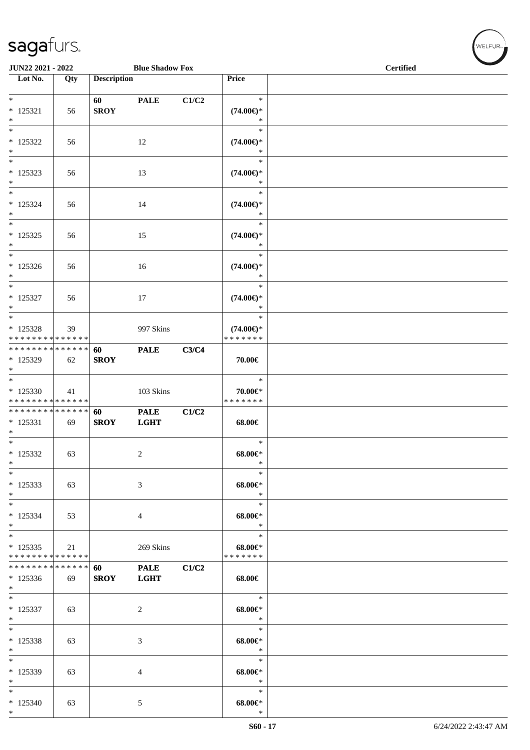| JUN22 2021 - 2022                                                        |     |                    | <b>Blue Shadow Fox</b>     |       |                                                   | <b>Certified</b> |
|--------------------------------------------------------------------------|-----|--------------------|----------------------------|-------|---------------------------------------------------|------------------|
| Lot No.                                                                  | Qty | <b>Description</b> |                            |       | Price                                             |                  |
| $*$<br>$* 125321$<br>$\ast$                                              | 56  | 60<br><b>SROY</b>  | <b>PALE</b>                | C1/C2 | $\ast$<br>$(74.00\epsilon)$ *<br>$\ast$           |                  |
| $\ast$<br>$* 125322$<br>$\ast$                                           | 56  |                    | 12                         |       | $\ast$<br>$(74.00\epsilon)$ *<br>$\ast$           |                  |
| $\overline{\ast}$<br>$*125323$<br>$\ast$                                 | 56  |                    | 13                         |       | $\ast$<br>$(74.00\epsilon)$ *<br>$\ast$           |                  |
| $\ast$<br>$* 125324$<br>$\ast$<br>$\overline{\phantom{0}}$               | 56  |                    | 14                         |       | $\ast$<br>$(74.00\epsilon)$ *<br>$\ast$           |                  |
| $* 125325$<br>$*$<br>$\overline{\phantom{0}}$                            | 56  |                    | 15                         |       | $\ast$<br>$(74.00\epsilon)$ *<br>$\ast$<br>$\ast$ |                  |
| $* 125326$<br>$*$<br>$\ast$                                              | 56  |                    | 16                         |       | $(74.00\epsilon)$ *<br>$\ast$<br>$\ast$           |                  |
| $* 125327$<br>$*$<br>$*$                                                 | 56  |                    | 17                         |       | $(74.00\epsilon)$ *<br>$\ast$<br>$\ast$           |                  |
| $* 125328$<br>* * * * * * * * * * * * * *<br>* * * * * * * * * * * * * * | 39  | 60                 | 997 Skins<br><b>PALE</b>   | C3/C4 | $(74.00\epsilon)$ *<br>* * * * * * *              |                  |
| * 125329<br>$\ast$<br>$\overline{\phantom{0}}$                           | 62  | <b>SROY</b>        |                            |       | 70.00€<br>$\ast$                                  |                  |
| $*125330$<br>* * * * * * * * * * * * * *                                 | 41  |                    | 103 Skins                  |       | 70.00€*<br>* * * * * * *                          |                  |
| * * * * * * * * * * * * * *<br>$* 125331$<br>$\ast$<br>$\overline{\ast}$ | 69  | 60<br><b>SROY</b>  | <b>PALE</b><br><b>LGHT</b> | C1/C2 | 68.00€                                            |                  |
| $*125332$<br>$\ast$                                                      | 63  |                    | $\boldsymbol{2}$           |       | $\ast$<br>$68.00 \in$<br>$\ast$                   |                  |
| $\ast$<br>$* 125333$<br>$*$                                              | 63  |                    | 3                          |       | $\ast$<br>$68.00 \in$<br>$\ast$                   |                  |
| $*$<br>$* 125334$<br>$*$                                                 | 53  |                    | $\overline{4}$             |       | $\ast$<br>$68.00 \in$<br>$\ast$                   |                  |
| $*$<br>$*125335$<br>* * * * * * * * * * * * * *                          | 21  |                    | 269 Skins                  |       | $\ast$<br>$68.00 \in$<br>* * * * * * *            |                  |
| * * * * * * * * * * * * * *<br>$*125336$<br>$*$                          | 69  | 60<br><b>SROY</b>  | <b>PALE</b><br><b>LGHT</b> | C1/C2 | 68.00€                                            |                  |
| $*$<br>$* 125337$<br>$*$<br>$\overline{\ast}$                            | 63  |                    | 2                          |       | $\ast$<br>$68.00 \in$<br>$\ast$                   |                  |
| $* 125338$<br>$\ast$                                                     | 63  |                    | $\mathfrak{Z}$             |       | $\ast$<br>$68.00 \in$<br>$\ast$                   |                  |
| $\ast$<br>* 125339<br>$*$                                                | 63  |                    | 4                          |       | $\ast$<br>$68.00 \in$<br>$\ast$                   |                  |
| $\ast$<br>$*125340$<br>$*$                                               | 63  |                    | 5                          |       | $\ast$<br>$68.00 \in$<br>$\ast$                   |                  |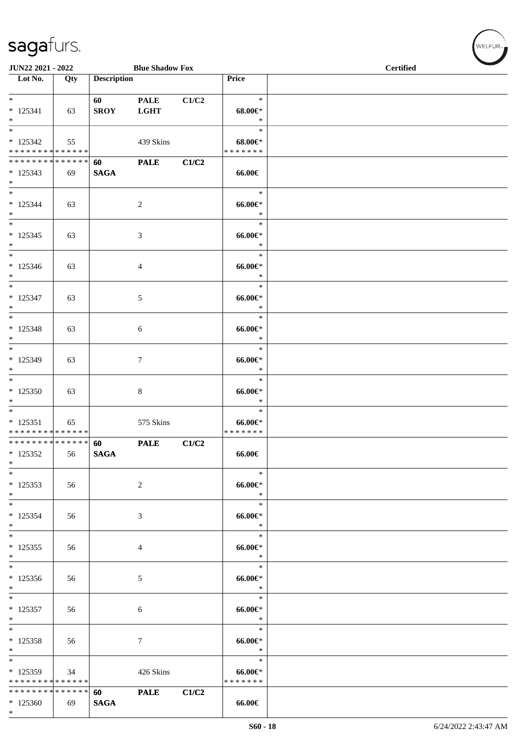| JUN22 2021 - 2022                                                          |     |                    | <b>Blue Shadow Fox</b>     |       |                                           | <b>Certified</b> |  |  |
|----------------------------------------------------------------------------|-----|--------------------|----------------------------|-------|-------------------------------------------|------------------|--|--|
| Lot No.                                                                    | Qty | <b>Description</b> |                            |       | Price                                     |                  |  |  |
| $*$<br>$* 125341$<br>$*$                                                   | 63  | 60<br><b>SROY</b>  | <b>PALE</b><br><b>LGHT</b> | C1/C2 | $\ast$<br>$68.00 \in$<br>$\ast$           |                  |  |  |
| $\ast$<br>$* 125342$<br>* * * * * * * * * * * * * *                        | 55  |                    | 439 Skins                  |       | $\ast$<br>$68.00 \in$<br>* * * * * * *    |                  |  |  |
| * * * * * * * * * * * * * *<br>$*125343$<br>$*$                            | 69  | 60<br><b>SAGA</b>  | <b>PALE</b>                | C1/C2 | 66.00€                                    |                  |  |  |
| $\overline{\ast}$<br>$* 125344$<br>$*$                                     | 63  |                    | 2                          |       | $\ast$<br>$66.00 \in$<br>$\ast$           |                  |  |  |
| $* 125345$<br>$*$<br>$*$                                                   | 63  |                    | 3                          |       | $\ast$<br>$66.00 \in$<br>$\ast$<br>$\ast$ |                  |  |  |
| $* 125346$<br>$*$<br>$\overline{\phantom{0}}$                              | 63  |                    | 4                          |       | $66.00 \in$<br>$\ast$<br>$\ast$           |                  |  |  |
| * 125347<br>$*$<br>$\ast$                                                  | 63  |                    | 5                          |       | $66.00 \in$<br>$\ast$<br>$\ast$           |                  |  |  |
| $* 125348$<br>$*$<br>$*$                                                   | 63  |                    | 6                          |       | $66.00 \in$<br>$\ast$<br>$\ast$           |                  |  |  |
| * 125349<br>$*$<br>$\overline{\ast}$                                       | 63  |                    | $\tau$                     |       | $66.00 \text{E}$<br>$\ast$<br>$\ast$      |                  |  |  |
| $*125350$<br>$\ast$<br>$\ast$                                              | 63  |                    | 8                          |       | $66.00 \text{E}$<br>$\ast$<br>$\ast$      |                  |  |  |
| $* 125351$<br>* * * * * * * * * * * * * *<br>* * * * * * * * * * * * * * * | 65  | 60                 | 575 Skins<br><b>PALE</b>   | C1/C2 | $66.00 \text{E}$<br>* * * * * * *         |                  |  |  |
| $*125352$<br>$\ast$<br>$\ast$                                              | 56  | <b>SAGA</b>        |                            |       | 66.00€<br>$\ast$                          |                  |  |  |
| $*125353$<br>$*$<br>$\ast$                                                 | 56  |                    | $\overline{c}$             |       | $66.00 \in$<br>$\ast$<br>$\ast$           |                  |  |  |
| $* 125354$<br>$*$<br>$*$                                                   | 56  |                    | 3                          |       | $66.00 \in$<br>$\ast$<br>$\ast$           |                  |  |  |
| $* 125355$<br>$*$<br>$*$                                                   | 56  |                    | 4                          |       | $66.00 \in$<br>$\ast$<br>$\ast$           |                  |  |  |
| $*125356$<br>$*$<br>$*$                                                    | 56  |                    | 5                          |       | $66.00 \in$<br>$\ast$<br>$\ast$           |                  |  |  |
| $* 125357$<br>$*$                                                          | 56  |                    | 6                          |       | $66.00 \in$<br>$\ast$                     |                  |  |  |
| $*$<br>$* 125358$<br>$*$<br>$\overline{\phantom{0}}$                       | 56  |                    | $\tau$                     |       | $\ast$<br>$66.00 \in$<br>$\ast$           |                  |  |  |
| $*125359$<br>* * * * * * * * * * * * * *                                   | 34  |                    | 426 Skins                  |       | $\ast$<br>$66.00 \in$<br>* * * * * * *    |                  |  |  |
| * * * * * * * * * * * * * * *<br>$*125360$<br>$*$                          | 69  | 60<br><b>SAGA</b>  | <b>PALE</b>                | C1/C2 | 66.00€                                    |                  |  |  |

 $(w$ ELFUR-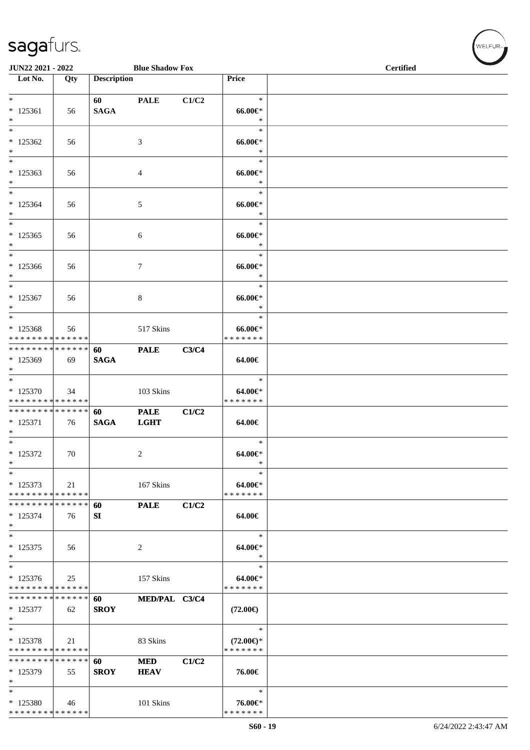| JUN22 2021 - 2022                          |     |                    | <b>Blue Shadow Fox</b> |       |                              | <b>Certified</b> |
|--------------------------------------------|-----|--------------------|------------------------|-------|------------------------------|------------------|
| Lot No.                                    | Qty | <b>Description</b> |                        |       | Price                        |                  |
|                                            |     |                    |                        |       |                              |                  |
| $\ast$                                     |     | 60                 | <b>PALE</b>            | C1/C2 | $\ast$                       |                  |
| $*125361$                                  | 56  | <b>SAGA</b>        |                        |       | $66.00 \text{e}$             |                  |
| $\ast$                                     |     |                    |                        |       | $\ast$                       |                  |
| $\ast$                                     |     |                    |                        |       | $\ast$                       |                  |
| $*125362$                                  | 56  |                    | 3                      |       | $66.00 \text{E}$             |                  |
| $\ast$<br>$\overline{\ast}$                |     |                    |                        |       | $\ast$<br>$\ast$             |                  |
|                                            |     |                    |                        |       |                              |                  |
| $*125363$<br>$\ast$                        | 56  |                    | 4                      |       | $66.00 \in$<br>$\ast$        |                  |
| $\ast$                                     |     |                    |                        |       | $\ast$                       |                  |
| $*125364$                                  | 56  |                    | $\mathfrak{S}$         |       | $66.00 \text{E}$             |                  |
| $\ast$                                     |     |                    |                        |       | $\ast$                       |                  |
| $\ast$                                     |     |                    |                        |       | $\ast$                       |                  |
| $*125365$                                  | 56  |                    | $\sqrt{6}$             |       | $66.00 \in$                  |                  |
| $\ast$                                     |     |                    |                        |       | $\ast$                       |                  |
| $\ast$                                     |     |                    |                        |       | $\ast$                       |                  |
| $*125366$                                  | 56  |                    | $\tau$                 |       | $66.00 \in$                  |                  |
| $\ast$                                     |     |                    |                        |       | $\ast$                       |                  |
| $\ast$                                     |     |                    |                        |       | $\ast$                       |                  |
| $* 125367$                                 | 56  |                    | 8                      |       | $66.00 \in$                  |                  |
| $\ast$<br>$*$                              |     |                    |                        |       | $\ast$<br>$\ast$             |                  |
| $*125368$                                  |     |                    |                        |       | $66.00 \in$                  |                  |
| * * * * * * * * * * * * * *                | 56  |                    | 517 Skins              |       | * * * * * * *                |                  |
| * * * * * * * * * * * * * *                |     | 60                 | <b>PALE</b>            | C3/C4 |                              |                  |
| * 125369                                   | 69  | <b>SAGA</b>        |                        |       | 64.00€                       |                  |
| $\ast$                                     |     |                    |                        |       |                              |                  |
| $\overline{\ast}$                          |     |                    |                        |       | $\ast$                       |                  |
| $*125370$                                  | 34  |                    | 103 Skins              |       | $64.00 \text{eV}$            |                  |
| * * * * * * * * * * * * * *                |     |                    |                        |       | * * * * * * *                |                  |
| * * * * * * * * * * * * * *                |     | 60                 | <b>PALE</b>            | C1/C2 |                              |                  |
| $* 125371$                                 | 76  | <b>SAGA</b>        | <b>LGHT</b>            |       | 64.00€                       |                  |
| $\ast$<br>$\overline{\ast}$                |     |                    |                        |       |                              |                  |
|                                            |     |                    |                        |       | $\ast$                       |                  |
| $* 125372$<br>$\ast$                       | 70  |                    | $\overline{c}$         |       | $64.00 \in$<br>$\ast$        |                  |
| $\ast$                                     |     |                    |                        |       | $\ast$                       |                  |
| $* 125373$                                 | 21  |                    | 167 Skins              |       | 64.00€*                      |                  |
| * * * * * * * * <mark>* * * * * * *</mark> |     |                    |                        |       | * * * * * * *                |                  |
| * * * * * * * * * * * * * *                |     | 60                 | <b>PALE</b>            | C1/C2 |                              |                  |
| $* 125374$                                 | 76  | SI                 |                        |       | 64.00€                       |                  |
| $\ast$                                     |     |                    |                        |       |                              |                  |
| $\ast$                                     |     |                    |                        |       | $\ast$                       |                  |
| $* 125375$                                 | 56  |                    | 2                      |       | 64.00€*                      |                  |
| $\ast$<br>$\overline{\phantom{1}}$         |     |                    |                        |       | $\ast$                       |                  |
|                                            |     |                    |                        |       | $\ast$                       |                  |
| $*125376$<br>* * * * * * * * * * * * * *   | 25  |                    | 157 Skins              |       | $64.00 \in$<br>* * * * * * * |                  |
| * * * * * * * * * * * * * *                |     | 60                 | MED/PAL C3/C4          |       |                              |                  |
| $* 125377$                                 | 62  | <b>SROY</b>        |                        |       | $(72.00\epsilon)$            |                  |
| $\ast$                                     |     |                    |                        |       |                              |                  |
| $\ast$                                     |     |                    |                        |       | $\ast$                       |                  |
| $* 125378$                                 | 21  |                    | 83 Skins               |       | $(72.00\epsilon)$ *          |                  |
| * * * * * * * * * * * * * *                |     |                    |                        |       | * * * * * * *                |                  |
| * * * * * * * * * * * * * *                |     | 60                 | <b>MED</b>             | C1/C2 |                              |                  |
| $*125379$                                  | 55  | <b>SROY</b>        | <b>HEAV</b>            |       | 76.00€                       |                  |
| $\ast$                                     |     |                    |                        |       |                              |                  |
| $\ast$                                     |     |                    |                        |       | $\ast$                       |                  |
| * 125380                                   | 46  |                    | 101 Skins              |       | 76.00€*<br>* * * * * * *     |                  |
| * * * * * * * * * * * * * *                |     |                    |                        |       |                              |                  |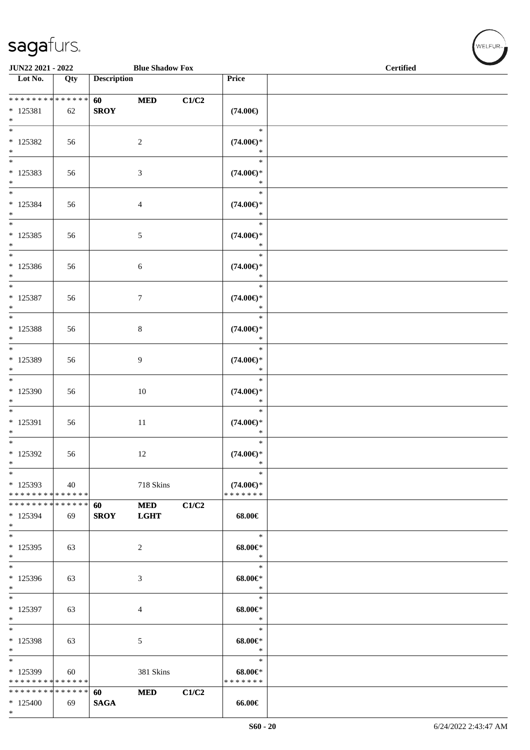\*

| JUN22 2021 - 2022<br><b>Blue Shadow Fox</b>      |     |                    |                           |       |                                                | <b>Certified</b> |  |  |
|--------------------------------------------------|-----|--------------------|---------------------------|-------|------------------------------------------------|------------------|--|--|
| Lot No.                                          | Qty | <b>Description</b> |                           |       | Price                                          |                  |  |  |
| * * * * * * * * * * * * * *<br>$*$ 125381<br>$*$ | 62  | 60<br><b>SROY</b>  | <b>MED</b>                | C1/C2 | $(74.00\epsilon)$                              |                  |  |  |
| $\ast$<br>$*$ 125382<br>$\ast$                   | 56  |                    | $\overline{2}$            |       | $\ast$<br>$(74.00\epsilon)$ *<br>$\ast$        |                  |  |  |
| $*$<br>* 125383<br>$*$                           | 56  |                    | 3                         |       | $\ast$<br>$(74.00\epsilon)$ *<br>$\ast$        |                  |  |  |
| $*$<br>$* 125384$<br>$*$                         | 56  |                    | $\overline{4}$            |       | $\ast$<br>$(74.00\epsilon)$ *<br>$\ast$        |                  |  |  |
| $*$<br>$* 125385$<br>$*$                         | 56  |                    | $5\,$                     |       | $\ast$<br>$(74.00\epsilon)$ *<br>$\ast$        |                  |  |  |
| $*$<br>$*125386$<br>$*$                          | 56  |                    | 6                         |       | $\ast$<br>$(74.00\epsilon)$ *<br>$\ast$        |                  |  |  |
| $\overline{\ast}$<br>$* 125387$<br>$\ast$        | 56  |                    | $\tau$                    |       | $\ast$<br>$(74.00\epsilon)$ *<br>$\ast$        |                  |  |  |
| $* 125388$<br>$\ast$                             | 56  |                    | 8                         |       | $\ast$<br>$(74.00\epsilon)$ *<br>$\ast$        |                  |  |  |
| $\overline{\phantom{0}}$<br>* 125389<br>$\ast$   | 56  |                    | 9                         |       | $\ast$<br>$(74.00\epsilon)$ *                  |                  |  |  |
| $*$<br>$*125390$<br>$\ast$                       | 56  |                    | $10\,$                    |       | $\ast$<br>$(74.00\epsilon)$ *<br>$\ast$        |                  |  |  |
| $*$<br>$* 125391$<br>$\ast$                      | 56  |                    | $11\,$                    |       | $\ast$<br>$(74.00\epsilon)$ *<br>$\ast$        |                  |  |  |
| $\overline{\ast}$<br>$*$ 125392<br>$\ast$        | 56  |                    | 12                        |       | $\ast$<br>$(74.00\epsilon)$ *<br>$\ast$        |                  |  |  |
| $*$<br>* 125393<br>* * * * * * * * * * * * * *   | 40  |                    | 718 Skins                 |       | $\ast$<br>$(74.00\epsilon)$ *<br>* * * * * * * |                  |  |  |
| * * * * * * * * * * * * * * *<br>* 125394<br>$*$ | 69  | 60<br><b>SROY</b>  | <b>MED</b><br><b>LGHT</b> | C1/C2 | 68.00€                                         |                  |  |  |
| $*$<br>$*125395$<br>$*$                          | 63  |                    | 2                         |       | $\ast$<br>$68.00 \in$<br>$\ast$                |                  |  |  |
| $\overline{\ast}$<br>* 125396<br>$*$             | 63  |                    | 3                         |       | $\ast$<br>$68.00 \in$<br>$\ast$                |                  |  |  |
| $*$<br>* 125397<br>$*$                           | 63  |                    | 4                         |       | $\ast$<br>$68.00 \in$<br>$\ast$                |                  |  |  |
| $*$<br>$*125398$<br>$*$                          | 63  |                    | 5                         |       | $\ast$<br>$68.00 \in$<br>$\ast$                |                  |  |  |
| $*$<br>* 125399<br>* * * * * * * * * * * * * *   | 60  |                    | 381 Skins                 |       | $\ast$<br>$68.00 \in$<br>* * * * * * *         |                  |  |  |
| * * * * * * * * * * * * * * *<br>$*125400$       | 69  | 60<br><b>SAGA</b>  | <b>MED</b>                | C1/C2 | 66.00€                                         |                  |  |  |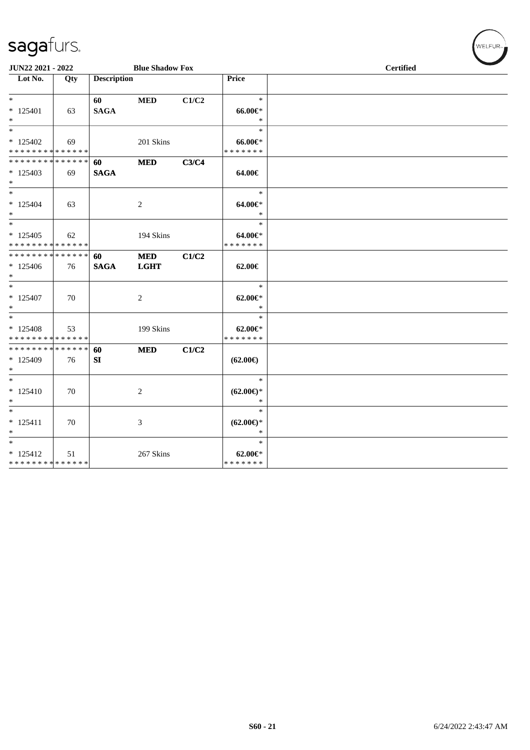| JUN22 2021 - 2022                                              |     |                    | <b>Blue Shadow Fox</b>    |       |                                             | <b>Certified</b> |
|----------------------------------------------------------------|-----|--------------------|---------------------------|-------|---------------------------------------------|------------------|
| $\overline{\phantom{1}}$ Lot No.                               | Qty | <b>Description</b> |                           |       | Price                                       |                  |
| $*$<br>$* 125401$<br>$*$                                       | 63  | 60<br><b>SAGA</b>  | <b>MED</b>                | C1/C2 | $\ast$<br>66.00€*<br>$\ast$                 |                  |
| $*$<br>$*125402$<br>* * * * * * * * * * * * * *                | 69  |                    | 201 Skins                 |       | $\ast$<br>$66.00 \text{e}$<br>* * * * * * * |                  |
| * * * * * * * * * * * * * *<br>$*125403$<br>$*$                | 69  | 60<br><b>SAGA</b>  | <b>MED</b>                | C3/C4 | 64.00€                                      |                  |
| $*$<br>$* 125404$<br>$*$                                       | 63  |                    | 2                         |       | $\ast$<br>64.00€*<br>$\ast$                 |                  |
| $*$<br>$*125405$<br>* * * * * * * * * * * * * *                | 62  |                    | 194 Skins                 |       | $\ast$<br>64.00€*<br>* * * * * * *          |                  |
| * * * * * * * * <mark>* * * * * * *</mark><br>$*125406$<br>$*$ | 76  | 60<br><b>SAGA</b>  | <b>MED</b><br><b>LGHT</b> | C1/C2 | 62.00€                                      |                  |
| $*$<br>$* 125407$<br>$*$                                       | 70  |                    | 2                         |       | $\ast$<br>$62.00 \in$<br>$\ast$             |                  |
| $*$<br>$*125408$<br>* * * * * * * * * * * * * *                | 53  |                    | 199 Skins                 |       | $\ast$<br>$62.00 \in$ *<br>* * * * * * *    |                  |
| * * * * * * * * * * * * * * *<br>* 125409<br>$*$               | 76  | 60<br>SI           | <b>MED</b>                | C1/C2 | $(62.00\epsilon)$                           |                  |
| $*$<br>$* 125410$<br>$*$                                       | 70  |                    | 2                         |       | $\ast$<br>$(62.00\epsilon)$ *<br>$\ast$     |                  |
| $*$<br>$* 125411$<br>$*$                                       | 70  |                    | 3                         |       | $\ast$<br>$(62.00\epsilon)$ *<br>$\ast$     |                  |
| $*$<br>$* 125412$<br>* * * * * * * * * * * * * *               | 51  |                    | 267 Skins                 |       | $\ast$<br>$62.00 \in$<br>* * * * * * *      |                  |

WELFUR<sub><sup>N</sup></sub>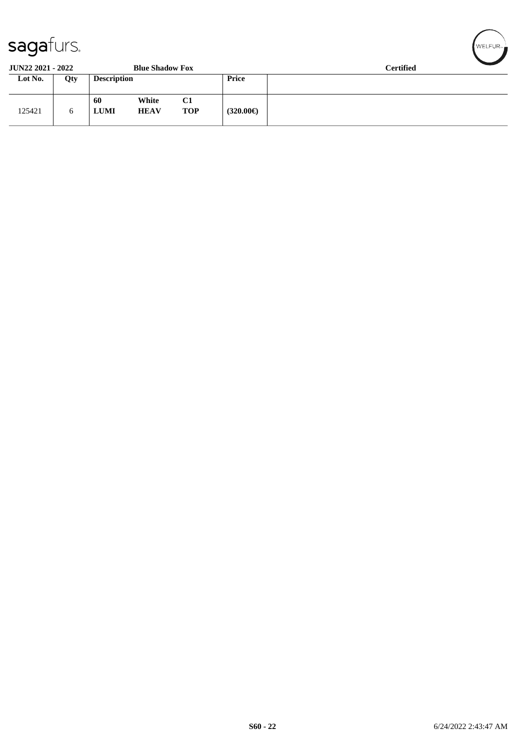| ~                        |     |                    |                        |                  |          |                  |
|--------------------------|-----|--------------------|------------------------|------------------|----------|------------------|
| <b>JUN22 2021 - 2022</b> |     |                    | <b>Blue Shadow Fox</b> |                  |          | <b>Certified</b> |
| Lot No.                  | Qty | <b>Description</b> |                        |                  | Price    |                  |
| 125421                   | 6   | -60<br><b>LUMI</b> | White<br><b>HEAV</b>   | C1<br><b>TOP</b> | (320.00) |                  |

WELFUR-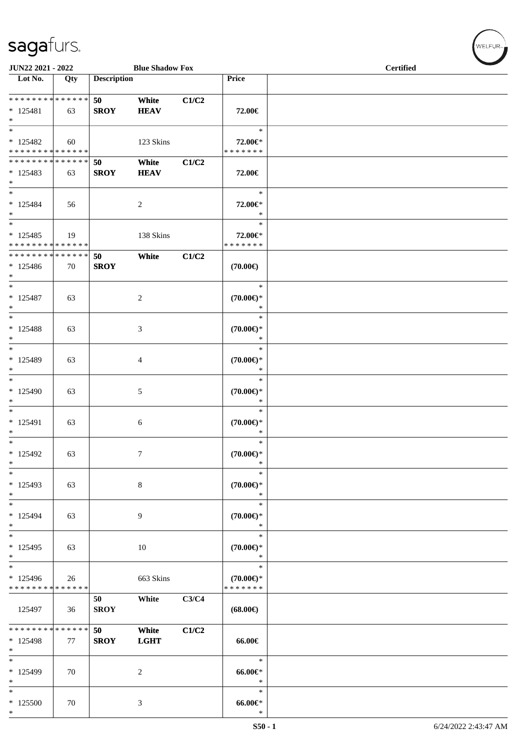\*

| JUN22 2021 - 2022<br><b>Blue Shadow Fox</b>          |     |                    |                      |       |                                                | <b>Certified</b> |
|------------------------------------------------------|-----|--------------------|----------------------|-------|------------------------------------------------|------------------|
| Lot No.                                              | Qty | <b>Description</b> |                      |       | Price                                          |                  |
| ******** <mark>******</mark><br>$* 125481$<br>$\ast$ | 63  | 50<br><b>SROY</b>  | White<br><b>HEAV</b> | C1/C2 | 72.00€                                         |                  |
| $\ast$<br>$* 125482$<br>* * * * * * * * * * * * * *  | 60  |                    | 123 Skins            |       | $\ast$<br>72.00€*<br>* * * * * * *             |                  |
| * * * * * * * * * * * * * *<br>$* 125483$<br>$*$     | 63  | 50<br><b>SROY</b>  | White<br><b>HEAV</b> | C1/C2 | 72.00€                                         |                  |
| $\ast$<br>$* 125484$<br>$\ast$<br>$\ast$             | 56  |                    | $\overline{c}$       |       | $\ast$<br>72.00€*<br>$\ast$<br>$\ast$          |                  |
| $* 125485$<br>* * * * * * * * * * * * * *            | 19  |                    | 138 Skins            |       | 72.00€*<br>* * * * * * *                       |                  |
| * * * * * * * * * * * * * * *<br>* 125486<br>$\ast$  | 70  | 50<br><b>SROY</b>  | White                | C1/C2 | $(70.00\epsilon)$                              |                  |
| $*$<br>* 125487<br>$\ast$                            | 63  |                    | $\sqrt{2}$           |       | $\ast$<br>$(70.00\in)^\ast$<br>$\ast$          |                  |
| $\ast$<br>$* 125488$<br>$\ast$                       | 63  |                    | $\mathfrak{Z}$       |       | $\ast$<br>$(70.00\in)^\ast$<br>$\ast$          |                  |
| $*$<br>* 125489<br>$*$                               | 63  |                    | 4                    |       | $\ast$<br>$(70.00\in)^\ast$<br>$\ast$          |                  |
| $*$<br>$*125490$<br>$\ast$                           | 63  |                    | 5                    |       | $\ast$<br>$(70.00\epsilon)$ *<br>$\ast$        |                  |
| $*$<br>$* 125491$<br>$\ast$                          | 63  |                    | 6                    |       | $\ast$<br>$(70.00\epsilon)$ *<br>$\ast$        |                  |
| $\overline{\phantom{0}}$<br>$*125492$<br>$\ast$      | 63  |                    | $\tau$               |       | $\ast$<br>$(70.00 \in )^*$<br>$\ast$           |                  |
| $\ast$<br>* 125493<br>$\ast$                         | 63  |                    | $\,8\,$              |       | $\ast$<br>$(70.00\epsilon)$ *<br>$\ast$        |                  |
| $\ast$<br>$* 125494$<br>$\ast$                       | 63  |                    | $\overline{9}$       |       | $\ast$<br>$(70.00\epsilon)$ *<br>$\ast$        |                  |
| $\ast$<br>$*125495$<br>$*$                           | 63  |                    | $10\,$               |       | $\ast$<br>$(70.00\epsilon)$ *<br>$\ast$        |                  |
| $\ast$<br>* 125496<br>* * * * * * * * * * * * * *    | 26  |                    | 663 Skins            |       | $\ast$<br>$(70.00\epsilon)$ *<br>* * * * * * * |                  |
| 125497                                               | 36  | 50<br><b>SROY</b>  | White                | C3/C4 | $(68.00\epsilon)$                              |                  |
| * * * * * * * * * * * * * *<br>* 125498<br>$\ast$    | 77  | 50<br><b>SROY</b>  | White<br><b>LGHT</b> | C1/C2 | 66.00€                                         |                  |
| $\ast$<br>* 125499<br>$\ast$                         | 70  |                    | $\boldsymbol{2}$     |       | $\ast$<br>$66.00 \in$<br>$\ast$                |                  |
| $\ast$<br>$*125500$<br>$\ast$                        | 70  |                    | $\mathfrak{Z}$       |       | $\ast$<br>$66.00 \in$<br>$\ast$                |                  |

 $w$ ELFUR<sub>m</sub>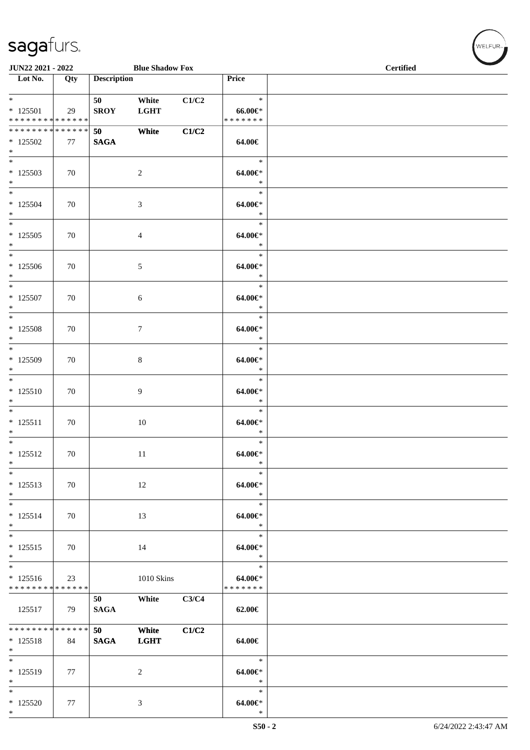| JUN22 2021 - 2022                                              |     |                    | <b>Blue Shadow Fox</b> |       |                                        | <b>Certified</b> |
|----------------------------------------------------------------|-----|--------------------|------------------------|-------|----------------------------------------|------------------|
| Lot No.                                                        | Qty | <b>Description</b> |                        |       | Price                                  |                  |
| $*$<br>$* 125501$<br>******** <mark>******</mark>              | 29  | 50<br><b>SROY</b>  | White<br><b>LGHT</b>   | C1/C2 | $\ast$<br>$66.00 \in$<br>* * * * * * * |                  |
| * * * * * * * * * * * * * *<br>$*125502$<br>$*$                | 77  | 50<br><b>SAGA</b>  | White                  | C1/C2 | 64.00€                                 |                  |
| $\overline{\phantom{0}}$<br>$*125503$<br>$\ast$                | 70  |                    | $\sqrt{2}$             |       | $\ast$<br>64.00€*<br>$\ast$            |                  |
| $*$<br>$* 125504$<br>$*$                                       | 70  |                    | 3                      |       | $\ast$<br>$64.00 \in$<br>$\ast$        |                  |
| $\overline{\phantom{0}}$<br>$* 125505$<br>$*$                  | 70  |                    | 4                      |       | $\ast$<br>$64.00 \in$<br>$\ast$        |                  |
| $*$<br>$*125506$<br>$*$                                        | 70  |                    | 5                      |       | $\ast$<br>$64.00 \in$<br>$\ast$        |                  |
| $*$<br>$* 125507$<br>$*$                                       | 70  |                    | 6                      |       | $\ast$<br>$64.00 \in$<br>$\ast$        |                  |
| $\overline{\phantom{0}}$<br>$* 125508$<br>$\ast$               | 70  |                    | 7                      |       | $\ast$<br>64.00€*<br>$\ast$            |                  |
| $\overline{\phantom{0}}$<br>$*125509$<br>$\ast$                | 70  |                    | 8                      |       | $\ast$<br>64.00€*<br>$\ast$            |                  |
| $\overline{\phantom{0}}$<br>$* 125510$<br>$\ast$               | 70  |                    | 9                      |       | $\ast$<br>$64.00 \in$<br>$\ast$        |                  |
| $\overline{\phantom{0}}$<br>$* 125511$<br>$*$                  | 70  |                    | $10\,$                 |       | $\ast$<br>64.00€*<br>$\ast$            |                  |
| $\overline{\ast}$<br>$* 125512$<br>$\ast$                      | 70  |                    | $11\,$                 |       | $\ast$<br>$64.00 \in$<br>$\ast$        |                  |
| $*$<br>$* 125513$<br>$*$                                       | 70  |                    | 12                     |       | $\ast$<br>64.00€*<br>$\ast$            |                  |
| $*$<br>$* 125514$<br>$*$                                       | 70  |                    | 13                     |       | $\ast$<br>64.00€*<br>$\ast$            |                  |
| $*$<br>$* 125515$<br>$*$                                       | 70  |                    | 14                     |       | $\ast$<br>64.00€*<br>$\ast$            |                  |
| $\overline{\ast}$<br>$* 125516$<br>* * * * * * * * * * * * * * | 23  |                    | 1010 Skins             |       | $\ast$<br>64.00€*<br>* * * * * * *     |                  |
| 125517                                                         | 79  | 50<br><b>SAGA</b>  | White                  | C3/C4 | 62.00€                                 |                  |
| ******** <mark>******</mark><br>$* 125518$<br>$*$              | 84  | 50<br><b>SAGA</b>  | White<br><b>LGHT</b>   | C1/C2 | 64.00€                                 |                  |
| $\overline{\phantom{0}}$<br>$* 125519$<br>$*$                  | 77  |                    | 2                      |       | $\ast$<br>64.00€*<br>$\ast$            |                  |
| $\ast$<br>$*125520$<br>$*$                                     | 77  |                    | 3                      |       | $\ast$<br>$64.00 \in$<br>$\ast$        |                  |

WELFUR-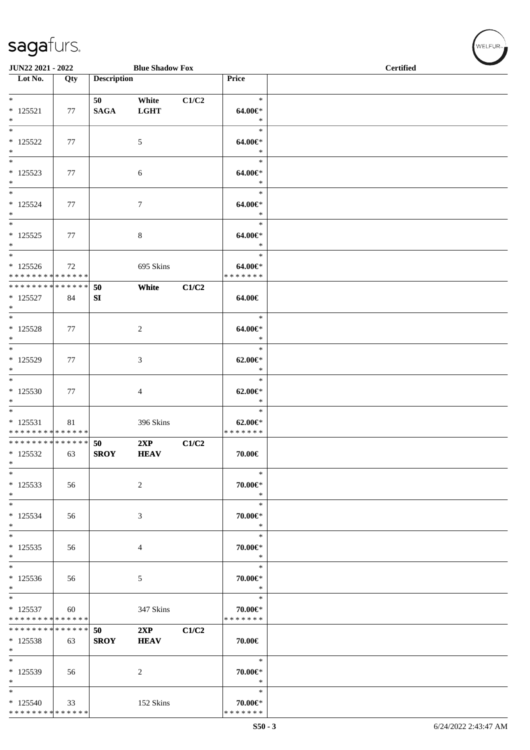| JUN22 2021 - 2022                                                       |     |                    | <b>Blue Shadow Fox</b> |       |                                        | <b>Certified</b> |  |  |  |
|-------------------------------------------------------------------------|-----|--------------------|------------------------|-------|----------------------------------------|------------------|--|--|--|
| $\overline{\phantom{1}}$ Lot No.                                        | Qty | <b>Description</b> |                        |       | Price                                  |                  |  |  |  |
| $\ast$<br>$* 125521$<br>$\ast$                                          | 77  | 50<br><b>SAGA</b>  | White<br><b>LGHT</b>   | C1/C2 | $\ast$<br>64.00€*<br>$\ast$            |                  |  |  |  |
| $\overline{\phantom{a}^*}$<br>$* 125522$<br>$\ast$                      | 77  |                    | $\mathfrak{S}$         |       | $\ast$<br>64.00€*<br>$\ast$            |                  |  |  |  |
| $\overline{\ast}$<br>$* 125523$<br>$\ast$                               | 77  |                    | $\sqrt{6}$             |       | $\ast$<br>64.00€*<br>$\ast$            |                  |  |  |  |
| $\ast$<br>$* 125524$<br>$\ast$                                          | 77  |                    | $\tau$                 |       | $\ast$<br>64.00€*<br>$\ast$            |                  |  |  |  |
| $\ast$<br>$* 125525$<br>$\ast$                                          | 77  |                    | $\,8\,$                |       | $\ast$<br>$64.00 \in$<br>$\ast$        |                  |  |  |  |
| $\overline{\phantom{a}^*}$<br>$* 125526$<br>* * * * * * * * * * * * * * | 72  |                    | 695 Skins              |       | $\ast$<br>64.00€*<br>* * * * * * *     |                  |  |  |  |
| **************<br>$* 125527$<br>$\ast$                                  | 84  | 50<br>SI           | White                  | C1/C2 | 64.00€                                 |                  |  |  |  |
| $\ast$<br>$* 125528$<br>$\ast$                                          | 77  |                    | $\overline{c}$         |       | $\ast$<br>64.00€*<br>$\ast$            |                  |  |  |  |
| $\overline{\phantom{a}^*}$<br>* 125529<br>$\ast$                        | 77  |                    | 3                      |       | $\ast$<br>$62.00 \in$ *<br>$\ast$      |                  |  |  |  |
| $\ast$<br>$*125530$<br>$\ast$                                           | 77  |                    | 4                      |       | $\ast$<br>$62.00 \in$ *<br>$\ast$      |                  |  |  |  |
| $\overline{\phantom{a}^*}$<br>$* 125531$<br>* * * * * * * * * * * * * * | 81  |                    | 396 Skins              |       | $\ast$<br>$62.00 \in$<br>* * * * * * * |                  |  |  |  |
| **************<br>$* 125532$<br>$\ast$                                  | 63  | 50<br><b>SROY</b>  | 2XP<br><b>HEAV</b>     | C1/C2 | $70.00 \in$                            |                  |  |  |  |
| $\ast$<br>$* 125533$<br>$\ast$                                          | 56  |                    | $\overline{c}$         |       | $\ast$<br>70.00€*<br>$\ast$            |                  |  |  |  |
| $\ast$<br>$* 125534$<br>$*$                                             | 56  |                    | 3                      |       | $\ast$<br>70.00€*<br>$\ast$            |                  |  |  |  |
| $\ast$<br>$*125535$<br>$\ast$                                           | 56  |                    | 4                      |       | $\ast$<br>70.00€*<br>$\ast$            |                  |  |  |  |
| $\ast$<br>$*125536$<br>$\ast$                                           | 56  |                    | 5                      |       | $\ast$<br>70.00€*<br>$\ast$            |                  |  |  |  |
| $\ast$<br>$* 125537$<br>* * * * * * * * * * * * * *                     | 60  |                    | 347 Skins              |       | $\ast$<br>70.00€*<br>* * * * * * *     |                  |  |  |  |
| * * * * * * * * * * * * * *<br>$* 125538$<br>$\ast$                     | 63  | 50<br><b>SROY</b>  | 2XP<br><b>HEAV</b>     | C1/C2 | 70.00€                                 |                  |  |  |  |
| $\ast$<br>* 125539<br>$\ast$                                            | 56  |                    | 2                      |       | $\ast$<br>70.00€*<br>$\ast$            |                  |  |  |  |
| $\ast$<br>$*125540$<br>******** <mark>******</mark>                     | 33  |                    | 152 Skins              |       | $\ast$<br>70.00€*<br>* * * * * * *     |                  |  |  |  |

WELFUR<sub><sup>N</sup></sub>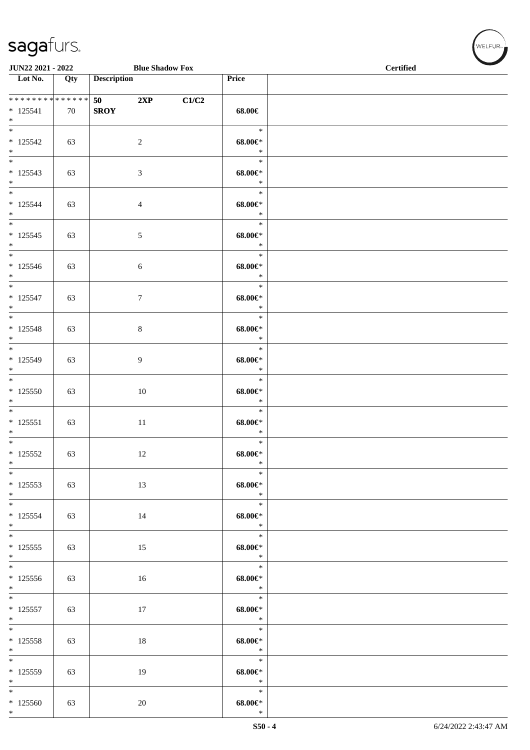| JUN22 2021 - 2022                                 |     |                    | <b>Blue Shadow Fox</b> |       |                                                  | <b>Certified</b> |
|---------------------------------------------------|-----|--------------------|------------------------|-------|--------------------------------------------------|------------------|
| Lot No.                                           | Qty | <b>Description</b> |                        |       | Price                                            |                  |
| ******** <mark>******</mark><br>$* 125541$<br>$*$ | 70  | 50<br><b>SROY</b>  | 2XP                    | C1/C2 | 68.00€                                           |                  |
| $\overline{\ast}$<br>$* 125542$<br>$*$            | 63  |                    | $\overline{2}$         |       | $\ast$<br>$68.00 \in$<br>$\ast$                  |                  |
| $\overline{\phantom{0}}$<br>$* 125543$<br>$*$     | 63  |                    | $\mathfrak{Z}$         |       | $\ast$<br>$68.00 \in$<br>$\ast$                  |                  |
| $*$<br>$* 125544$<br>$*$                          | 63  |                    | $\overline{4}$         |       | $\ast$<br>$68.00 \in$<br>$\ast$                  |                  |
| $\ast$<br>$* 125545$<br>$*$                       | 63  |                    | $\mathfrak{S}$         |       | $\ast$<br>$68.00 \in$<br>$\ast$                  |                  |
| $*$<br>* 125546<br>$*$                            | 63  |                    | $\sqrt{6}$             |       | $\ast$<br>$68.00 \in$<br>$\ast$                  |                  |
| $* 125547$<br>$*$                                 | 63  |                    | $\boldsymbol{7}$       |       | $\ast$<br>$68.00 \in$<br>$\ast$                  |                  |
| $* 125548$<br>$*$                                 | 63  |                    | $\,8\,$                |       | $\ast$<br>$68.00 \in$<br>$\ast$                  |                  |
| $*$<br>* 125549<br>$*$                            | 63  |                    | 9                      |       | $\ast$<br>$68.00 \in$<br>$\ast$                  |                  |
| $*$<br>$*125550$<br>$*$                           | 63  |                    | 10                     |       | $\ast$<br>$68.00 \in$<br>$\ast$                  |                  |
| $*$<br>$* 125551$<br>$*$                          | 63  |                    | 11                     |       | $\ast$<br>$68.00 \in$<br>$\ast$                  |                  |
| $*$<br>$*125552$<br>$\ast$                        | 63  |                    | 12                     |       | $\ast$<br>$68.00 \in$<br>$\ast$                  |                  |
| $*125553$<br>$*$                                  | 63  |                    | 13                     |       | $\ast$<br>$68.00 \in$<br>$\ast$                  |                  |
| $* 125554$<br>$*$                                 | 63  |                    | 14                     |       | $\ast$<br>$68.00 \in$<br>$\ast$                  |                  |
| $* 125555$<br>$*$                                 | 63  |                    | 15                     |       | $\ast$<br>$68.00 \in$<br>$\ast$                  |                  |
| $*125556$<br>$*$ $-$                              | 63  |                    | 16                     |       | $\ast$<br>$68.00 \in$<br>$\ast$                  |                  |
| $\overline{\ast}$<br>$* 125557$<br>$*$            | 63  |                    | 17                     |       | $\ast$<br>$68.00 \in$<br>$\ast$                  |                  |
| $*$<br>$* 125558$<br>$*$                          | 63  |                    | 18                     |       | $\ast$<br>$68.00 \in$<br>$*$                     |                  |
| * 125559<br>$*$                                   | 63  |                    | 19                     |       | $\ast$<br>$68.00 \in$<br>$\overline{\mathbf{r}}$ |                  |
| $*$<br>$*125560$<br>$*$                           | 63  |                    | 20                     |       | $\ast$<br>$68.00 \in$<br>$\ast$                  |                  |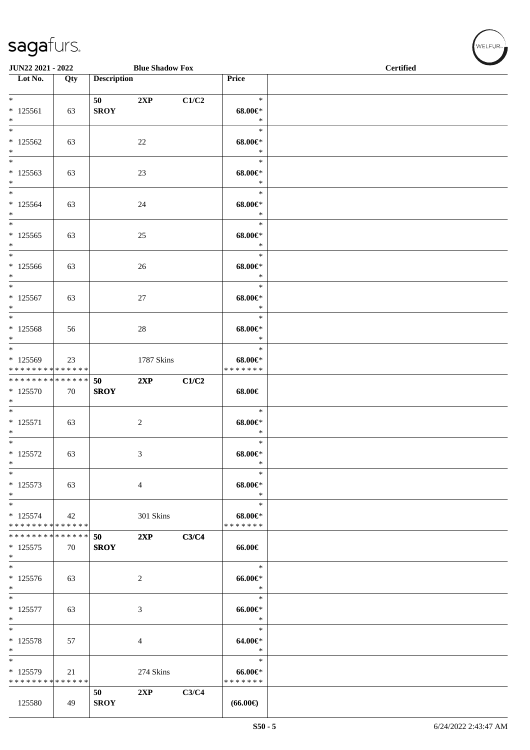|                                                      | JUN22 2021 - 2022<br><b>Blue Shadow Fox</b> |                        |                             |       |                                             | <b>Certified</b> |
|------------------------------------------------------|---------------------------------------------|------------------------|-----------------------------|-------|---------------------------------------------|------------------|
| $\overline{\phantom{1}}$ Lot No.                     | Qty                                         | <b>Description</b>     |                             |       | Price                                       |                  |
| $\ast$<br>$* 125561$<br>$\ast$                       | 63                                          | 50 — 10<br><b>SROY</b> | 2XP                         | C1/C2 | $\ast$<br>$68.00 \in$<br>$\ast$             |                  |
| $\ast$<br>$*125562$<br>$\ast$                        | 63                                          |                        | 22                          |       | $\ast$<br>$68.00 \in$<br>$\ast$             |                  |
| $\ast$<br>$*125563$<br>$\ast$                        | 63                                          |                        | 23                          |       | $\ast$<br>$68.00 \in$<br>$\ast$             |                  |
| $_{\ast}^{-}$<br>$*125564$<br>$\ast$                 | 63                                          |                        | 24                          |       | $\ast$<br>$68.00 \in$<br>$\ast$             |                  |
| $\overline{\ast}$<br>$*125565$<br>$\ast$             | 63                                          |                        | 25                          |       | $\ast$<br>$68.00 \in$<br>$\ast$             |                  |
| $\ast$<br>$*125566$<br>$\ast$                        | 63                                          |                        | 26                          |       | $\ast$<br>$68.00 \in$<br>$\ast$             |                  |
| $\ast$<br>$* 125567$<br>$\ast$                       | 63                                          |                        | $27\,$                      |       | $\ast$<br>$68.00 \in$<br>$\ast$             |                  |
| $\overline{\ast}$<br>$* 125568$<br>$\ast$            | 56                                          |                        | $28\,$                      |       | $\ast$<br>$68.00 \in$<br>$\ast$             |                  |
| $\ast$<br>* 125569<br>* * * * * * * * * * * * * *    | 23                                          |                        | 1787 Skins                  |       | $\ast$<br>$68.00 \in$<br>* * * * * * *      |                  |
| ******** <mark>******</mark><br>$* 125570$<br>$\ast$ | 70                                          | 50<br><b>SROY</b>      | 2XP                         | C1/C2 | 68.00€                                      |                  |
| $\overline{\phantom{0}}$<br>$* 125571$<br>$\ast$     | 63                                          |                        | $\sqrt{2}$                  |       | $\ast$<br>$68.00 \in$<br>$\ast$             |                  |
| $\ast$<br>$* 125572$<br>$\ast$                       | 63                                          |                        | 3                           |       | $\ast$<br>$68.00 \in$<br>$\ast$             |                  |
| $\ast$<br>$* 125573$<br>$\ast$                       | 63                                          |                        | $\overline{4}$              |       | $\ast$<br>$68.00 \in$<br>$\ast$             |                  |
| $\ast$<br>$* 125574$<br>* * * * * * * * * * * * * *  | 42                                          |                        | 301 Skins                   |       | $\ast$<br>$68.00 \in$<br>* * * * * * *      |                  |
| * * * * * * * * * * * * * *<br>$* 125575$<br>$\ast$  | 70                                          | 50<br><b>SROY</b>      | 2XP                         | C3/C4 | 66.00€                                      |                  |
| $\ast$<br>$* 125576$<br>$\ast$                       | 63                                          |                        | 2                           |       | $\ast$<br>$66.00 \text{e}$<br>$\ast$        |                  |
| $\overline{\phantom{1}}$<br>$* 125577$<br>$\ast$     | 63                                          |                        | $\ensuremath{\mathfrak{Z}}$ |       | $\ast$<br>$66.00 \text{e}$<br>$\ast$        |                  |
| $\ast$<br>$* 125578$<br>$\ast$                       | 57                                          |                        | 4                           |       | $\ast$<br>64.00€*<br>$\ast$                 |                  |
| $\ast$<br>* 125579<br>* * * * * * * * * * * * * *    | 21                                          |                        | 274 Skins                   |       | $\ast$<br>$66.00 \text{e}$<br>* * * * * * * |                  |
| 125580                                               | 49                                          | 50<br><b>SROY</b>      | 2XP                         | C3/C4 | $(66.00\epsilon)$                           |                  |

WELFUR<sub><sup>N</sup></sub>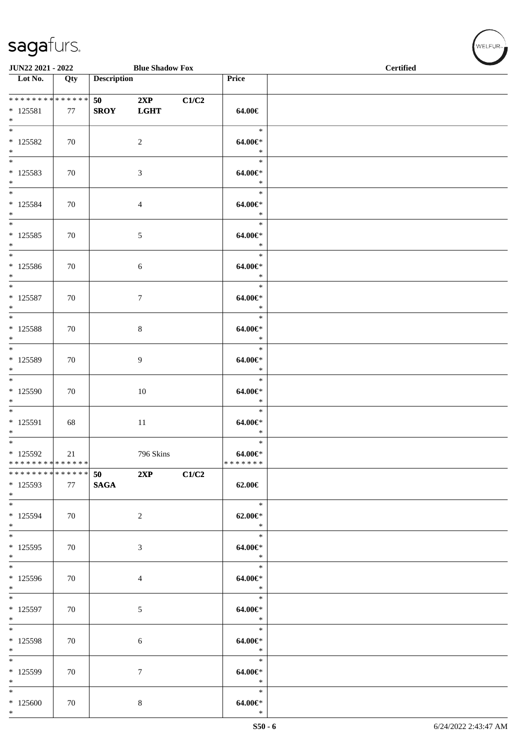| JUN22 2021 - 2022                                    |     |                    | <b>Blue Shadow Fox</b> |       |                                           | <b>Certified</b> |  |  |  |
|------------------------------------------------------|-----|--------------------|------------------------|-------|-------------------------------------------|------------------|--|--|--|
| $\overline{\phantom{1}}$ Lot No.                     | Qty | <b>Description</b> |                        |       | Price                                     |                  |  |  |  |
| **************<br>$* 125581$<br>$\ast$               | 77  | 50<br><b>SROY</b>  | 2XP<br><b>LGHT</b>     | C1/C2 | 64.00€                                    |                  |  |  |  |
| $\overline{\phantom{a}^*}$<br>$*125582$<br>$*   *$   | 70  |                    | $\overline{2}$         |       | $\ast$<br>$64.00 \in$<br>$\ast$           |                  |  |  |  |
| $* 125583$<br>$\ast$<br>$\overline{\phantom{0}}$     | 70  |                    | $\mathfrak{Z}$         |       | $\ast$<br>$64.00 \in$<br>$\ast$           |                  |  |  |  |
| $* 125584$<br>$\ast$<br>$_{\ast}^{-}$                | 70  |                    | $\overline{4}$         |       | $\ast$<br>64.00€*<br>$\ast$               |                  |  |  |  |
| $* 125585$<br>$*$<br>$\overline{\phantom{0}}$        | 70  |                    | $\sqrt{5}$             |       | $\ast$<br>64.00€*<br>$\ast$               |                  |  |  |  |
| $*125586$<br>$\ast$                                  | 70  |                    | $6\,$                  |       | $\ast$<br>64.00€*<br>$\ast$               |                  |  |  |  |
| $\ast$<br>$* 125587$<br>$*$<br>$\overline{\ast}$     | 70  |                    | $\boldsymbol{7}$       |       | $\ast$<br>$64.00 \in$<br>$\ast$           |                  |  |  |  |
| $*$ 125588<br>$\ast$<br>$\overline{\phantom{0}}$     | 70  |                    | $\,8\,$                |       | $\ast$<br>$64.00 \in$<br>$\ast$           |                  |  |  |  |
| * 125589<br>$\ast$<br>$\overline{\phantom{a}^*}$     | 70  |                    | 9                      |       | $\ast$<br>$64.00 \in$<br>$\ast$           |                  |  |  |  |
| * 125590<br>$\ast$<br>$\overline{\phantom{a}^*}$     | 70  |                    | 10                     |       | $\ast$<br>$64.00 \in$<br>$\ast$           |                  |  |  |  |
| $* 125591$<br>$\ast$<br>$\overline{\phantom{0}}$     | 68  |                    | $11\,$                 |       | $\ast$<br>$64.00 \in$<br>$\ast$<br>$\ast$ |                  |  |  |  |
| $*$ 125592<br>* * * * * * * * * * * * * * *          | 21  |                    | 796 Skins              |       | $64.00 \in$<br>* * * * * * *              |                  |  |  |  |
| * * * * * * * * * * * * * *<br>$*125593$<br>$*$      | 77  | 50<br><b>SAGA</b>  | 2XP                    | C1/C2 | 62.00€                                    |                  |  |  |  |
| $*$<br>* 125594<br>$*$<br>$\overline{\phantom{a}^*}$ | 70  |                    | $\sqrt{2}$             |       | $\ast$<br>$62.00 \in$<br>$\ast$           |                  |  |  |  |
| $* 125595$<br>$\ast$<br>$\overline{\phantom{0}}$     | 70  |                    | $\sqrt{3}$             |       | $\ast$<br>64.00€*<br>$\ast$               |                  |  |  |  |
| * 125596<br>$*$<br>$\overline{\ast}$                 | 70  |                    | $\overline{4}$         |       | $\ast$<br>$64.00 \in$<br>$\ast$           |                  |  |  |  |
| $*$ 125597<br>$\ast$                                 | 70  |                    | $\sqrt{5}$             |       | $\ast$<br>$64.00 \in$<br>$\ast$           |                  |  |  |  |
| $\ast$<br>* 125598<br>$\ast$                         | 70  |                    | 6                      |       | $\ast$<br>64.00€*<br>$\ast$               |                  |  |  |  |
| $\overline{\phantom{0}}$<br>* 125599<br>$\ast$       | 70  |                    | $\tau$                 |       | $\ast$<br>$64.00 \in$<br>$\ast$           |                  |  |  |  |
| $\ast$<br>$*125600$<br>$\ast$                        | 70  |                    | $8\,$                  |       | $\ast$<br>$64.00 \in$<br>$\ast$           |                  |  |  |  |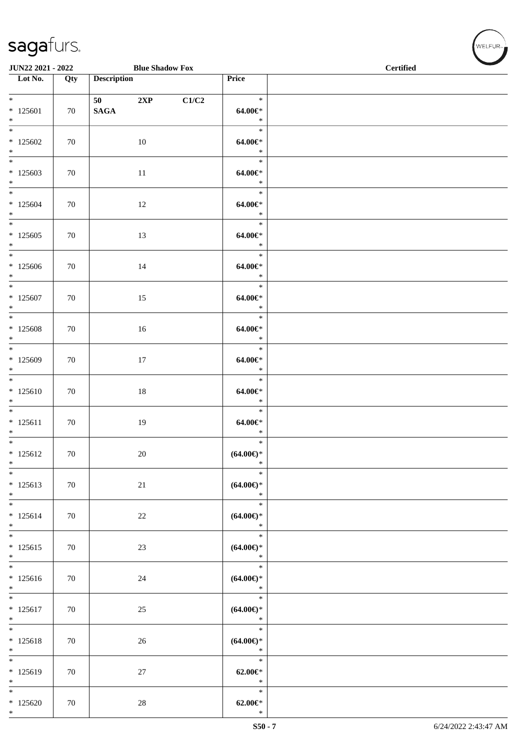| JUN22 2021 - 2022                                |                  |                               | <b>Blue Shadow Fox</b> |       |                                                    | $\sim$<br><b>Certified</b> |  |  |  |
|--------------------------------------------------|------------------|-------------------------------|------------------------|-------|----------------------------------------------------|----------------------------|--|--|--|
| $\overline{\phantom{1}}$ Lot No.                 | $\overline{Qty}$ | <b>Description</b>            |                        |       | Price                                              |                            |  |  |  |
| $*$<br>$*125601$<br>$\ast$                       | 70               | 50 70 70 70 71<br><b>SAGA</b> | 2XP                    | C1/C2 | $\ast$<br>$64.00 \in$<br>$\ast$                    |                            |  |  |  |
| $\ast$<br>$*125602$<br>$\ast$                    | 70               |                               | 10                     |       | $\ast$<br>$64.00 \in$<br>$\ast$                    |                            |  |  |  |
| $\overline{\phantom{0}}$<br>$*125603$<br>$*$     | 70               |                               | 11                     |       | $\ast$<br>64.00€*<br>$\ast$                        |                            |  |  |  |
| $*$<br>$*125604$<br>$*$<br>$*$                   | 70               |                               | 12                     |       | $\ast$<br>$64.00 \in$<br>$\ast$                    |                            |  |  |  |
| $*125605$<br>$*$<br>$\overline{\phantom{0}}$     | 70               |                               | 13                     |       | $\ast$<br>64.00€*<br>$\ast$                        |                            |  |  |  |
| $*125606$<br>$*$                                 | 70               |                               | 14                     |       | $\ast$<br>$64.00 \in$<br>$\ast$                    |                            |  |  |  |
| $*125607$<br>$\ast$                              | 70               |                               | 15                     |       | $\ast$<br>$64.00 \in$<br>$\ast$                    |                            |  |  |  |
| $\overline{\ }$<br>$*125608$<br>$*$              | 70               |                               | 16                     |       | $\ast$<br>$64.00 \text{E}^*$<br>$\ast$             |                            |  |  |  |
| $\overline{\phantom{0}}$<br>$*125609$<br>$*$     | 70               |                               | 17                     |       | $\ast$<br>$64.00 \in$<br>$\ast$                    |                            |  |  |  |
| $\overline{\phantom{0}}$<br>$*125610$<br>$\ast$  | 70               |                               | $18\,$                 |       | $\ast$<br>$64.00 \in$<br>$\ast$                    |                            |  |  |  |
| $*$<br>$* 125611$<br>$*$                         | 70               |                               | 19                     |       | $\ast$<br>$64.00 \in$<br>$\ast$                    |                            |  |  |  |
| $\overline{\phantom{0}}$<br>$* 125612$<br>$\ast$ | 70               |                               | 20                     |       | $\ast$<br>$(64.00\epsilon)$ *<br>*                 |                            |  |  |  |
| $\overline{\phantom{a}^*}$<br>$* 125613$<br>$*$  | 70               |                               | $21\,$                 |       | $\ast$<br>$(64.00€)$ *<br>$\ast$                   |                            |  |  |  |
| $\ast$<br>$* 125614$<br>$\ast$                   | 70               |                               | $22\,$                 |       | $\ast$<br>$(64.00ε)$ *<br>$\ast$                   |                            |  |  |  |
| $\overline{\phantom{0}}$<br>$* 125615$<br>$*$    | 70               |                               | 23                     |       | $\ast$<br>$(64.00ε)$ *<br>$\ast$                   |                            |  |  |  |
| $\overline{\phantom{0}}$<br>$* 125616$<br>$*$    | 70               |                               | $24\,$                 |       | $\ast$<br>$(64.00\mathnormal{\infty})^*$<br>$\ast$ |                            |  |  |  |
| $\overline{\phantom{0}}$<br>$* 125617$<br>$\ast$ | 70               |                               | 25                     |       | $\ast$<br>$(64.00ε)$ *<br>$\ast$                   |                            |  |  |  |
| $\ast$<br>$* 125618$<br>$\ast$                   | 70               |                               | 26                     |       | $\ast$<br>$(64.00ε)$ *<br>$\ast$                   |                            |  |  |  |
| $\overline{\phantom{0}}$<br>$*125619$<br>$\ast$  | 70               |                               | 27                     |       | $\ast$<br>$62.00 \in$ *<br>$\ast$                  |                            |  |  |  |
| $\ast$<br>$*125620$<br>$*$                       | 70               |                               | $28\,$                 |       | $\ast$<br>$62.00 \text{E}^*$<br>$\ast$             |                            |  |  |  |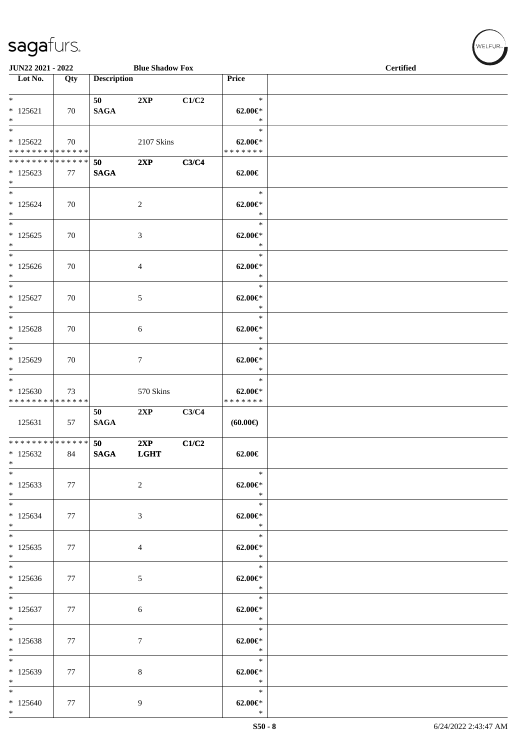| JUN22 2021 - 2022                                               |     |                    | <b>Blue Shadow Fox</b> |       |                                           | <b>Certified</b> |  |  |  |
|-----------------------------------------------------------------|-----|--------------------|------------------------|-------|-------------------------------------------|------------------|--|--|--|
| Lot No.                                                         | Qty | <b>Description</b> |                        |       | Price                                     |                  |  |  |  |
| $*$ $*$<br>$*125621$<br>$*$                                     | 70  | 50<br><b>SAGA</b>  | 2XP                    | C1/C2 | $\ast$<br>$62.00 \in$<br>$\ast$           |                  |  |  |  |
| $\overline{\ast}$<br>$*125622$<br>* * * * * * * * * * * * * * * | 70  |                    | 2107 Skins             |       | $\ast$<br>$62.00 \in$<br>* * * * * * *    |                  |  |  |  |
| * * * * * * * * * * * * * *<br>$*125623$<br>$*$                 | 77  | 50<br><b>SAGA</b>  | 2XP                    | C3/C4 | 62.00€                                    |                  |  |  |  |
| $*$<br>$* 125624$<br>$*$                                        | 70  |                    | $\overline{c}$         |       | $\ast$<br>$62.00 \in$ *<br>$\ast$         |                  |  |  |  |
| $\ast$<br>$*125625$<br>$\ast$                                   | 70  |                    | 3                      |       | $\ast$<br>$62.00 \in$ *<br>$\ast$         |                  |  |  |  |
| $\overline{\phantom{0}}$<br>$*125626$<br>$*$                    | 70  |                    | 4                      |       | $\ast$<br>$62.00 \in$<br>$\ast$           |                  |  |  |  |
| $\ast$<br>$*125627$<br>$*$                                      | 70  |                    | 5                      |       | $\ast$<br>$62.00 \in$<br>$\ast$           |                  |  |  |  |
| $\ast$<br>$*125628$<br>$*$                                      | 70  |                    | 6                      |       | $\ast$<br>$62.00 \in$<br>$\ast$           |                  |  |  |  |
| $*$<br>$*125629$<br>$*$                                         | 70  |                    | $\tau$                 |       | $\ast$<br>$62.00 \in$<br>$\ast$           |                  |  |  |  |
| $\ast$<br>$*125630$<br>* * * * * * * * * * * * * *              | 73  |                    | 570 Skins              |       | $\ast$<br>$62.00 \in$<br>* * * * * * *    |                  |  |  |  |
| 125631                                                          | 57  | 50<br><b>SAGA</b>  | 2XP                    | C3/C4 | (60.00)                                   |                  |  |  |  |
| *************** 50<br>$*125632$<br>$\ast$                       | 84  | <b>SAGA</b>        | 2XP<br><b>LGHT</b>     | C1/C2 | $62.00 \in$                               |                  |  |  |  |
| $*$<br>$*125633$<br>$*$                                         | 77  |                    | $\overline{c}$         |       | $\ast$<br>$62.00 \in$ *<br>$\ddot{x}$     |                  |  |  |  |
| $*$<br>$*125634$<br>$*$                                         | 77  |                    | $\mathfrak{Z}$         |       | $\ast$<br>$62.00 \in$<br>$\ast$           |                  |  |  |  |
| $*$<br>$*125635$<br>$*$                                         | 77  |                    | $\overline{4}$         |       | $62.00 \in$<br>$\ast$                     |                  |  |  |  |
| $*$<br>$*125636$<br>$*$ $-$                                     | 77  |                    | $\mathfrak{S}$         |       | $\ast$<br>$62.00 \in$ *<br>$\ast$         |                  |  |  |  |
| $*$<br>$*125637$<br>$*$ and $*$                                 | 77  |                    | 6                      |       | $\ast$<br>$62.00 \in$ *<br>$\ast$         |                  |  |  |  |
| $*$<br>$*125638$<br>$*$                                         | 77  |                    | $\tau$                 |       | $\ast$<br>$62.00 \in$ *<br>$\ast$         |                  |  |  |  |
| $\ast$<br>* 125639<br>$*$                                       | 77  |                    | 8                      |       | ri C<br>$\ast$<br>$62.00 \in$ *<br>$\ast$ |                  |  |  |  |
| $*$<br>$*125640$<br>$*$                                         | 77  |                    | $\overline{9}$         |       | $\ast$<br>$62.00 \text{E}^*$<br>$\ast$    |                  |  |  |  |

 $(\forall ELFUR_{\text{max}})$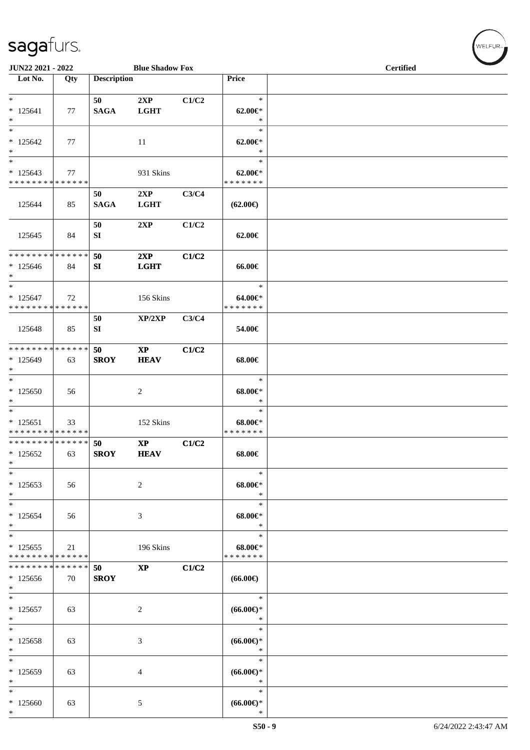| JUN22 2021 - 2022                                                 |     |                    | <b>Blue Shadow Fox</b>                |       |                                        | <b>Certified</b> |  |  |  |
|-------------------------------------------------------------------|-----|--------------------|---------------------------------------|-------|----------------------------------------|------------------|--|--|--|
| Lot No.                                                           | Qty | <b>Description</b> |                                       |       | Price                                  |                  |  |  |  |
| $\ast$<br>$* 125641$<br>$\ast$                                    | 77  | 50<br><b>SAGA</b>  | 2XP<br><b>LGHT</b>                    | C1/C2 | $\ast$<br>$62.00 \in$ *<br>$\ast$      |                  |  |  |  |
| $\overline{\phantom{1}}$<br>$*125642$<br>$\ast$                   | 77  |                    | 11                                    |       | $\ast$<br>$62.00 \in$<br>$\ast$        |                  |  |  |  |
| $\ast$<br>$*125643$<br>* * * * * * * * * * * * * *                | 77  |                    | 931 Skins                             |       | $\ast$<br>$62.00 \in$<br>* * * * * * * |                  |  |  |  |
| 125644                                                            | 85  | 50<br><b>SAGA</b>  | 2XP<br><b>LGHT</b>                    | C3/C4 | $(62.00\epsilon)$                      |                  |  |  |  |
| 125645                                                            | 84  | 50<br>SI           | 2XP                                   | C1/C2 | 62.00€                                 |                  |  |  |  |
| * * * * * * * * * * * * * *<br>$*125646$<br>$\ast$                | 84  | 50<br>SI           | 2XP<br><b>LGHT</b>                    | C1/C2 | 66.00€                                 |                  |  |  |  |
| $\ast$<br>$* 125647$<br>* * * * * * * * * * * * * *               | 72  |                    | 156 Skins                             |       | $\ast$<br>$64.00 \in$<br>* * * * * * * |                  |  |  |  |
| 125648                                                            | 85  | 50<br>SI           | XP/2XP                                | C3/C4 | 54.00€                                 |                  |  |  |  |
| **************<br>$*125649$<br>$\ast$                             | 63  | 50<br><b>SROY</b>  | $\mathbf{XP}$<br><b>HEAV</b>          | C1/C2 | 68.00€                                 |                  |  |  |  |
| $\ast$<br>$*125650$<br>$\ast$                                     | 56  |                    | $\overline{c}$                        |       | $\ast$<br>$68.00 \in$<br>$\ast$        |                  |  |  |  |
| $\ast$<br>$* 125651$<br>******** <mark>******</mark>              | 33  |                    | 152 Skins                             |       | $\ast$<br>$68.00 \in$<br>* * * * * * * |                  |  |  |  |
| ************** 50<br>$*125652$<br>$\ast$                          | 63  | <b>SROY</b>        | $\mathbf{X}\mathbf{P}$<br><b>HEAV</b> | C1/C2 | 68.00€                                 |                  |  |  |  |
| $\ast$<br>$*125653$<br>$\ast$                                     | 56  |                    | $\overline{c}$                        |       | $\ast$<br>$68.00 \in$<br>$\ast$        |                  |  |  |  |
| $\overline{\phantom{0}}$<br>$*125654$<br>$\ast$                   | 56  |                    | 3                                     |       | $\ast$<br>$68.00 \in$<br>$\ast$        |                  |  |  |  |
| $\ast$<br>$*125655$<br>* * * * * * * * * * * * * *                | 21  |                    | 196 Skins                             |       | $\ast$<br>$68.00 \in$<br>* * * * * * * |                  |  |  |  |
| * * * * * * * * <mark>* * * * * * *</mark><br>$*125656$<br>$\ast$ | 70  | 50<br><b>SROY</b>  | $\mathbf{XP}$                         | C1/C2 | $(66.00\epsilon)$                      |                  |  |  |  |
| $\ast$<br>$*125657$<br>$\ast$                                     | 63  |                    | 2                                     |       | $\ast$<br>$(66.00ε)$ *<br>$\ast$       |                  |  |  |  |
| $\ast$<br>$*125658$<br>$\ast$                                     | 63  |                    | 3                                     |       | $\ast$<br>$(66.00ε)$ *<br>$\ast$       |                  |  |  |  |
| $\ast$<br>* 125659<br>$\ast$                                      | 63  |                    | 4                                     |       | $\ast$<br>$(66.00ε)$ *<br>∗            |                  |  |  |  |
| $\overline{\phantom{0}}$<br>$*125660$<br>$\ast$                   | 63  |                    | 5                                     |       | $\ast$<br>$(66.00ε)$ *<br>$\ast$       |                  |  |  |  |

 $w$ ELFUR<sub>n</sub>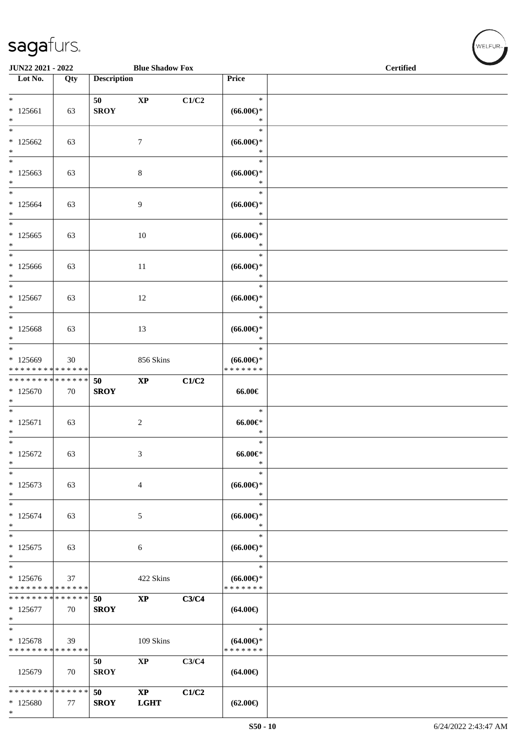\*

WELFUR-

| JUN22 2021 - 2022                                   |     |                    | <b>Blue Shadow Fox</b>       |       |                                                | <b>Certified</b> |  |  |  |
|-----------------------------------------------------|-----|--------------------|------------------------------|-------|------------------------------------------------|------------------|--|--|--|
| Lot No.                                             | Qty | <b>Description</b> |                              |       | Price                                          |                  |  |  |  |
| $*$<br>$*125661$<br>$*$                             | 63  | 50<br><b>SROY</b>  | $\mathbf{X}\mathbf{P}$       | C1/C2 | $\ast$<br>$(66.00ε)$ *<br>$\ast$               |                  |  |  |  |
| $*$<br>$*125662$<br>$*$                             | 63  |                    | $\tau$                       |       | $\ast$<br>$(66.00\epsilon)$ *<br>$\ast$        |                  |  |  |  |
| $*$<br>$*125663$<br>$\ast$                          | 63  |                    | $\,8\,$                      |       | $\ast$<br>$(66.00ε)$ *<br>$\ast$               |                  |  |  |  |
| $*$<br>$*125664$<br>$*$                             | 63  |                    | 9                            |       | $\ast$<br>$(66.00ε)$ *<br>$\ast$               |                  |  |  |  |
| $*125665$<br>$*$                                    | 63  |                    | 10                           |       | $\ast$<br>$(66.00ε)$ *<br>$\ast$               |                  |  |  |  |
| $*$<br>$*125666$<br>$*$                             | 63  |                    | 11                           |       | $\ast$<br>$(66.00ε)$ *<br>$\ast$               |                  |  |  |  |
| $*$<br>$* 125667$<br>$*$                            | 63  |                    | 12                           |       | $\ast$<br>$(66.00ε)$ *<br>$\ast$               |                  |  |  |  |
| $\ast$<br>$*125668$<br>$\ast$                       | 63  |                    | 13                           |       | $\ast$<br>$(66.00\epsilon)$ *<br>$\ast$        |                  |  |  |  |
| $*$<br>* 125669<br>* * * * * * * * * * * * * *      | 30  |                    | 856 Skins                    |       | $\ast$<br>$(66.00\epsilon)$ *<br>* * * * * * * |                  |  |  |  |
| ******** <mark>******</mark><br>$*125670$<br>$\ast$ | 70  | 50<br><b>SROY</b>  | $\mathbf{X}\mathbf{P}$       | C1/C2 | 66.00€                                         |                  |  |  |  |
| $\overline{\phantom{0}}$<br>$* 125671$<br>$\ast$    | 63  |                    | $\overline{2}$               |       | $\ast$<br>$66.00 \in$<br>$\ast$                |                  |  |  |  |
| $*$<br>$* 125672$<br>$\ast$                         | 63  |                    | 3                            |       | $\ast$<br>$66.00 \in$<br>$\ast$                |                  |  |  |  |
| $\ast$<br>$* 125673$<br>$\ast$                      | 63  |                    | $\overline{4}$               |       | $\ast$<br>$(66.00ε)$ *<br>$\ast$               |                  |  |  |  |
| $\ast$<br>$*125674$<br>$\ast$                       | 63  |                    | 5                            |       | $\ast$<br>$(66.00ε)$ *<br>∗                    |                  |  |  |  |
| $*$<br>$*125675$<br>$\ast$                          | 63  |                    | 6                            |       | $\ast$<br>$(66.00ε)$ *<br>∗                    |                  |  |  |  |
| $*$<br>$*125676$<br>* * * * * * * * * * * * * *     | 37  |                    | 422 Skins                    |       | $\ast$<br>$(66.00\epsilon)$ *<br>* * * * * * * |                  |  |  |  |
| * * * * * * * * * * * * * *<br>$*125677$<br>$*$     | 70  | 50<br><b>SROY</b>  | $\mathbf{X}\mathbf{P}$       | C3/C4 | $(64.00\epsilon)$                              |                  |  |  |  |
| $\ast$<br>$*125678$<br>* * * * * * * * * * * * * *  | 39  |                    | 109 Skins                    |       | $\ast$<br>$(64.00\epsilon)$ *<br>* * * * * * * |                  |  |  |  |
| 125679                                              | 70  | 50<br><b>SROY</b>  | $\bold{XP}$                  | C3/C4 | $(64.00\epsilon)$                              |                  |  |  |  |
| * * * * * * * * * * * * * *<br>* 125680             | 77  | 50<br><b>SROY</b>  | $\mathbf{XP}$<br><b>LGHT</b> | C1/C2 | $(62.00\epsilon)$                              |                  |  |  |  |

 $S50 - 10$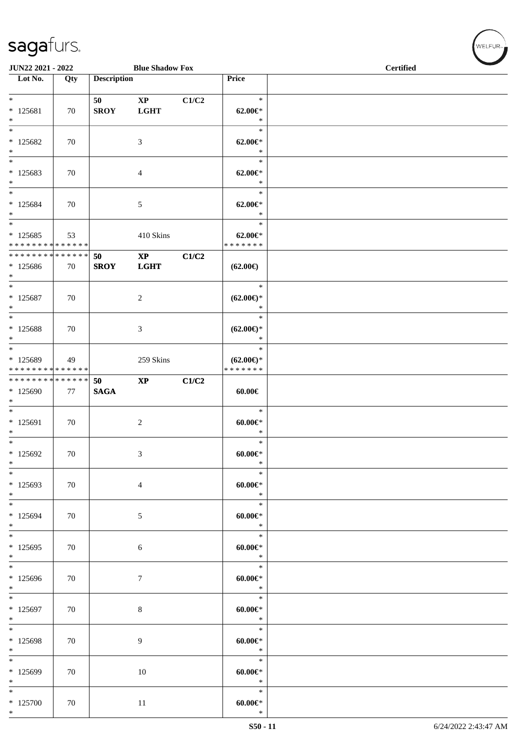| JUN22 2021 - 2022<br><b>Blue Shadow Fox</b>                            |     |                    |                                       |       |                                                | <b>Certified</b> |  |  |  |
|------------------------------------------------------------------------|-----|--------------------|---------------------------------------|-------|------------------------------------------------|------------------|--|--|--|
| $\overline{\phantom{1}}$ Lot No.                                       | Qty | <b>Description</b> |                                       |       | Price                                          |                  |  |  |  |
| $*$<br>$* 125681$<br>$\ast$                                            | 70  | 50<br><b>SROY</b>  | $\mathbf{X}\mathbf{P}$<br><b>LGHT</b> | C1/C2 | $\ast$<br>$62.00 \in$<br>$\ast$                |                  |  |  |  |
| $\overline{\ast}$<br>$*125682$<br>$\ast$                               | 70  |                    | 3                                     |       | $\ast$<br>$62.00 \in$<br>$\ast$                |                  |  |  |  |
| $\ast$<br>$*125683$<br>$\ast$                                          | 70  |                    | $\overline{4}$                        |       | $\ast$<br>$62.00 \in$<br>$\ast$                |                  |  |  |  |
| $\ast$<br>$*125684$<br>$\ast$<br>$\overline{\ast}$                     | 70  |                    | 5                                     |       | $\ast$<br>$62.00 \in$ *<br>$\ast$              |                  |  |  |  |
| $*125685$<br>* * * * * * * * * * * * * *                               | 53  |                    | $410~\rm Skins$                       |       | $\ast$<br>$62.00 \in$ *<br>* * * * * * *       |                  |  |  |  |
| **************<br>* 125686<br>$*$<br>$*$                               | 70  | 50<br><b>SROY</b>  | $\mathbf{XP}$<br><b>LGHT</b>          | C1/C2 | $(62.00\epsilon)$                              |                  |  |  |  |
| $* 125687$<br>$*$<br>$\ast$                                            | 70  |                    | $\overline{c}$                        |       | $\ast$<br>$(62.00\epsilon)$ *<br>$\ast$        |                  |  |  |  |
| * 125688<br>$*$<br>$\overline{\phantom{0}}$                            | 70  |                    | $\ensuremath{\mathfrak{Z}}$           |       | $\ast$<br>$(62.00\epsilon)$ *<br>$\ast$        |                  |  |  |  |
| * 125689<br>* * * * * * * * * * * * * *                                | 49  |                    | 259 Skins                             |       | $\ast$<br>$(62.00\epsilon)$ *<br>* * * * * * * |                  |  |  |  |
| * * * * * * * * * * * * * *<br>* 125690<br>$\ast$<br>$\overline{\ast}$ | 77  | 50<br><b>SAGA</b>  | $\mathbf{X}\mathbf{P}$                | C1/C2 | $60.00 \in$                                    |                  |  |  |  |
| * 125691<br>$*$<br>$\overline{\phantom{0}}$                            | 70  |                    | $\overline{c}$                        |       | $\ast$<br>$60.00 \in$<br>$\ast$<br>$\ast$      |                  |  |  |  |
| $*125692$<br>$\ast$<br>$\ast$                                          | 70  |                    | $\mathfrak{Z}$                        |       | $60.00 \in$<br>$\ast$<br>$\ast$                |                  |  |  |  |
| * 125693<br>$*$<br>$\ast$                                              | 70  |                    | $\overline{4}$                        |       | $60.00 \text{E}^*$<br>$\ast$<br>$\ast$         |                  |  |  |  |
| $*125694$<br>$*$<br>$\ast$                                             | 70  |                    | $\sqrt{5}$                            |       | $60.00 \in$ *<br>$\ast$<br>$\ast$              |                  |  |  |  |
| $*125695$<br>$\ast$<br>$\ast$                                          | 70  |                    | 6                                     |       | $60.00 \in$<br>$\ast$<br>$\ast$                |                  |  |  |  |
| * 125696<br>$*$<br>$\ast$                                              | 70  |                    | $\tau$                                |       | $60.00 \in$<br>$\ast$                          |                  |  |  |  |
| $*125697$<br>$\ast$<br>$\overline{\ast}$                               | 70  |                    | $\,8\,$                               |       | $\ast$<br>$60.00 \in$<br>$\ast$                |                  |  |  |  |
| $*125698$<br>$\ast$                                                    | 70  |                    | $\overline{9}$                        |       | $\ast$<br>$60.00 \in$<br>$\ast$                |                  |  |  |  |
| $*$<br>* 125699<br>$\ast$                                              | 70  |                    | $10\,$                                |       | $\ast$<br>$60.00 \in$<br>$\ast$                |                  |  |  |  |
| $\ast$<br>$*125700$<br>$*$                                             | 70  |                    | 11                                    |       | $\ast$<br>$60.00 \text{E}^*$<br>$\ast$         |                  |  |  |  |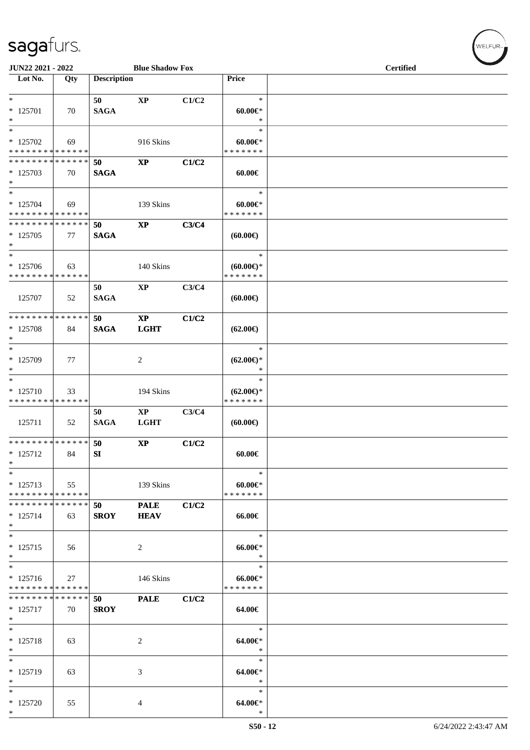| JUN22 2021 - 2022                                                     |     |                    | <b>Blue Shadow Fox</b>     |       |                                                | <b>Certified</b> |  |  |  |
|-----------------------------------------------------------------------|-----|--------------------|----------------------------|-------|------------------------------------------------|------------------|--|--|--|
| $\overline{\phantom{a}}$ Lot No.                                      | Qty | <b>Description</b> |                            |       | Price                                          |                  |  |  |  |
| $*$<br>* 125701<br>$\ast$                                             | 70  | 50<br><b>SAGA</b>  | <b>XP</b>                  | C1/C2 | $\ast$<br>$60.00 \in$<br>$\ast$                |                  |  |  |  |
| $\overline{\phantom{0}}$<br>$*$ 125702<br>* * * * * * * * * * * * * * | 69  |                    | 916 Skins                  |       | $\ast$<br>$60.00 \in$<br>* * * * * * *         |                  |  |  |  |
| * * * * * * * * * * * * * *<br>$*125703$<br>$*$                       | 70  | 50<br><b>SAGA</b>  | $\bold{XP}$                | C1/C2 | $60.00 \in$                                    |                  |  |  |  |
| $*$<br>$* 125704$<br>* * * * * * * * * * * * * *                      | 69  |                    | 139 Skins                  |       | $\ast$<br>$60.00 \in$<br>* * * * * * *         |                  |  |  |  |
| * * * * * * * * * * * * * *<br>$*125705$<br>$\ast$                    | 77  | 50<br><b>SAGA</b>  | $\bold{XP}$                | C3/C4 | $(60.00\epsilon)$                              |                  |  |  |  |
| $\ast$<br>$*125706$<br>* * * * * * * * * * * * * *                    | 63  |                    | 140 Skins                  |       | $\ast$<br>$(60.00ε)$ *<br>* * * * * * *        |                  |  |  |  |
| 125707                                                                | 52  | 50<br><b>SAGA</b>  | <b>XP</b>                  | C3/C4 | (60.00)                                        |                  |  |  |  |
| * * * * * * * * * * * * * *<br>* 125708<br>$*$                        | 84  | 50<br><b>SAGA</b>  | $\bold{XP}$<br><b>LGHT</b> | C1/C2 | $(62.00\epsilon)$                              |                  |  |  |  |
| $\ast$<br>$*125709$<br>$*$                                            | 77  |                    | $\overline{c}$             |       | $\ast$<br>$(62.00\epsilon)$ *<br>$\ast$        |                  |  |  |  |
| $*$<br>$* 125710$<br>* * * * * * * * * * * * * *                      | 33  |                    | 194 Skins                  |       | $\ast$<br>$(62.00\epsilon)$ *<br>* * * * * * * |                  |  |  |  |
| 125711                                                                | 52  | 50<br><b>SAGA</b>  | $\bold{XP}$<br><b>LGHT</b> | C3/C4 | (60.00)                                        |                  |  |  |  |
| * * * * * * * * * * * * * * *<br>$* 125712$<br>$*$                    | 84  | 50<br>SI           | $\mathbf{X}\mathbf{P}$     | C1/C2 | 60.00€                                         |                  |  |  |  |
| $\overline{\phantom{0}}$<br>$* 125713$<br>* * * * * * * * * * * * * * | 55  |                    | 139 Skins                  |       | $\ast$<br>$60.00 \in$<br>* * * * * * *         |                  |  |  |  |
| * * * * * * * * * * * * * * *<br>$* 125714$<br>$*$                    | 63  | 50<br><b>SROY</b>  | <b>PALE</b><br><b>HEAV</b> | C1/C2 | 66.00€                                         |                  |  |  |  |
| $*$<br>$* 125715$<br>$*$                                              | 56  |                    | $\overline{c}$             |       | $\ast$<br>$66.00 \text{e}$<br>$\ast$           |                  |  |  |  |
| $*$<br>$* 125716$<br>* * * * * * * * * * * * * *                      | 27  |                    | 146 Skins                  |       | $\ast$<br>$66.00 \in$<br>* * * * * * *         |                  |  |  |  |
| * * * * * * * * * * * * * * *<br>$* 125717$<br>$*$                    | 70  | 50<br><b>SROY</b>  | <b>PALE</b>                | C1/C2 | 64.00€                                         |                  |  |  |  |
| $*$<br>* 125718<br>$*$                                                | 63  |                    | 2                          |       | $\ast$<br>64.00€*<br>$\ast$                    |                  |  |  |  |
| $*$<br>* 125719<br>$*$                                                | 63  |                    | 3                          |       | $\ast$<br>64.00€*<br>$\ast$                    |                  |  |  |  |
| $*$<br>* 125720<br>$*$                                                | 55  |                    | 4                          |       | $\ast$<br>64.00€*<br>$\ast$                    |                  |  |  |  |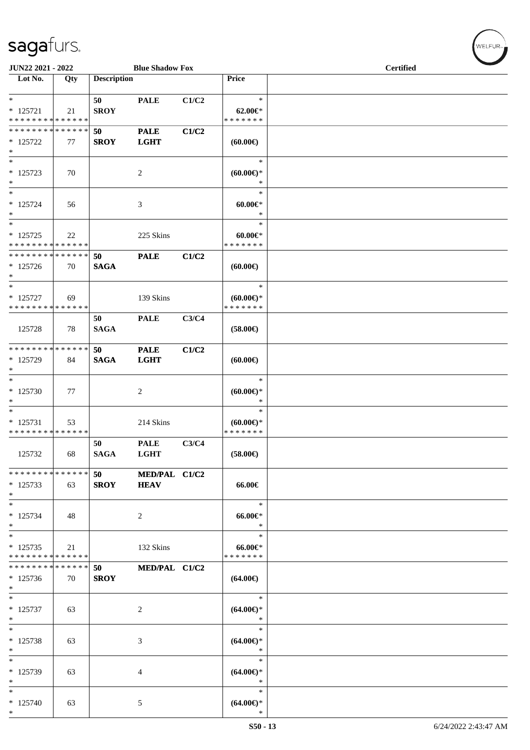| JUN22 2021 - 2022<br><b>Blue Shadow Fox</b>                |     |                    |                              |       |                                             | <b>Certified</b> |  |  |  |
|------------------------------------------------------------|-----|--------------------|------------------------------|-------|---------------------------------------------|------------------|--|--|--|
| Lot No.                                                    | Qty | <b>Description</b> |                              |       | Price                                       |                  |  |  |  |
| $*$<br>$* 125721$<br>* * * * * * * * * * * * * *           | 21  | 50<br><b>SROY</b>  | <b>PALE</b>                  | C1/C2 | $\ast$<br>$62.00 \in$<br>* * * * * * *      |                  |  |  |  |
| * * * * * * * * * * * * * *<br>$*125722$<br>$\ast$         | 77  | 50<br><b>SROY</b>  | <b>PALE</b><br><b>LGHT</b>   | C1/C2 | $(60.00\epsilon)$                           |                  |  |  |  |
| $\ast$<br>$* 125723$<br>$\ast$                             | 70  |                    | 2                            |       | $\ast$<br>(60.00)<br>$\ast$                 |                  |  |  |  |
| $\ast$<br>$* 125724$<br>$\ast$<br>$\overline{\phantom{0}}$ | 56  |                    | 3                            |       | $\ast$<br>$60.00 \in$<br>$\ast$<br>$\ast$   |                  |  |  |  |
| $* 125725$<br>* * * * * * * * * * * * * *                  | 22  |                    | 225 Skins                    |       | $60.00 \in$<br>* * * * * * *                |                  |  |  |  |
| * * * * * * * * * * * * * *<br>$* 125726$<br>$*$           | 70  | 50<br><b>SAGA</b>  | <b>PALE</b>                  | C1/C2 | (60.00)                                     |                  |  |  |  |
| $\ast$<br>$* 125727$<br>* * * * * * * * * * * * * *        | 69  |                    | 139 Skins                    |       | $\ast$<br>$(60.00)$ *<br>* * * * * * *      |                  |  |  |  |
| 125728                                                     | 78  | 50<br><b>SAGA</b>  | <b>PALE</b>                  | C3/C4 | $(58.00\in)$                                |                  |  |  |  |
| * * * * * * * * * * * * * *<br>* 125729<br>$\ast$          | 84  | 50<br><b>SAGA</b>  | <b>PALE</b><br><b>LGHT</b>   | C1/C2 | (60.00)                                     |                  |  |  |  |
| $\ast$<br>$*125730$<br>$\ast$                              | 77  |                    | 2                            |       | $\ast$<br>$(60.00\epsilon)$ *<br>∗          |                  |  |  |  |
| $\ast$<br>$* 125731$<br>* * * * * * * * * * * * * *        | 53  |                    | 214 Skins                    |       | $\ast$<br>$(60.00 \in )$ *<br>* * * * * * * |                  |  |  |  |
| 125732                                                     | 68  | 50<br><b>SAGA</b>  | <b>PALE</b><br><b>LGHT</b>   | C3/C4 | $(58.00\in)$                                |                  |  |  |  |
| * * * * * * * * * * * * * *<br>$*125733$<br>$\ast$         | 63  | 50<br><b>SROY</b>  | MED/PAL C1/C2<br><b>HEAV</b> |       | 66.00€                                      |                  |  |  |  |
| $\ast$<br>$* 125734$<br>$*$                                | 48  |                    | $\boldsymbol{2}$             |       | $\ast$<br>$66.00 \text{e}$<br>$\ast$        |                  |  |  |  |
| $\ast$<br>$* 125735$<br>* * * * * * * * * * * * * *        | 21  |                    | 132 Skins                    |       | $\ast$<br>$66.00 \text{E}$<br>* * * * * * * |                  |  |  |  |
| * * * * * * * * * * * * * *<br>$*125736$<br>$*$            | 70  | 50<br><b>SROY</b>  | MED/PAL C1/C2                |       | $(64.00\epsilon)$                           |                  |  |  |  |
| $\ast$<br>$* 125737$<br>$\ast$                             | 63  |                    | $\sqrt{2}$                   |       | $\ast$<br>$(64.00\epsilon)$ *<br>$\ast$     |                  |  |  |  |
| $*$<br>* 125738<br>$\ast$                                  | 63  |                    | 3                            |       | $\ast$<br>$(64.00ε)$ *<br>$\ast$            |                  |  |  |  |
| $\ast$<br>* 125739<br>$\ast$                               | 63  |                    | 4                            |       | $\ast$<br>$(64.00\epsilon)$ *<br>$\ast$     |                  |  |  |  |
| $\ast$<br>$* 125740$<br>$*$                                | 63  |                    | 5                            |       | $\ast$<br>$(64.00ε)$ *<br>$\ast$            |                  |  |  |  |

WELFUR<sub><sup>N</sub></sub></sub></sup>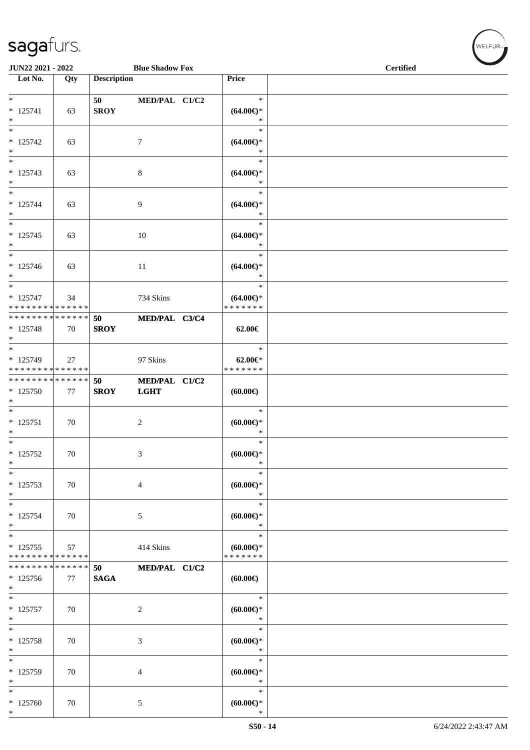| JUN22 2021 - 2022                                               |                   |                    | <b>Blue Shadow Fox</b>       |                                                | <b>Certified</b> |  |
|-----------------------------------------------------------------|-------------------|--------------------|------------------------------|------------------------------------------------|------------------|--|
| Lot No.                                                         | Qty               | <b>Description</b> |                              | Price                                          |                  |  |
| $* 125741$<br>$*$                                               | 63                | 50<br><b>SROY</b>  | MED/PAL C1/C2                | $\ast$<br>$(64.00ε)$ *<br>$\ast$               |                  |  |
| $\ast$<br>$* 125742$<br>$*$                                     | 63                |                    | $\tau$                       | $\ast$<br>$(64.00ε)$ *<br>$\ast$               |                  |  |
| $*$<br>$* 125743$<br>$*$                                        | 63                |                    | $\,8\,$                      | $\ast$<br>$(64.00ε)$ *<br>$\ast$               |                  |  |
| $*$<br>$* 125744$<br>$*$<br>$\overline{\phantom{0}}$            | 63                |                    | 9                            | $\ast$<br>$(64.00ε)$ *<br>$\ast$<br>$\ast$     |                  |  |
| $* 125745$<br>$*$                                               | 63                |                    | 10                           | $(64.00ε)$ *<br>$\ast$                         |                  |  |
| $*$<br>* 125746<br>$*$<br>$\overline{\phantom{0}}$              | 63                |                    | 11                           | $\ast$<br>$(64.00\epsilon)$ *<br>$\ast$        |                  |  |
| * 125747<br>* * * * * * * * * * * * * *                         | 34                |                    | 734 Skins                    | $\ast$<br>$(64.00\epsilon)$ *<br>* * * * * * * |                  |  |
| * * * * * * * * <mark>* * * * * * *</mark><br>$* 125748$<br>$*$ | 70                | 50<br><b>SROY</b>  | MED/PAL C3/C4                | 62.00€                                         |                  |  |
| $*$<br>$* 125749$<br>* * * * * * * * * * * * * * *              | 27                |                    | 97 Skins                     | $\ast$<br>$62.00 \in$ *<br>* * * * * * *       |                  |  |
| ******** <mark>******</mark><br>$*125750$<br>$*$                | 77                | 50<br><b>SROY</b>  | MED/PAL C1/C2<br><b>LGHT</b> | (60.00)                                        |                  |  |
| $*$<br>$* 125751$<br>$*$                                        | 70                |                    | 2                            | $\ast$<br>$(60.00ε)$ *<br>*                    |                  |  |
| $*$<br>$* 125752$<br>$\ast$                                     | 70                |                    | 3                            | $\ast$<br>$(60.00\epsilon)$ *<br>$\ast$        |                  |  |
| $\ast$<br>$* 125753$<br>$*$                                     | 70                |                    | $\overline{4}$               | $\ast$<br>$(60.00)$ *<br>$\ast$                |                  |  |
| $\ast$<br>$* 125754$<br>$*$                                     | 70                |                    | $\sqrt{5}$                   | $\ast$<br>(60.00)<br>$\ast$                    |                  |  |
| $*$<br>$* 125755$<br>* * * * * * * * * * * * * *                | 57                |                    | 414 Skins                    | $\ast$<br>$(60.00 \in )$ *<br>* * * * * * *    |                  |  |
| * * * * * * * *<br>$*125756$<br>$*$                             | * * * * * *<br>77 | 50<br><b>SAGA</b>  | MED/PAL C1/C2                | $(60.00\epsilon)$                              |                  |  |
| $*$<br>$* 125757$<br>$\ast$                                     | 70                |                    | 2                            | $\ast$<br>$(60.00\epsilon)$ *<br>$\ast$        |                  |  |
| $*$<br>$* 125758$<br>$\ast$                                     | 70                |                    | 3                            | $\ast$<br>(60.00)<br>$\ast$                    |                  |  |
| $*$<br>$* 125759$<br>$\ast$                                     | 70                |                    | 4                            | $\ast$<br>$(60.00ε)$ *<br>$\ast$               |                  |  |
| $\ast$<br>* 125760<br>$*$                                       | 70                |                    | $\sqrt{5}$                   | $\ast$<br>(60.00)<br>$\ast$                    |                  |  |

WELFUR<sub><sup>N</sub></sub></sub></sup>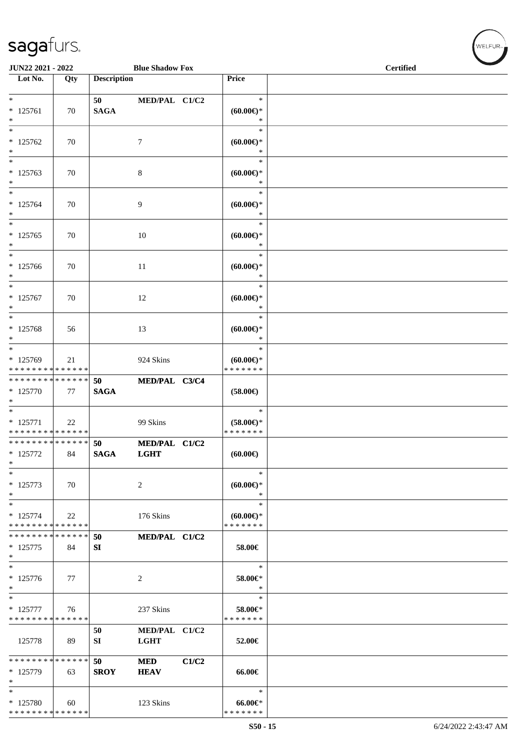| JUN22 2021 - 2022                                              |     |                    | <b>Blue Shadow Fox</b>       |       |                                                   | <b>Certified</b> |  |
|----------------------------------------------------------------|-----|--------------------|------------------------------|-------|---------------------------------------------------|------------------|--|
| $\overline{\phantom{1}}$ Lot No.                               | Qty | <b>Description</b> |                              |       | Price                                             |                  |  |
|                                                                |     |                    |                              |       |                                                   |                  |  |
| $\ast$<br>$* 125761$<br>$\ast$                                 | 70  | 50<br><b>SAGA</b>  | MED/PAL C1/C2                |       | $\ast$<br>$(60.00\epsilon)$ *<br>$\ast$           |                  |  |
| $\overline{\phantom{1}}$<br>$* 125762$<br>$\ast$               | 70  |                    | $\tau$                       |       | $\ast$<br>$(60.00ε)$ *<br>$\ast$                  |                  |  |
| $\ast$<br>$* 125763$<br>$\ast$                                 | 70  |                    | 8                            |       | $\ast$<br>$(60.00ε)$ *<br>$\ast$                  |                  |  |
| $\ast$<br>$* 125764$<br>$\ast$                                 | 70  |                    | 9                            |       | $\ast$<br>$(60.00\epsilon)$ *<br>$\ast$           |                  |  |
| $\ast$<br>$* 125765$<br>$\ast$                                 | 70  |                    | 10                           |       | $\ast$<br>$(60.00\epsilon)$ *<br>$\ast$           |                  |  |
| $\ast$<br>$*125766$<br>$\ast$                                  | 70  |                    | 11                           |       | $\ast$<br>$(60.00\epsilon)$ *<br>$\ast$           |                  |  |
| $\ast$<br>$* 125767$<br>$\ast$                                 | 70  |                    | 12                           |       | $\ast$<br>$(60.00\epsilon)$ *<br>$\ast$           |                  |  |
| $\ast$<br>* 125768<br>$\ast$                                   | 56  |                    | 13                           |       | $\ast$<br>$(60.00ε)$ *<br>$\ast$                  |                  |  |
| $*$<br>* 125769<br>* * * * * * * * * * * * * *                 | 21  |                    | 924 Skins                    |       | $\ast$<br>$(60.00 \in )$ *<br>* * * * * * *       |                  |  |
| * * * * * * * * * * * * * *<br>* 125770<br>$\ast$              | 77  | 50<br><b>SAGA</b>  | MED/PAL C3/C4                |       | $(58.00\epsilon)$                                 |                  |  |
| $\overline{\ast}$<br>$* 125771$<br>* * * * * * * * * * * * * * | 22  |                    | 99 Skins                     |       | $\ast$<br>$(58.00\epsilon)$ *<br>* * * * * * *    |                  |  |
| **************<br>$* 125772$<br>$\ast$                         | 84  | 50<br><b>SAGA</b>  | MED/PAL C1/C2<br><b>LGHT</b> |       | (60.00)                                           |                  |  |
| $\ast$<br>$* 125773$<br>$\ast$                                 | 70  |                    | $\sqrt{2}$                   |       | $\ast$<br>$(60.00\epsilon)$ *<br>$\ast$           |                  |  |
| $\ast$<br>$* 125774$<br>* * * * * * * * * * * * * *            | 22  |                    | 176 Skins                    |       | $\ast$<br>$(60.00\varepsilon)$ *<br>* * * * * * * |                  |  |
| * * * * * * * * * * * * * *<br>$* 125775$<br>$\ast$            | 84  | 50<br>SI           | MED/PAL C1/C2                |       | 58.00€                                            |                  |  |
| $\ast$<br>$* 125776$<br>$\ast$                                 | 77  |                    | 2                            |       | $\ast$<br>58.00€*<br>∗                            |                  |  |
| $\ast$<br>$* 125777$<br>* * * * * * * * * * * * * *            | 76  |                    | 237 Skins                    |       | $\ast$<br>58.00€*<br>* * * * * * *                |                  |  |
| 125778                                                         | 89  | 50<br>SI           | MED/PAL C1/C2<br><b>LGHT</b> |       | 52.00€                                            |                  |  |
| * * * * * * * * * * * * * *<br>* 125779<br>$\ast$              | 63  | 50<br><b>SROY</b>  | <b>MED</b><br><b>HEAV</b>    | C1/C2 | 66.00€                                            |                  |  |
| $\ast$<br>* 125780<br>**************                           | 60  |                    | 123 Skins                    |       | $\ast$<br>$66.00 \text{e}$<br>* * * * * * *       |                  |  |

WELFUR-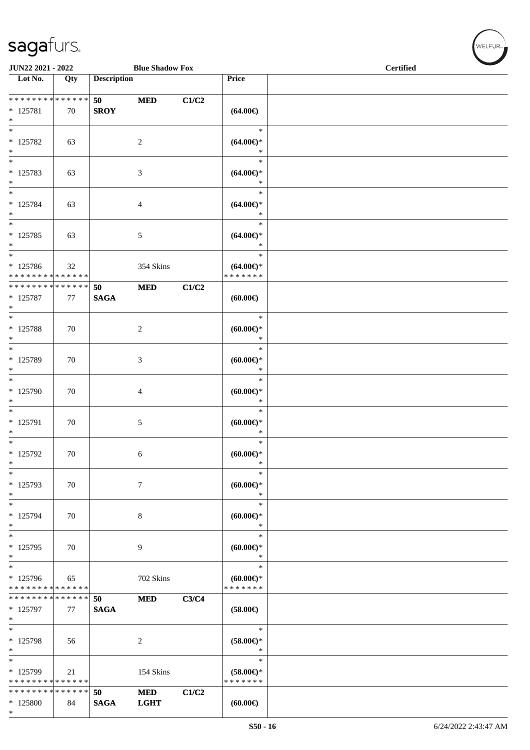| sagafurs.                |                        |                  |
|--------------------------|------------------------|------------------|
| <b>JUN22 2021 - 2022</b> | <b>Blue Shadow Fox</b> | <b>Certified</b> |

| Lot No.                                                                          | Qty                 | <b>Description</b> |                           |       | Price                                          |  |
|----------------------------------------------------------------------------------|---------------------|--------------------|---------------------------|-------|------------------------------------------------|--|
| * * * * * * * *                                                                  | * * * * * *         | 50                 | <b>MED</b>                | C1/C2 |                                                |  |
| $* 125781$<br>$*$                                                                | 70                  | <b>SROY</b>        |                           |       | $(64.00\epsilon)$                              |  |
| $*$<br>* 125782<br>$*$                                                           | 63                  |                    | $\sqrt{2}$                |       | $\ast$<br>$(64.00ε)$ *<br>$\ast$               |  |
| $*$<br>* 125783<br>$\ast$                                                        | 63                  |                    | $\mathfrak{Z}$            |       | $\ast$<br>$(64.00\epsilon)$ *<br>$\ast$        |  |
| $*$<br>* 125784<br>$*$                                                           | 63                  |                    | $\overline{4}$            |       | $\ast$<br>$(64.00ε)$ *<br>$\ast$               |  |
| $\overline{\ }$<br>* 125785<br>$*$                                               | 63                  |                    | 5                         |       | $\ast$<br>$(64.00ε)$ *<br>$\ast$               |  |
| $*$<br>* 125786<br>* * * * * * * * * * * * * *                                   | 32                  |                    | 354 Skins                 |       | $\ast$<br>$(64.00\epsilon)$ *<br>* * * * * * * |  |
| * * * * * * * * <mark>* * * * * * *</mark><br>$* 125787$<br>$*$                  | 77                  | 50<br><b>SAGA</b>  | <b>MED</b>                | C1/C2 | $(60.00\epsilon)$                              |  |
| $\overline{\ }$<br>* 125788<br>$*$                                               | 70                  |                    | $\overline{c}$            |       | $\ast$<br>$(60.00ε)$ *<br>$\ast$               |  |
| $*$<br>* 125789<br>$*$                                                           | 70                  |                    | $\mathfrak{Z}$            |       | $\ast$<br>$(60.00ε)$ *<br>$\ast$               |  |
| * 125790<br>$*$                                                                  | 70                  |                    | $\overline{4}$            |       | $\ast$<br>$(60.00ε)$ *<br>$\ast$               |  |
| $\overline{\phantom{0}}$<br>* 125791<br>$*$                                      | 70                  |                    | 5                         |       | $\ast$<br>$(60.00\varepsilon)$ *<br>$\ast$     |  |
| $*$<br>* 125792<br>$*$                                                           | 70                  |                    | 6                         |       | $\ast$<br>$(60.00ε)$ *<br>$\ast$               |  |
| $*$<br>* 125793<br>$\ast$                                                        | 70                  |                    | $\tau$                    |       | ∗<br>$(60.00ε)$ *<br>$\ast$                    |  |
| $*$<br>* 125794<br>$*$                                                           | 70                  |                    | $\,8\,$                   |       | $\ast$<br>$(60.00ε)$ *<br>$\ast$               |  |
| $\ast$<br>$* 125795$<br>$\ast$                                                   | 70                  |                    | 9                         |       | $\ast$<br>$(60.00ε)$ *<br>$\ast$               |  |
| $\overline{\phantom{0}}$<br>* 125796<br>* * * * * * * * <mark>* * * * * *</mark> | 65                  |                    | 702 Skins                 |       | $\ast$<br>$(60.00ε)$ *<br>* * * * * * *        |  |
| * * * * * * * *<br>* 125797<br>$*$                                               | * * * * * * *<br>77 | 50<br><b>SAGA</b>  | <b>MED</b>                | C3/C4 | $(58.00\epsilon)$                              |  |
| $*$<br>* 125798<br>$*$                                                           | 56                  |                    | 2                         |       | $\ast$<br>$(58.00\epsilon)$ *<br>$\ast$        |  |
| $\overline{\ast}$<br>* 125799<br>* * * * * * * * * * * * * *                     | 21                  |                    | 154 Skins                 |       | $\ast$<br>$(58.00\epsilon)$ *<br>* * * * * * * |  |
| * * * * * * * *<br>* 125800<br>$*$                                               | * * * * * * *<br>84 | 50<br><b>SAGA</b>  | <b>MED</b><br><b>LGHT</b> | C1/C2 | (60.00)                                        |  |

WELFUR-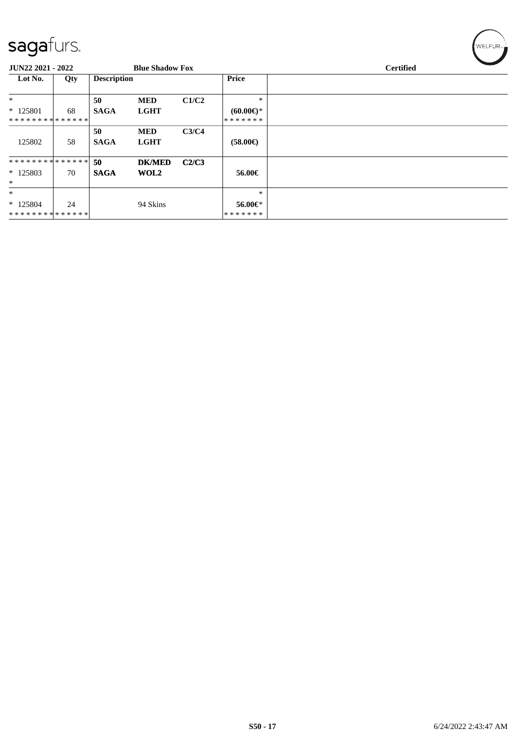| sagafurs.         |     |                    |                        |              |                        | WELFUR <sub>™</sub> |
|-------------------|-----|--------------------|------------------------|--------------|------------------------|---------------------|
| JUN22 2021 - 2022 |     |                    | <b>Blue Shadow Fox</b> |              |                        | <b>Certified</b>    |
| Lot No.           | Qty | <b>Description</b> |                        | <b>Price</b> |                        |                     |
| $\ast$            |     | 50                 | <b>MED</b>             | C1/C2        | $\ast$                 |                     |
| $*125801$         | 68  | <b>SAGA</b>        | <b>LGHT</b>            |              | $(60.00\varepsilon)$ * |                     |
| **************    |     |                    |                        |              | *******                |                     |
|                   |     | 50                 | <b>MED</b>             | C3/C4        |                        |                     |
| 125802            | 58  | <b>SAGA</b>        | <b>LGHT</b>            |              | $(58.00\epsilon)$      |                     |
| **************    |     | 50                 | <b>DK/MED</b>          | C2/C3        |                        |                     |
| $*125803$         | 70  | <b>SAGA</b>        | WOL2                   |              | 56.00€                 |                     |
| $\ast$            |     |                    |                        |              |                        |                     |
| $\ast$            |     |                    |                        |              | ∗                      |                     |
| $*125804$         | 24  |                    | 94 Skins               |              | 56.00€*                |                     |
| **************    |     |                    |                        |              | *******                |                     |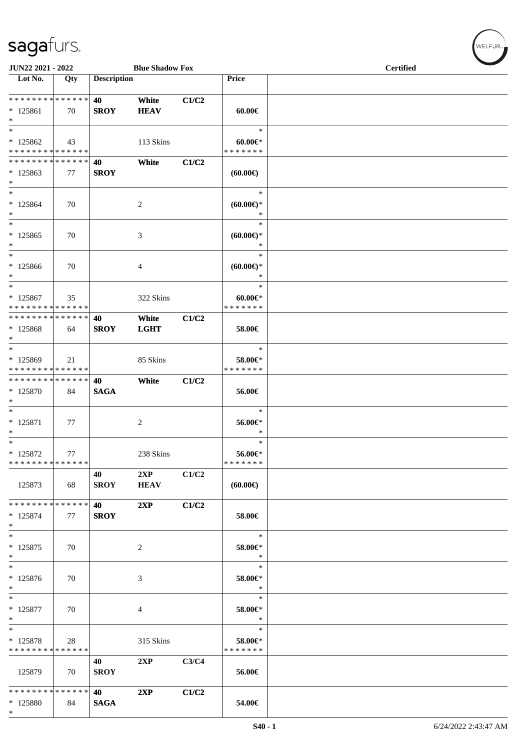\*

| JUN22 2021 - 2022                                              |     |                    | <b>Blue Shadow Fox</b> |       |                                            | <b>Certified</b> |  |  |  |
|----------------------------------------------------------------|-----|--------------------|------------------------|-------|--------------------------------------------|------------------|--|--|--|
| Lot No.                                                        | Qty | <b>Description</b> |                        |       | Price                                      |                  |  |  |  |
| * * * * * * * * * * * * * * *<br>$* 125861$<br>$*$             | 70  | 40<br><b>SROY</b>  | White<br><b>HEAV</b>   | C1/C2 | $60.00 \in$                                |                  |  |  |  |
| $*$<br>$*125862$<br>* * * * * * * * <mark>* * * * * * *</mark> | 43  |                    | 113 Skins              |       | $\ast$<br>$60.00 \in$<br>* * * * * * *     |                  |  |  |  |
| * * * * * * * * * * * * * * *<br>$*125863$<br>$*$              | 77  | 40<br><b>SROY</b>  | White                  | C1/C2 | $(60.00\epsilon)$                          |                  |  |  |  |
| $*$<br>$* 125864$<br>$*$                                       | 70  |                    | 2                      |       | $\ast$<br>$(60.00ε)$ *<br>$\ast$           |                  |  |  |  |
| $*$<br>$*125865$<br>$\ast$                                     | 70  |                    | 3                      |       | $\ast$<br>$(60.00\varepsilon)$ *<br>$\ast$ |                  |  |  |  |
| $*$<br>* 125866<br>$*$                                         | 70  |                    | 4                      |       | $\ast$<br>(60.00)<br>$\ast$                |                  |  |  |  |
| $*$<br>$* 125867$<br>* * * * * * * * * * * * * *               | 35  |                    | 322 Skins              |       | $\ast$<br>$60.00 \in$<br>* * * * * * *     |                  |  |  |  |
| * * * * * * * * * * * * * * *<br>* 125868<br>$*$               | 64  | 40<br><b>SROY</b>  | White<br><b>LGHT</b>   | C1/C2 | 58.00€                                     |                  |  |  |  |
| $*$<br>$*125869$<br>* * * * * * * * * * * * * *                | 21  |                    | 85 Skins               |       | $\ast$<br>58.00€*<br>* * * * * * *         |                  |  |  |  |
| * * * * * * * * * * * * * * *<br>* 125870<br>$*$               | 84  | 40<br><b>SAGA</b>  | White                  | C1/C2 | 56.00€                                     |                  |  |  |  |
| $*$<br>$* 125871$<br>$\ast$                                    | 77  |                    | 2                      |       | $\ast$<br>56.00€*<br>∗                     |                  |  |  |  |
| $*$<br>* 125872<br>* * * * * * * * * * * * * *                 | 77  |                    | 238 Skins              |       | $\ast$<br>56.00€*<br>* * * * * * *         |                  |  |  |  |
| 125873                                                         | 68  | 40<br><b>SROY</b>  | 2XP<br><b>HEAV</b>     | C1/C2 | $(60.00\epsilon)$                          |                  |  |  |  |
| * * * * * * * * * * * * * * *<br>$* 125874$<br>$*$             | 77  | 40<br><b>SROY</b>  | 2XP                    | C1/C2 | 58.00€                                     |                  |  |  |  |
| $*$<br>$* 125875$<br>$*$                                       | 70  |                    | 2                      |       | $\ast$<br>58.00€*<br>$\ast$                |                  |  |  |  |
| $\ast$<br>* 125876<br>$*$                                      | 70  |                    | 3                      |       | $\ast$<br>58.00€*<br>$\ast$                |                  |  |  |  |
| $*$<br>$* 125877$<br>$*$                                       | 70  |                    | 4                      |       | $\ast$<br>58.00€*<br>$\ast$                |                  |  |  |  |
| $*$<br>* 125878<br>* * * * * * * * * * * * * *                 | 28  |                    | 315 Skins              |       | $\ast$<br>58.00€*<br>* * * * * * *         |                  |  |  |  |
| 125879                                                         | 70  | 40<br><b>SROY</b>  | 2XP                    | C3/C4 | 56.00€                                     |                  |  |  |  |
| * * * * * * * * * * * * * * *<br>* 125880                      | 84  | 40<br><b>SAGA</b>  | 2XP                    | C1/C2 | 54.00€                                     |                  |  |  |  |

 $(\forall ELEUR_{\text{max}})$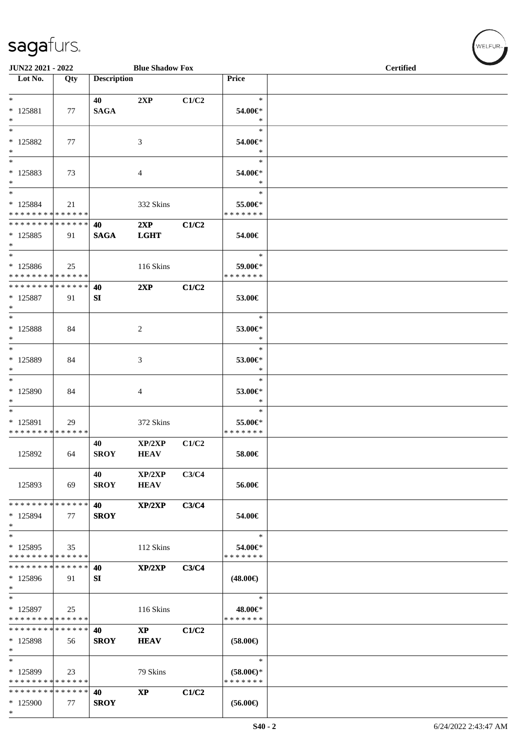| JUN22 2021 - 2022                       |     |                    | <b>Blue Shadow Fox</b> |       |                                      | <b>Certified</b> |
|-----------------------------------------|-----|--------------------|------------------------|-------|--------------------------------------|------------------|
| $\overline{\phantom{1}}$ Lot No.        | Qty | <b>Description</b> |                        |       | Price                                |                  |
| $*$                                     |     | 40                 | 2XP                    | C1/C2 | $\ast$                               |                  |
| $* 125881$                              | 77  | <b>SAGA</b>        |                        |       | 54.00€*<br>$\ast$                    |                  |
| $*$<br>$*$                              |     |                    |                        |       | $\ast$                               |                  |
| $* 125882$<br>$*$                       | 77  |                    | 3                      |       | 54.00€*<br>$\ast$                    |                  |
| $\ast$                                  |     |                    |                        |       | $\ast$                               |                  |
| * 125883<br>$*$                         | 73  |                    | 4                      |       | 54.00€*<br>$\ast$                    |                  |
| $*$                                     |     |                    |                        |       | $\ast$                               |                  |
| * 125884<br>* * * * * * * * * * * * * * | 21  |                    | 332 Skins              |       | 55.00€*<br>* * * * * * *             |                  |
| * * * * * * * * * * * * * * *           |     | 40                 | 2XP                    | C1/C2 |                                      |                  |
| * 125885<br>$*$                         | 91  | <b>SAGA</b>        | <b>LGHT</b>            |       | 54.00€                               |                  |
| $*$                                     |     |                    |                        |       | $\ast$                               |                  |
| * 125886<br>* * * * * * * * * * * * * * | 25  |                    | 116 Skins              |       | 59.00€*<br>* * * * * * *             |                  |
| * * * * * * * * * * * * * * *           |     | 40                 | 2XP                    | C1/C2 |                                      |                  |
| * 125887<br>$*$                         | 91  | SI                 |                        |       | 53.00€                               |                  |
| $*$                                     |     |                    |                        |       | $\ast$                               |                  |
| $* 125888$<br>$*$                       | 84  |                    | 2                      |       | 53.00€*<br>$\ast$                    |                  |
| $*$                                     |     |                    |                        |       | $\ast$                               |                  |
| * 125889<br>$*$                         | 84  |                    | 3                      |       | 53.00€*<br>$\ast$                    |                  |
| $*$                                     |     |                    |                        |       | $\ast$                               |                  |
| $*125890$<br>$*$                        | 84  |                    | 4                      |       | 53.00€*<br>$\ast$                    |                  |
| $*$                                     |     |                    |                        |       | $\ast$                               |                  |
| * 125891<br>* * * * * * * * * * * * * * | 29  |                    | 372 Skins              |       | 55.00€*<br>* * * * * * *             |                  |
|                                         |     | 40                 | XP/2XP                 | C1/C2 |                                      |                  |
| 125892                                  | 64  | <b>SROY</b>        | <b>HEAV</b>            |       | 58.00€                               |                  |
|                                         |     | 40                 | XP/2XP                 | C3/C4 |                                      |                  |
| 125893                                  | 69  | <b>SROY</b>        | <b>HEAV</b>            |       | 56.00€                               |                  |
| * * * * * * * * * * * * * * *           |     | 40                 | XP/2XP                 | C3/C4 |                                      |                  |
| * 125894<br>$*$                         | 77  | <b>SROY</b>        |                        |       | 54.00€                               |                  |
| $*$                                     |     |                    |                        |       | $\ast$                               |                  |
| * 125895<br>* * * * * * * * * * * * * * | 35  |                    | 112 Skins              |       | 54.00€*<br>* * * * * * *             |                  |
| * * * * * * * * * * * * * *             |     | 40                 | XP/2XP                 | C3/C4 |                                      |                  |
| * 125896<br>$*$                         | 91  | SI                 |                        |       | $(48.00\epsilon)$                    |                  |
| $*$                                     |     |                    |                        |       | $\ast$                               |                  |
| * 125897<br>* * * * * * * * * * * * * * | 25  |                    | 116 Skins              |       | 48.00€*<br>* * * * * * *             |                  |
| * * * * * * * * * * * * * * *           |     | 40                 | $\mathbf{X}\mathbf{P}$ | C1/C2 |                                      |                  |
| * 125898<br>$*$                         | 56  | <b>SROY</b>        | <b>HEAV</b>            |       | $(58.00\epsilon)$                    |                  |
| $*$                                     |     |                    |                        |       | $\ast$                               |                  |
| * 125899<br>* * * * * * * * * * * * * * | 23  |                    | 79 Skins               |       | $(58.00\epsilon)$ *<br>* * * * * * * |                  |
| * * * * * * * * * * * * * *             |     | 40                 | $\mathbf{X}\mathbf{P}$ | C1/C2 |                                      |                  |
| * 125900<br>$*$                         | 77  | <b>SROY</b>        |                        |       | $(56.00\epsilon)$                    |                  |

WELFUR-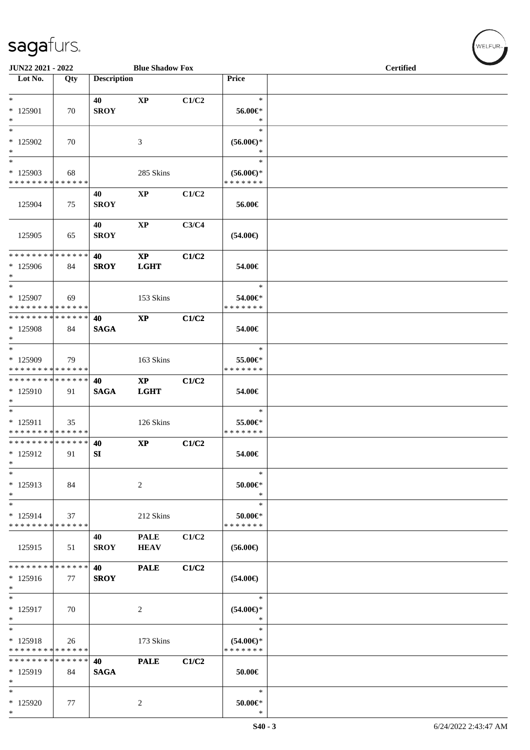| JUN22 2021 - 2022                                   |                   |                    | <b>Blue Shadow Fox</b>                |       |                                                | <b>Certified</b> |  |  |  |  |
|-----------------------------------------------------|-------------------|--------------------|---------------------------------------|-------|------------------------------------------------|------------------|--|--|--|--|
| Lot No.                                             | Qty               | <b>Description</b> |                                       |       | Price                                          |                  |  |  |  |  |
| $*$<br>$* 125901$                                   | 70                | 40<br><b>SROY</b>  | $\mathbf{X}\mathbf{P}$                | C1/C2 | $\ast$<br>56.00€*                              |                  |  |  |  |  |
| $\ast$<br>$\ast$<br>$*125902$<br>$\ast$             | 70                |                    | 3                                     |       | $\ast$<br>$\ast$<br>$(56.00ε)$ *<br>$\ast$     |                  |  |  |  |  |
| $\ast$<br>$*125903$<br>* * * * * * * * * * * * * *  | 68                |                    | 285 Skins                             |       | $\ast$<br>$(56.00\epsilon)$ *<br>* * * * * * * |                  |  |  |  |  |
| 125904                                              | 75                | 40<br><b>SROY</b>  | $\mathbf{XP}$                         | C1/C2 | 56.00€                                         |                  |  |  |  |  |
| 125905                                              | 65                | 40<br><b>SROY</b>  | $\mathbf{XP}$                         | C3/C4 | $(54.00\epsilon)$                              |                  |  |  |  |  |
| * * * * * * * * * * * * * * *<br>* 125906<br>$\ast$ | 84                | 40<br><b>SROY</b>  | $\mathbf{X}\mathbf{P}$<br><b>LGHT</b> | C1/C2 | 54.00€                                         |                  |  |  |  |  |
| $\ast$<br>$*125907$<br>* * * * * * * * * * * * * *  | 69                |                    | 153 Skins                             |       | $\ast$<br>54.00€*<br>* * * * * * *             |                  |  |  |  |  |
| **************<br>* 125908<br>$\ast$                | 84                | 40<br><b>SAGA</b>  | $\bold{XP}$                           | C1/C2 | 54.00€                                         |                  |  |  |  |  |
| $\ast$<br>$*125909$<br>* * * * * * * * * * * * * *  | 79                |                    | 163 Skins                             |       | $\ast$<br>55.00€*<br>* * * * * * *             |                  |  |  |  |  |
| **************<br>$*125910$<br>$\ast$               | 91                | 40<br><b>SAGA</b>  | $\mathbf{X}\mathbf{P}$<br><b>LGHT</b> | C1/C2 | 54.00€                                         |                  |  |  |  |  |
| $*$<br>$* 125911$<br>* * * * * * * * * * * * * *    | 35                |                    | 126 Skins                             |       | $\ast$<br>55.00€*<br>* * * * * * *             |                  |  |  |  |  |
| **************<br>$* 125912$<br>$\ast$              | 91                | 40<br>SI           | $\mathbf{XP}$                         | C1/C2 | 54.00€                                         |                  |  |  |  |  |
| $\ast$<br>* 125913<br>$\ast$                        | 84                |                    | $\boldsymbol{2}$                      |       | $\ast$<br>$50.00 \in$<br>$\ast$                |                  |  |  |  |  |
| $\ast$<br>* 125914<br>* * * * * * * * * * * * * *   | 37                |                    | 212 Skins                             |       | $\ast$<br>50.00€*<br>* * * * * * *             |                  |  |  |  |  |
| 125915                                              | 51                | 40<br><b>SROY</b>  | <b>PALE</b><br><b>HEAV</b>            | C1/C2 | $(56.00\epsilon)$                              |                  |  |  |  |  |
| * * * * * * * * * * * * * *<br>* 125916<br>$\ast$   | 77                | 40<br><b>SROY</b>  | <b>PALE</b>                           | C1/C2 | $(54.00\epsilon)$                              |                  |  |  |  |  |
| $\ast$<br>$* 125917$<br>$\ast$                      | 70                |                    | 2                                     |       | $\ast$<br>$(54.00ε)$ *<br>∗                    |                  |  |  |  |  |
| $\ast$<br>$* 125918$<br>* * * * * * * *             | 26<br>* * * * * * |                    | 173 Skins                             |       | $\ast$<br>$(54.00ε)$ *<br>* * * * * * *        |                  |  |  |  |  |
| * * * * * * * * * * * * * *<br>* 125919<br>$\ast$   | 84                | 40<br><b>SAGA</b>  | <b>PALE</b>                           | C1/C2 | 50.00€                                         |                  |  |  |  |  |
| $\ast$<br>$*125920$<br>$\ast$                       | 77                |                    | 2                                     |       | $\ast$<br>$50.00 \in$ *<br>$\ast$              |                  |  |  |  |  |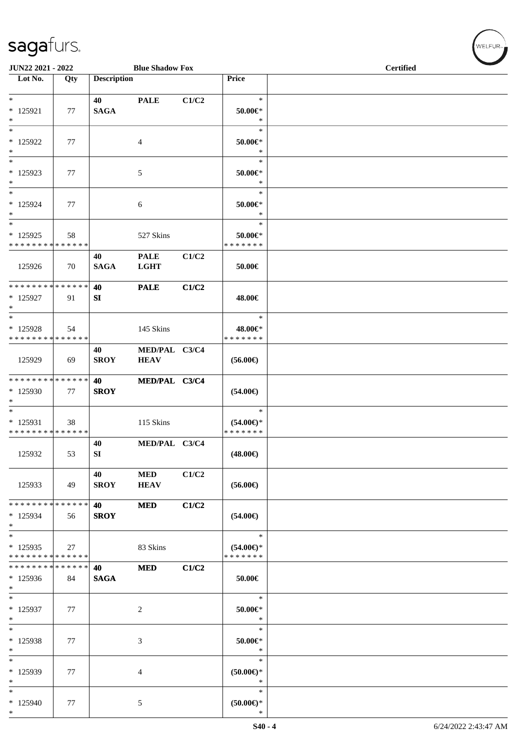| JUN22 2021 - 2022<br><b>Blue Shadow Fox</b> |     |                    |                |       |                              | <b>Certified</b> |  |  |  |
|---------------------------------------------|-----|--------------------|----------------|-------|------------------------------|------------------|--|--|--|
| $\overline{\phantom{1}}$ Lot No.            | Qty | <b>Description</b> |                |       | Price                        |                  |  |  |  |
| $\ast$                                      |     |                    |                |       | $\ast$                       |                  |  |  |  |
| $* 125921$                                  | 77  | 40<br><b>SAGA</b>  | <b>PALE</b>    | C1/C2 | $50.00 \in$                  |                  |  |  |  |
| $\ast$                                      |     |                    |                |       | $\ast$                       |                  |  |  |  |
| $\overline{\phantom{1}}$                    |     |                    |                |       | $\ast$                       |                  |  |  |  |
| * 125922<br>$\ast$                          | 77  |                    | 4              |       | $50.00 \in$<br>$\ast$        |                  |  |  |  |
| $\ast$                                      |     |                    |                |       | $\ast$                       |                  |  |  |  |
| $*125923$                                   | 77  |                    | 5              |       | $50.00 \in$ *                |                  |  |  |  |
| $\ast$<br>$\ast$                            |     |                    |                |       | $\ast$<br>$\ast$             |                  |  |  |  |
| $* 125924$                                  | 77  |                    | 6              |       | $50.00 \in$ *                |                  |  |  |  |
| $\ast$                                      |     |                    |                |       | $\ast$                       |                  |  |  |  |
| $\overline{\ast}$                           |     |                    |                |       | $\ast$                       |                  |  |  |  |
| $*125925$<br>* * * * * * * * * * * * * *    | 58  |                    | 527 Skins      |       | $50.00 \in$<br>* * * * * * * |                  |  |  |  |
|                                             |     | 40                 | <b>PALE</b>    | C1/C2 |                              |                  |  |  |  |
| 125926                                      | 70  | <b>SAGA</b>        | <b>LGHT</b>    |       | 50.00€                       |                  |  |  |  |
| * * * * * * * * * * * * * * *               |     | 40                 | <b>PALE</b>    | C1/C2 |                              |                  |  |  |  |
| $*125927$                                   | 91  | SI                 |                |       | 48.00€                       |                  |  |  |  |
| $\ast$<br>$\ast$                            |     |                    |                |       | $\ast$                       |                  |  |  |  |
| * 125928                                    | 54  |                    | 145 Skins      |       | 48.00€*                      |                  |  |  |  |
| * * * * * * * * * * * * * *                 |     |                    |                |       | * * * * * * *                |                  |  |  |  |
|                                             |     | 40                 | MED/PAL C3/C4  |       |                              |                  |  |  |  |
| 125929                                      | 69  | <b>SROY</b>        | <b>HEAV</b>    |       | $(56.00\epsilon)$            |                  |  |  |  |
| * * * * * * * * * * * * * * *               |     | 40                 | MED/PAL C3/C4  |       |                              |                  |  |  |  |
| $*125930$                                   | 77  | <b>SROY</b>        |                |       | $(54.00\epsilon)$            |                  |  |  |  |
| $\ast$<br>$\overline{\ast}$                 |     |                    |                |       | $\ast$                       |                  |  |  |  |
| * 125931                                    | 38  |                    | 115 Skins      |       | $(54.00\epsilon)$ *          |                  |  |  |  |
| * * * * * * * * * * * * * *                 |     |                    |                |       | * * * * * * *                |                  |  |  |  |
| 125932                                      | 53  | 40<br>SI           | MED/PAL C3/C4  |       | $(48.00\epsilon)$            |                  |  |  |  |
|                                             |     |                    |                |       |                              |                  |  |  |  |
|                                             |     | 40                 | <b>MED</b>     | C1/C2 |                              |                  |  |  |  |
| 125933                                      | 49  | <b>SROY</b>        | <b>HEAV</b>    |       | $(56.00\epsilon)$            |                  |  |  |  |
| ******** <mark>******</mark>                |     | 40                 | <b>MED</b>     | C1/C2 |                              |                  |  |  |  |
| $*125934$                                   | 56  | <b>SROY</b>        |                |       | $(54.00\epsilon)$            |                  |  |  |  |
| $\ast$<br>$\ast$                            |     |                    |                |       | $\ast$                       |                  |  |  |  |
| $*125935$                                   | 27  |                    | 83 Skins       |       | $(54.00\epsilon)$ *          |                  |  |  |  |
| * * * * * * * * * * * * * *                 |     |                    |                |       | * * * * * * *                |                  |  |  |  |
| * * * * * * * * * * * * * *<br>$*125936$    | 84  | 40<br><b>SAGA</b>  | <b>MED</b>     | C1/C2 | $50.00\in$                   |                  |  |  |  |
| $\ast$                                      |     |                    |                |       |                              |                  |  |  |  |
| $\ast$                                      |     |                    |                |       | $\ast$                       |                  |  |  |  |
| $*125937$<br>$\ast$                         | 77  |                    | $\overline{c}$ |       | $50.00 \in$ *<br>$\ast$      |                  |  |  |  |
| $\ast$                                      |     |                    |                |       | $\ast$                       |                  |  |  |  |
| * 125938                                    | 77  |                    | $\mathfrak{Z}$ |       | $50.00 \in$                  |                  |  |  |  |
| $\ast$<br>$\ast$                            |     |                    |                |       | $\ast$<br>$\ast$             |                  |  |  |  |
| * 125939                                    | 77  |                    | 4              |       | $(50.00)$ *                  |                  |  |  |  |
| $\ast$                                      |     |                    |                |       | $\ast$                       |                  |  |  |  |
| $\ast$<br>* 125940                          | 77  |                    | 5              |       | $\ast$<br>$(50.00\in)^\ast$  |                  |  |  |  |
| $\ast$                                      |     |                    |                |       | $\ast$                       |                  |  |  |  |

WELFUR<sub><sup>N</sup></sub>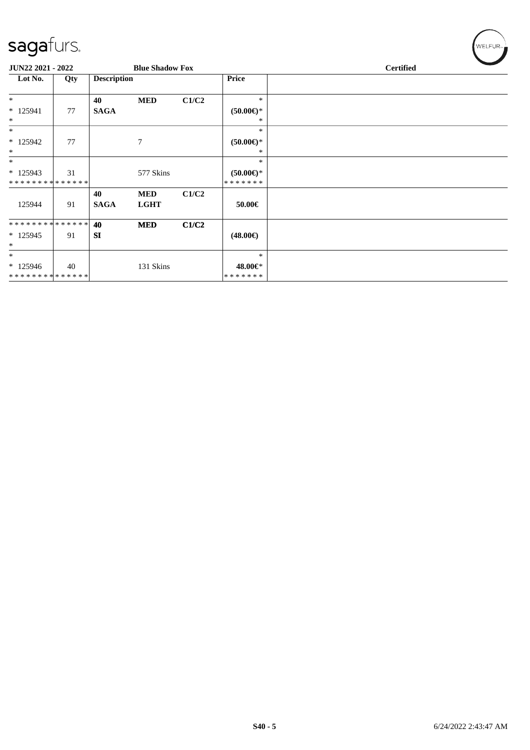| sagafurs.                                 |     |                    |                           |       |                             | WELFUR <sub>™</sub> |
|-------------------------------------------|-----|--------------------|---------------------------|-------|-----------------------------|---------------------|
| JUN22 2021 - 2022                         |     |                    | <b>Blue Shadow Fox</b>    |       |                             | <b>Certified</b>    |
| Lot No.                                   | Qty | <b>Description</b> |                           |       | <b>Price</b>                |                     |
| $*$                                       |     | 40                 | <b>MED</b>                | C1/C2 | $\ast$                      |                     |
| * 125941<br>$\ast$                        | 77  | <b>SAGA</b>        |                           |       | $(50.00ε)$ *<br>$*$         |                     |
| $\ast$                                    |     |                    |                           |       | $\ast$                      |                     |
| $*125942$<br>$\ast$                       | 77  |                    | 7                         |       | $(50.00ε)$ *<br>∗           |                     |
| $*$                                       |     |                    |                           |       | $\ast$                      |                     |
| $* 125943$<br>**************              | 31  |                    | 577 Skins                 |       | $(50.00 \in )^*$<br>******* |                     |
| 125944                                    | 91  | 40<br><b>SAGA</b>  | <b>MED</b><br><b>LGHT</b> | C1/C2 | 50.00€                      |                     |
| * * * * * * * * * * * * * *               |     | 40                 | <b>MED</b>                | C1/C2 |                             |                     |
| $* 125945$<br>$\ast$                      | 91  | <b>SI</b>          |                           |       | $(48.00\epsilon)$           |                     |
| $\ast$                                    |     |                    |                           |       | $\ast$                      |                     |
| $*125946$<br>******** <mark>******</mark> | 40  |                    | 131 Skins                 |       | 48.00€*<br>*******          |                     |